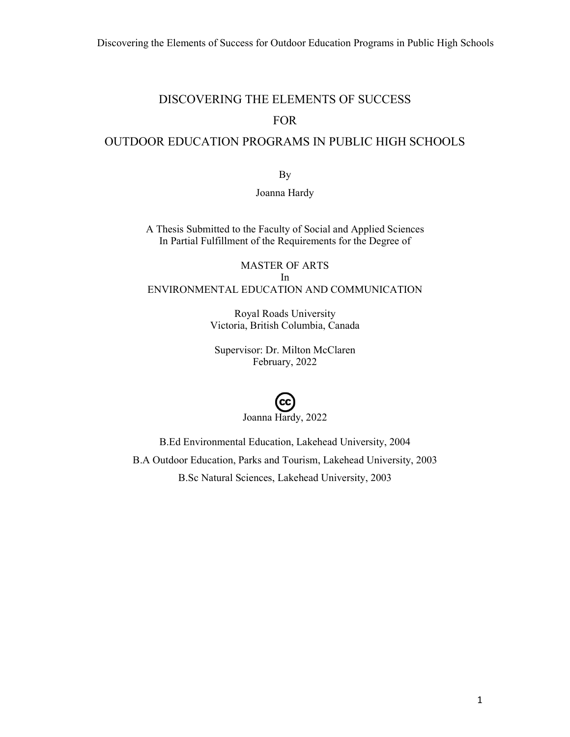# DISCOVERING THE ELEMENTS OF SUCCESS FOR

# OUTDOOR EDUCATION PROGRAMS IN PUBLIC HIGH SCHOOLS

By

#### Joanna Hardy

A Thesis Submitted to the Faculty of Social and Applied Sciences In Partial Fulfillment of the Requirements for the Degree of

# MASTER OF ARTS In ENVIRONMENTAL EDUCATION AND COMMUNICATION

Royal Roads University Victoria, British Columbia, Canada

Supervisor: Dr. Milton McClaren February, 2022

# Joanna Hardy, 2022

B.Ed Environmental Education, Lakehead University, 2004 B.A Outdoor Education, Parks and Tourism, Lakehead University, 2003 B.Sc Natural Sciences, Lakehead University, 2003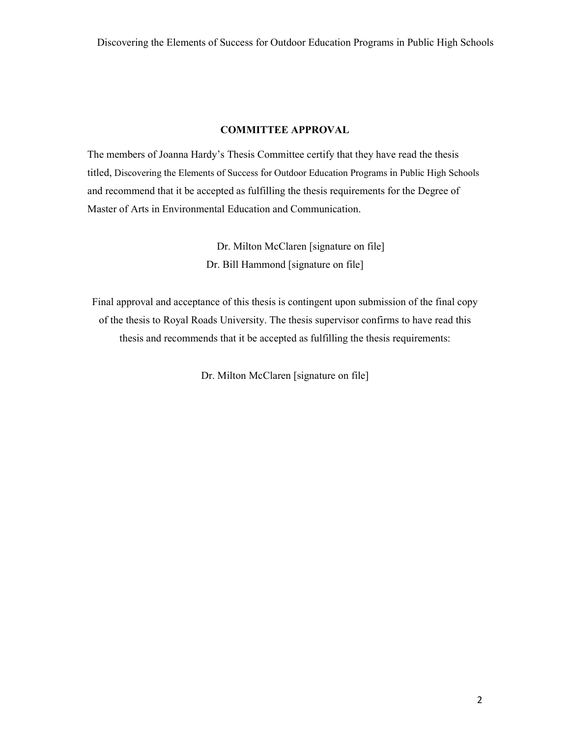#### **COMMITTEE APPROVAL**

The members of Joanna Hardy's Thesis Committee certify that they have read the thesis titled, Discovering the Elements of Success for Outdoor Education Programs in Public High Schools and recommend that it be accepted as fulfilling the thesis requirements for the Degree of Master of Arts in Environmental Education and Communication.

> Dr. Milton McClaren [signature on file] Dr. Bill Hammond [signature on file]

Final approval and acceptance of this thesis is contingent upon submission of the final copy of the thesis to Royal Roads University. The thesis supervisor confirms to have read this thesis and recommends that it be accepted as fulfilling the thesis requirements:

Dr. Milton McClaren [signature on file]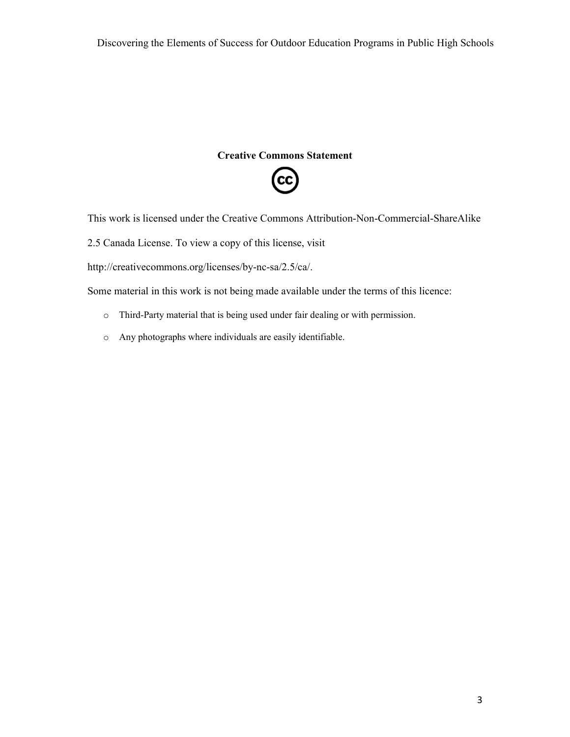#### **Creative Commons Statement**



This work is licensed under the Creative Commons Attribution-Non-Commercial-ShareAlike

2.5 Canada License. To view a copy of this license, visit

http://creativecommons.org/licenses/by-nc-sa/2.5/ca/.

Some material in this work is not being made available under the terms of this licence:

- o Third-Party material that is being used under fair dealing or with permission.
- o Any photographs where individuals are easily identifiable.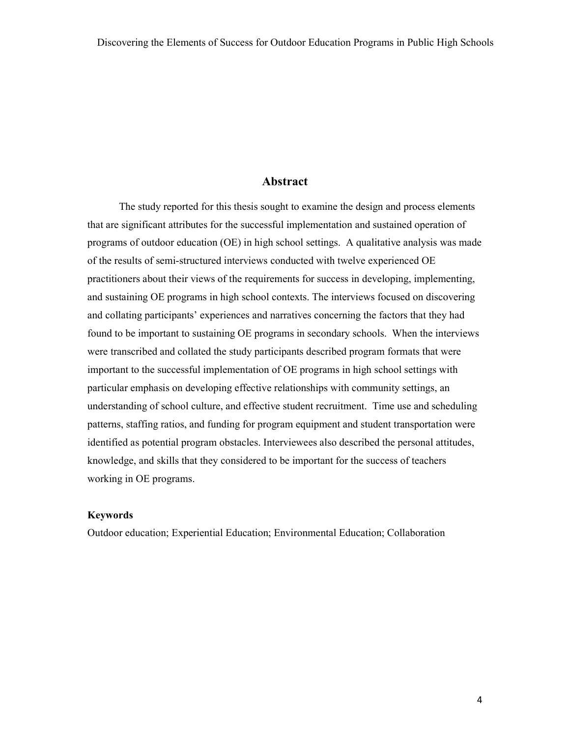#### **Abstract**

The study reported for this thesis sought to examine the design and process elements that are significant attributes for the successful implementation and sustained operation of programs of outdoor education (OE) in high school settings. A qualitative analysis was made of the results of semi-structured interviews conducted with twelve experienced OE practitioners about their views of the requirements for success in developing, implementing, and sustaining OE programs in high school contexts. The interviews focused on discovering and collating participants' experiences and narratives concerning the factors that they had found to be important to sustaining OE programs in secondary schools. When the interviews were transcribed and collated the study participants described program formats that were important to the successful implementation of OE programs in high school settings with particular emphasis on developing effective relationships with community settings, an understanding of school culture, and effective student recruitment. Time use and scheduling patterns, staffing ratios, and funding for program equipment and student transportation were identified as potential program obstacles. Interviewees also described the personal attitudes, knowledge, and skills that they considered to be important for the success of teachers working in OE programs.

#### **Keywords**

Outdoor education; Experiential Education; Environmental Education; Collaboration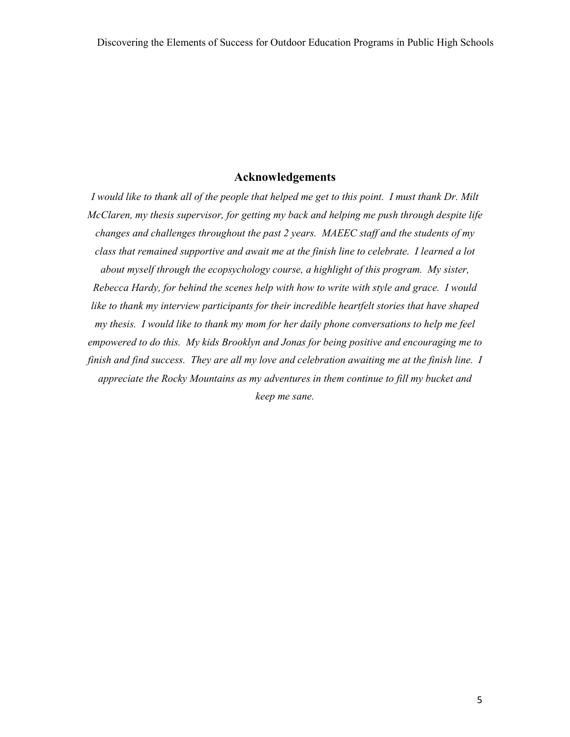## **Acknowledgements**

*I would like to thank all of the people that helped me get to this point. I must thank Dr. Milt McClaren, my thesis supervisor, for getting my back and helping me push through despite life changes and challenges throughout the past 2 years. MAEEC staff and the students of my class that remained supportive and await me at the finish line to celebrate. I learned a lot about myself through the ecopsychology course, a highlight of this program. My sister, Rebecca Hardy, for behind the scenes help with how to write with style and grace. I would like to thank my interview participants for their incredible heartfelt stories that have shaped my thesis. I would like to thank my mom for her daily phone conversations to help me feel empowered to do this. My kids Brooklyn and Jonas for being positive and encouraging me to finish and find success. They are all my love and celebration awaiting me at the finish line. I appreciate the Rocky Mountains as my adventures in them continue to fill my bucket and keep me sane.*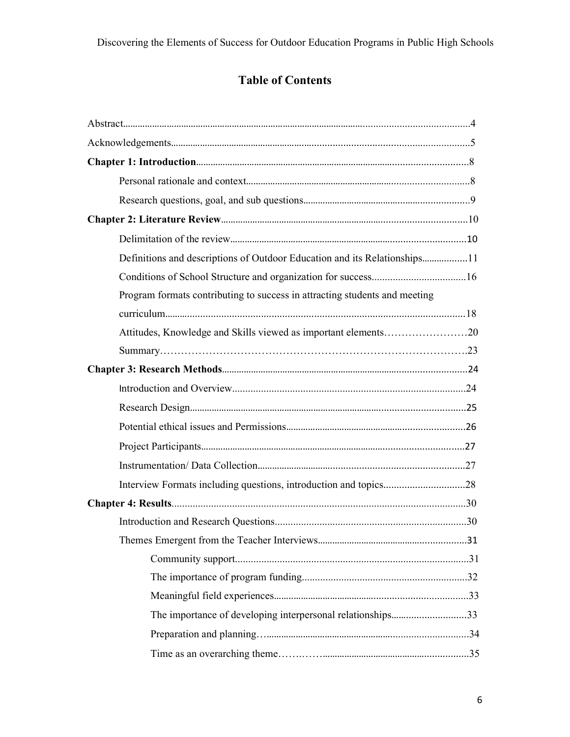# **Table of Contents**

| Program formats contributing to success in attracting students and meeting |  |
|----------------------------------------------------------------------------|--|
|                                                                            |  |
| Attitudes, Knowledge and Skills viewed as important elements20             |  |
|                                                                            |  |
|                                                                            |  |
|                                                                            |  |
|                                                                            |  |
|                                                                            |  |
|                                                                            |  |
|                                                                            |  |
| Interview Formats including questions, introduction and topics28           |  |
|                                                                            |  |
|                                                                            |  |
|                                                                            |  |
|                                                                            |  |
|                                                                            |  |
|                                                                            |  |
| The importance of developing interpersonal relationships33                 |  |
|                                                                            |  |
|                                                                            |  |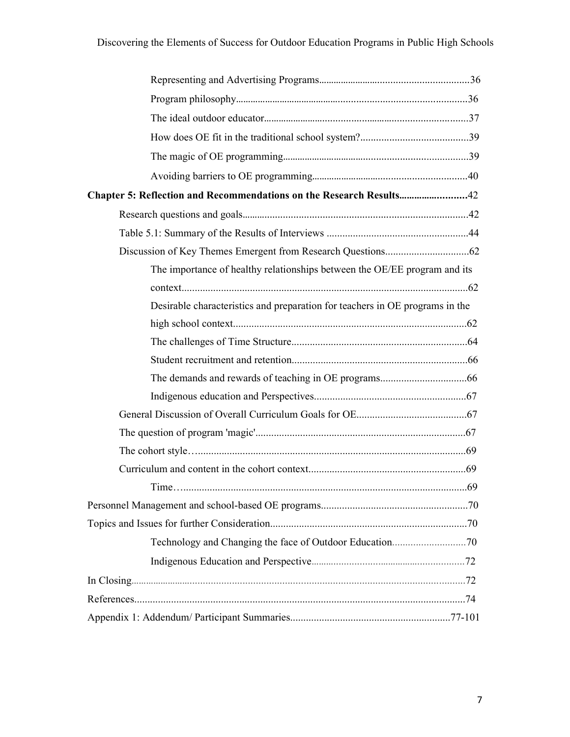| Chapter 5: Reflection and Recommendations on the Research Results42          |  |
|------------------------------------------------------------------------------|--|
|                                                                              |  |
|                                                                              |  |
|                                                                              |  |
| The importance of healthy relationships between the OE/EE program and its    |  |
|                                                                              |  |
| Desirable characteristics and preparation for teachers in OE programs in the |  |
|                                                                              |  |
|                                                                              |  |
|                                                                              |  |
|                                                                              |  |
|                                                                              |  |
|                                                                              |  |
|                                                                              |  |
|                                                                              |  |
|                                                                              |  |
|                                                                              |  |
|                                                                              |  |
|                                                                              |  |
|                                                                              |  |
|                                                                              |  |
|                                                                              |  |
|                                                                              |  |
|                                                                              |  |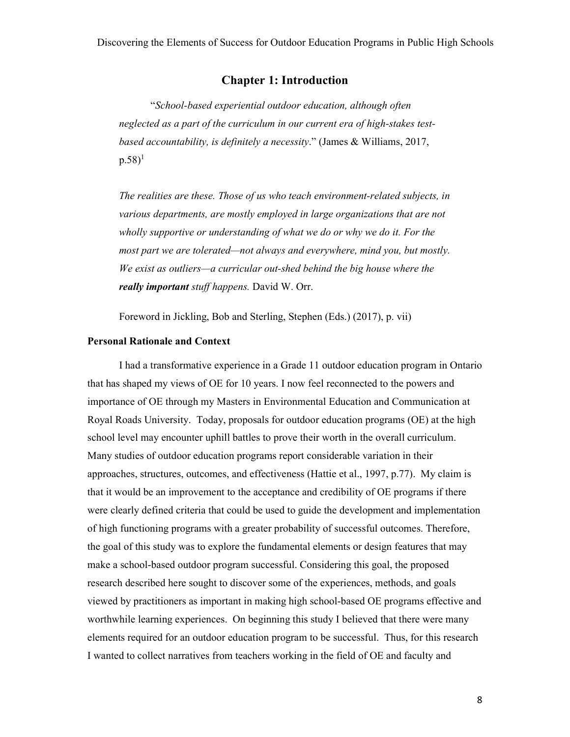#### **Chapter 1: Introduction**

 "*School-based experiential outdoor education, although often neglected as a part of the curriculum in our current era of high-stakes testbased accountability, is definitely a necessity*." (James & Williams, 2017,  $p.58$ <sup>1</sup>

*The realities are these. Those of us who teach environment-related subjects, in various departments, are mostly employed in large organizations that are not wholly supportive or understanding of what we do or why we do it. For the most part we are tolerated—not always and everywhere, mind you, but mostly. We exist as outliers—a curricular out-shed behind the big house where the really important stuff happens.* David W. Orr.

Foreword in Jickling, Bob and Sterling, Stephen (Eds.) (2017), p. vii)

#### **Personal Rationale and Context**

I had a transformative experience in a Grade 11 outdoor education program in Ontario that has shaped my views of OE for 10 years. I now feel reconnected to the powers and importance of OE through my Masters in Environmental Education and Communication at Royal Roads University. Today, proposals for outdoor education programs (OE) at the high school level may encounter uphill battles to prove their worth in the overall curriculum. Many studies of outdoor education programs report considerable variation in their approaches, structures, outcomes, and effectiveness (Hattie et al., 1997, p.77). My claim is that it would be an improvement to the acceptance and credibility of OE programs if there were clearly defined criteria that could be used to guide the development and implementation of high functioning programs with a greater probability of successful outcomes. Therefore, the goal of this study was to explore the fundamental elements or design features that may make a school-based outdoor program successful. Considering this goal, the proposed research described here sought to discover some of the experiences, methods, and goals viewed by practitioners as important in making high school-based OE programs effective and worthwhile learning experiences. On beginning this study I believed that there were many elements required for an outdoor education program to be successful. Thus, for this research I wanted to collect narratives from teachers working in the field of OE and faculty and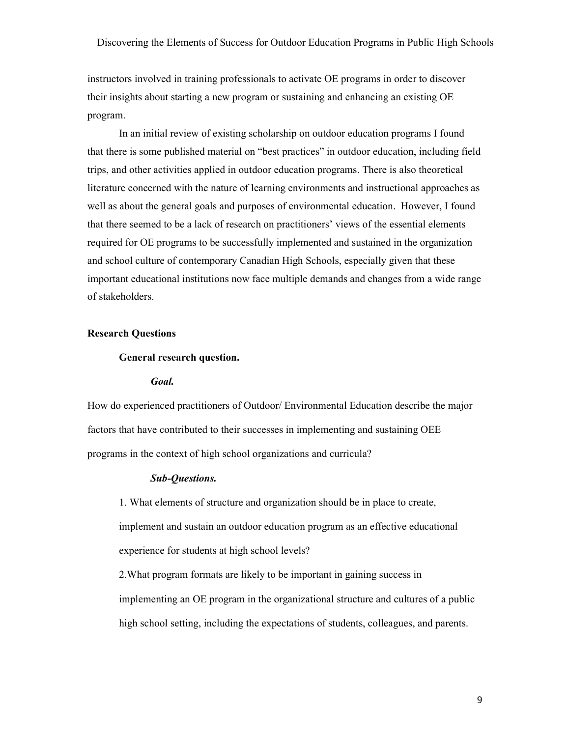instructors involved in training professionals to activate OE programs in order to discover their insights about starting a new program or sustaining and enhancing an existing OE program.

 In an initial review of existing scholarship on outdoor education programs I found that there is some published material on "best practices" in outdoor education, including field trips, and other activities applied in outdoor education programs. There is also theoretical literature concerned with the nature of learning environments and instructional approaches as well as about the general goals and purposes of environmental education. However, I found that there seemed to be a lack of research on practitioners' views of the essential elements required for OE programs to be successfully implemented and sustained in the organization and school culture of contemporary Canadian High Schools, especially given that these important educational institutions now face multiple demands and changes from a wide range of stakeholders.

#### **Research Questions**

#### **General research question.**

#### *Goal.*

How do experienced practitioners of Outdoor/ Environmental Education describe the major factors that have contributed to their successes in implementing and sustaining OEE programs in the context of high school organizations and curricula?

#### *Sub-Questions.*

1. What elements of structure and organization should be in place to create, implement and sustain an outdoor education program as an effective educational experience for students at high school levels?

2.What program formats are likely to be important in gaining success in implementing an OE program in the organizational structure and cultures of a public high school setting, including the expectations of students, colleagues, and parents.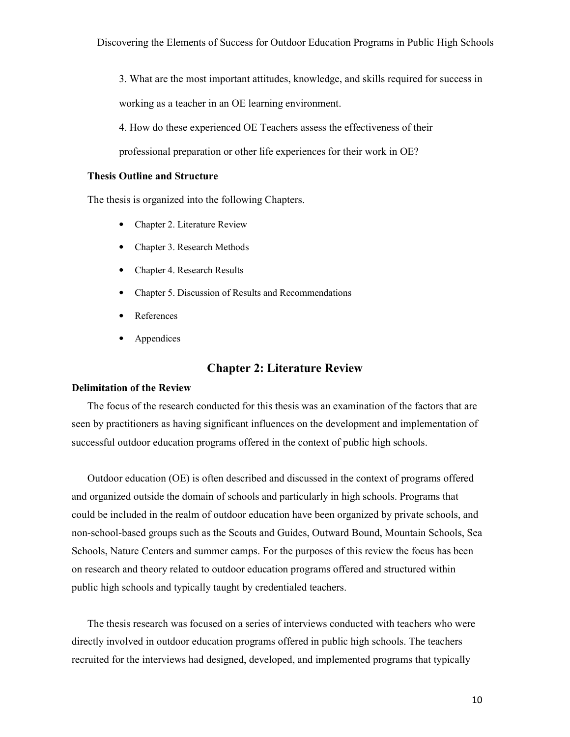3. What are the most important attitudes, knowledge, and skills required for success in working as a teacher in an OE learning environment.

4. How do these experienced OE Teachers assess the effectiveness of their

professional preparation or other life experiences for their work in OE?

#### **Thesis Outline and Structure**

The thesis is organized into the following Chapters.

- Chapter 2. Literature Review
- Chapter 3. Research Methods
- Chapter 4. Research Results
- Chapter 5. Discussion of Results and Recommendations
- **References**
- **Appendices**

# **Chapter 2: Literature Review**

#### **Delimitation of the Review**

The focus of the research conducted for this thesis was an examination of the factors that are seen by practitioners as having significant influences on the development and implementation of successful outdoor education programs offered in the context of public high schools.

Outdoor education (OE) is often described and discussed in the context of programs offered and organized outside the domain of schools and particularly in high schools. Programs that could be included in the realm of outdoor education have been organized by private schools, and non-school-based groups such as the Scouts and Guides, Outward Bound, Mountain Schools, Sea Schools, Nature Centers and summer camps. For the purposes of this review the focus has been on research and theory related to outdoor education programs offered and structured within public high schools and typically taught by credentialed teachers.

The thesis research was focused on a series of interviews conducted with teachers who were directly involved in outdoor education programs offered in public high schools. The teachers recruited for the interviews had designed, developed, and implemented programs that typically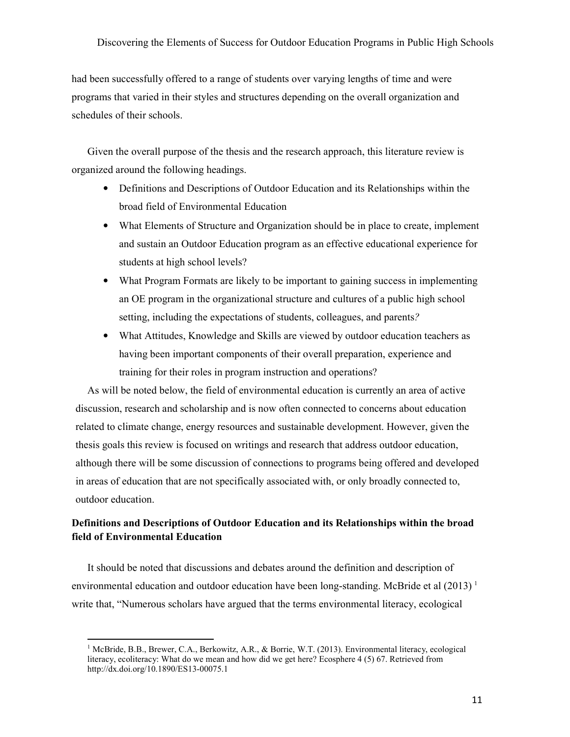had been successfully offered to a range of students over varying lengths of time and were programs that varied in their styles and structures depending on the overall organization and schedules of their schools.

Given the overall purpose of the thesis and the research approach, this literature review is organized around the following headings.

- Definitions and Descriptions of Outdoor Education and its Relationships within the broad field of Environmental Education
- What Elements of Structure and Organization should be in place to create, implement and sustain an Outdoor Education program as an effective educational experience for students at high school levels?
- What Program Formats are likely to be important to gaining success in implementing an OE program in the organizational structure and cultures of a public high school setting, including the expectations of students, colleagues, and parents*?*
- What Attitudes, Knowledge and Skills are viewed by outdoor education teachers as having been important components of their overall preparation, experience and training for their roles in program instruction and operations?

As will be noted below, the field of environmental education is currently an area of active discussion, research and scholarship and is now often connected to concerns about education related to climate change, energy resources and sustainable development. However, given the thesis goals this review is focused on writings and research that address outdoor education, although there will be some discussion of connections to programs being offered and developed in areas of education that are not specifically associated with, or only broadly connected to, outdoor education.

# **Definitions and Descriptions of Outdoor Education and its Relationships within the broad field of Environmental Education**

It should be noted that discussions and debates around the definition and description of environmental education and outdoor education have been long-standing. McBride et al  $(2013)^{1}$ write that, "Numerous scholars have argued that the terms environmental literacy, ecological

<sup>&</sup>lt;sup>1</sup> McBride, B.B., Brewer, C.A., Berkowitz, A.R., & Borrie, W.T. (2013). Environmental literacy, ecological literacy, ecoliteracy: What do we mean and how did we get here? Ecosphere 4 (5) 67. Retrieved from http://dx.doi.org/10.1890/ES13-00075.1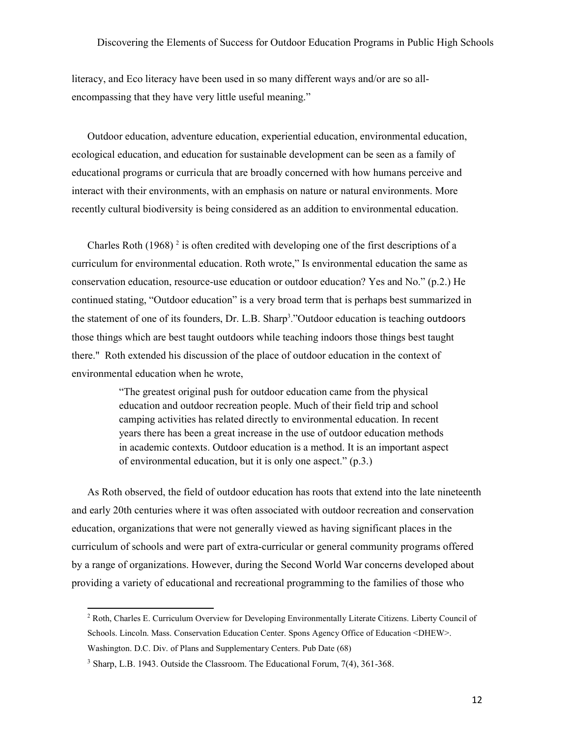literacy, and Eco literacy have been used in so many different ways and/or are so allencompassing that they have very little useful meaning."

Outdoor education, adventure education, experiential education, environmental education, ecological education, and education for sustainable development can be seen as a family of educational programs or curricula that are broadly concerned with how humans perceive and interact with their environments, with an emphasis on nature or natural environments. More recently cultural biodiversity is being considered as an addition to environmental education.

Charles Roth  $(1968)^2$  is often credited with developing one of the first descriptions of a curriculum for environmental education. Roth wrote," Is environmental education the same as conservation education, resource-use education or outdoor education? Yes and No." (p.2.) He continued stating, "Outdoor education" is a very broad term that is perhaps best summarized in the statement of one of its founders, Dr. L.B. Sharp 3 ."Outdoor education is teaching outdoors those things which are best taught outdoors while teaching indoors those things best taught there." Roth extended his discussion of the place of outdoor education in the context of environmental education when he wrote,

> "The greatest original push for outdoor education came from the physical education and outdoor recreation people. Much of their field trip and school camping activities has related directly to environmental education. In recent years there has been a great increase in the use of outdoor education methods in academic contexts. Outdoor education is a method. It is an important aspect of environmental education, but it is only one aspect." (p.3.)

As Roth observed, the field of outdoor education has roots that extend into the late nineteenth and early 20th centuries where it was often associated with outdoor recreation and conservation education, organizations that were not generally viewed as having significant places in the curriculum of schools and were part of extra-curricular or general community programs offered by a range of organizations. However, during the Second World War concerns developed about providing a variety of educational and recreational programming to the families of those who

<sup>&</sup>lt;sup>2</sup> Roth, Charles E. Curriculum Overview for Developing Environmentally Literate Citizens. Liberty Council of Schools. Lincoln. Mass. Conservation Education Center. Spons Agency Office of Education <DHEW>. Washington. D.C. Div. of Plans and Supplementary Centers. Pub Date (68)

<sup>&</sup>lt;sup>3</sup> Sharp, L.B. 1943. Outside the Classroom. The Educational Forum, 7(4), 361-368.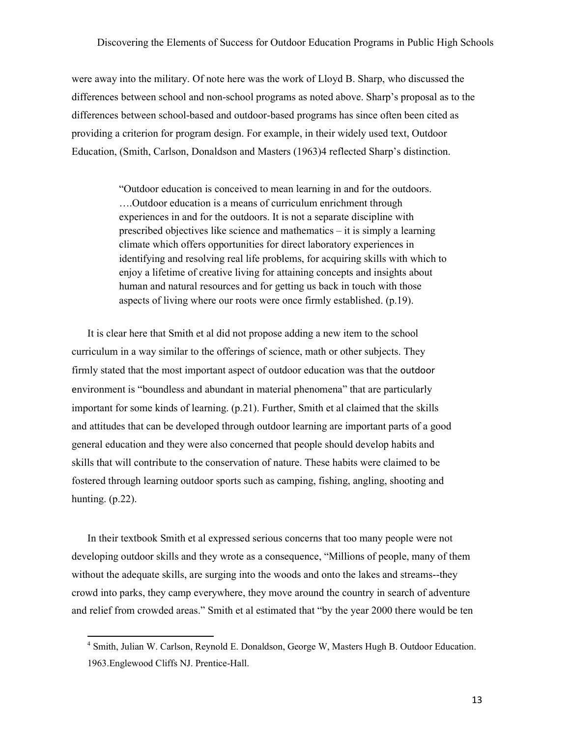were away into the military. Of note here was the work of Lloyd B. Sharp, who discussed the differences between school and non-school programs as noted above. Sharp's proposal as to the differences between school-based and outdoor-based programs has since often been cited as providing a criterion for program design. For example, in their widely used text, Outdoor Education, (Smith, Carlson, Donaldson and Masters (1963)4 reflected Sharp's distinction.

> "Outdoor education is conceived to mean learning in and for the outdoors. ….Outdoor education is a means of curriculum enrichment through experiences in and for the outdoors. It is not a separate discipline with prescribed objectives like science and mathematics – it is simply a learning climate which offers opportunities for direct laboratory experiences in identifying and resolving real life problems, for acquiring skills with which to enjoy a lifetime of creative living for attaining concepts and insights about human and natural resources and for getting us back in touch with those aspects of living where our roots were once firmly established. (p.19).

It is clear here that Smith et al did not propose adding a new item to the school curriculum in a way similar to the offerings of science, math or other subjects. They firmly stated that the most important aspect of outdoor education was that the outdoor environment is "boundless and abundant in material phenomena" that are particularly important for some kinds of learning. (p.21). Further, Smith et al claimed that the skills and attitudes that can be developed through outdoor learning are important parts of a good general education and they were also concerned that people should develop habits and skills that will contribute to the conservation of nature. These habits were claimed to be fostered through learning outdoor sports such as camping, fishing, angling, shooting and hunting. (p.22).

In their textbook Smith et al expressed serious concerns that too many people were not developing outdoor skills and they wrote as a consequence, "Millions of people, many of them without the adequate skills, are surging into the woods and onto the lakes and streams--they crowd into parks, they camp everywhere, they move around the country in search of adventure and relief from crowded areas." Smith et al estimated that "by the year 2000 there would be ten

<sup>4</sup> Smith, Julian W. Carlson, Reynold E. Donaldson, George W, Masters Hugh B. Outdoor Education. 1963.Englewood Cliffs NJ. Prentice-Hall.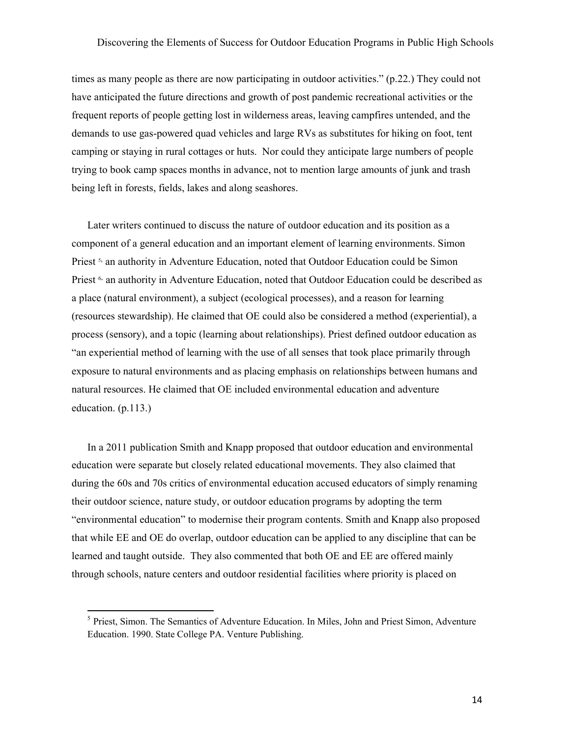times as many people as there are now participating in outdoor activities." (p.22.) They could not have anticipated the future directions and growth of post pandemic recreational activities or the frequent reports of people getting lost in wilderness areas, leaving campfires untended, and the demands to use gas-powered quad vehicles and large RVs as substitutes for hiking on foot, tent camping or staying in rural cottages or huts. Nor could they anticipate large numbers of people trying to book camp spaces months in advance, not to mention large amounts of junk and trash being left in forests, fields, lakes and along seashores.

Later writers continued to discuss the nature of outdoor education and its position as a component of a general education and an important element of learning environments. Simon Priest<sup>5,</sup> an authority in Adventure Education, noted that Outdoor Education could be Simon Priest<sup>6,</sup> an authority in Adventure Education, noted that Outdoor Education could be described as a place (natural environment), a subject (ecological processes), and a reason for learning (resources stewardship). He claimed that OE could also be considered a method (experiential), a process (sensory), and a topic (learning about relationships). Priest defined outdoor education as "an experiential method of learning with the use of all senses that took place primarily through exposure to natural environments and as placing emphasis on relationships between humans and natural resources. He claimed that OE included environmental education and adventure education. (p.113.)

In a 2011 publication Smith and Knapp proposed that outdoor education and environmental education were separate but closely related educational movements. They also claimed that during the 60s and 70s critics of environmental education accused educators of simply renaming their outdoor science, nature study, or outdoor education programs by adopting the term "environmental education" to modernise their program contents. Smith and Knapp also proposed that while EE and OE do overlap, outdoor education can be applied to any discipline that can be learned and taught outside. They also commented that both OE and EE are offered mainly through schools, nature centers and outdoor residential facilities where priority is placed on

<sup>&</sup>lt;sup>5</sup> Priest, Simon. The Semantics of Adventure Education. In Miles, John and Priest Simon, Adventure Education. 1990. State College PA. Venture Publishing.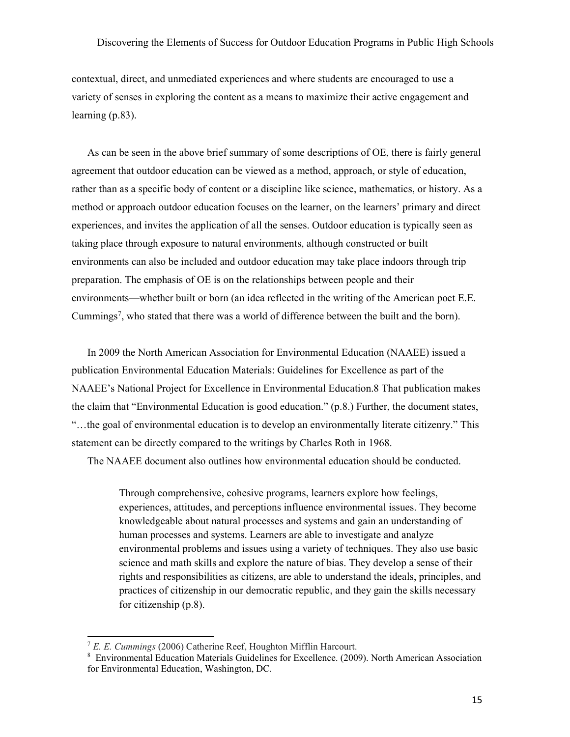contextual, direct, and unmediated experiences and where students are encouraged to use a variety of senses in exploring the content as a means to maximize their active engagement and learning (p.83).

As can be seen in the above brief summary of some descriptions of OE, there is fairly general agreement that outdoor education can be viewed as a method, approach, or style of education, rather than as a specific body of content or a discipline like science, mathematics, or history. As a method or approach outdoor education focuses on the learner, on the learners' primary and direct experiences, and invites the application of all the senses. Outdoor education is typically seen as taking place through exposure to natural environments, although constructed or built environments can also be included and outdoor education may take place indoors through trip preparation. The emphasis of OE is on the relationships between people and their environments—whether built or born (an idea reflected in the writing of the American poet E.E. Cummings<sup>7</sup>, who stated that there was a world of difference between the built and the born).

In 2009 the North American Association for Environmental Education (NAAEE) issued a publication Environmental Education Materials: Guidelines for Excellence as part of the NAAEE's National Project for Excellence in Environmental Education.8 That publication makes the claim that "Environmental Education is good education." (p.8.) Further, the document states, "…the goal of environmental education is to develop an environmentally literate citizenry." This statement can be directly compared to the writings by Charles Roth in 1968.

The NAAEE document also outlines how environmental education should be conducted.

Through comprehensive, cohesive programs, learners explore how feelings, experiences, attitudes, and perceptions influence environmental issues. They become knowledgeable about natural processes and systems and gain an understanding of human processes and systems. Learners are able to investigate and analyze environmental problems and issues using a variety of techniques. They also use basic science and math skills and explore the nature of bias. They develop a sense of their rights and responsibilities as citizens, are able to understand the ideals, principles, and practices of citizenship in our democratic republic, and they gain the skills necessary for citizenship (p.8).

<sup>7</sup> *E. E. Cummings* (2006) Catherine Reef, Houghton Mifflin Harcourt.

<sup>&</sup>lt;sup>8</sup> Environmental Education Materials Guidelines for Excellence. (2009). North American Association for Environmental Education, Washington, DC.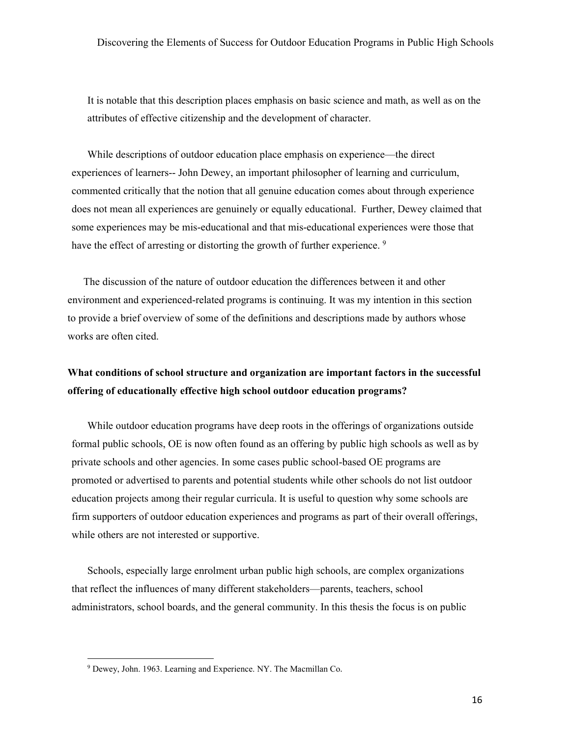It is notable that this description places emphasis on basic science and math, as well as on the attributes of effective citizenship and the development of character.

While descriptions of outdoor education place emphasis on experience—the direct experiences of learners-- John Dewey, an important philosopher of learning and curriculum, commented critically that the notion that all genuine education comes about through experience does not mean all experiences are genuinely or equally educational. Further, Dewey claimed that some experiences may be mis-educational and that mis-educational experiences were those that have the effect of arresting or distorting the growth of further experience. <sup>9</sup>

The discussion of the nature of outdoor education the differences between it and other environment and experienced-related programs is continuing. It was my intention in this section to provide a brief overview of some of the definitions and descriptions made by authors whose works are often cited.

# **What conditions of school structure and organization are important factors in the successful offering of educationally effective high school outdoor education programs?**

While outdoor education programs have deep roots in the offerings of organizations outside formal public schools, OE is now often found as an offering by public high schools as well as by private schools and other agencies. In some cases public school-based OE programs are promoted or advertised to parents and potential students while other schools do not list outdoor education projects among their regular curricula. It is useful to question why some schools are firm supporters of outdoor education experiences and programs as part of their overall offerings, while others are not interested or supportive.

Schools, especially large enrolment urban public high schools, are complex organizations that reflect the influences of many different stakeholders—parents, teachers, school administrators, school boards, and the general community. In this thesis the focus is on public

l

<sup>9</sup> Dewey, John. 1963. Learning and Experience. NY. The Macmillan Co.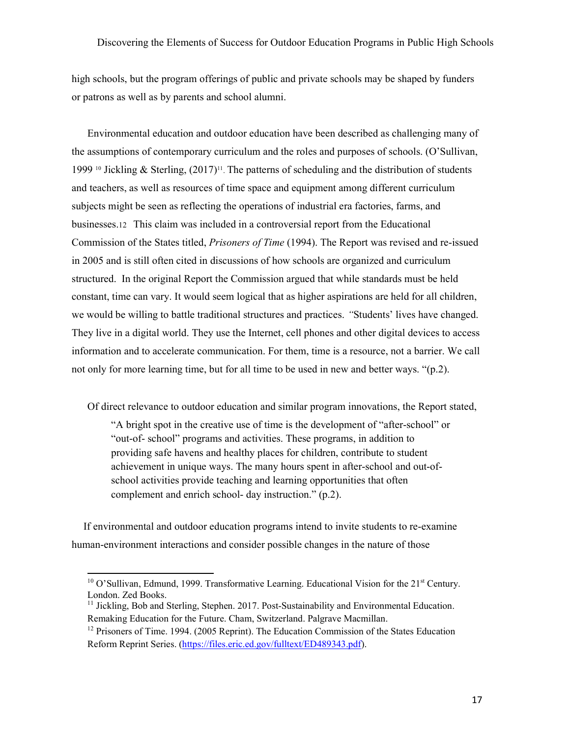high schools, but the program offerings of public and private schools may be shaped by funders or patrons as well as by parents and school alumni.

Environmental education and outdoor education have been described as challenging many of the assumptions of contemporary curriculum and the roles and purposes of schools. (O'Sullivan, 1999<sup>10</sup> Jickling & Sterling,  $(2017)^{11}$ . The patterns of scheduling and the distribution of students and teachers, as well as resources of time space and equipment among different curriculum subjects might be seen as reflecting the operations of industrial era factories, farms, and businesses.12 This claim was included in a controversial report from the Educational Commission of the States titled, *Prisoners of Time* (1994). The Report was revised and re-issued in 2005 and is still often cited in discussions of how schools are organized and curriculum structured. In the original Report the Commission argued that while standards must be held constant, time can vary. It would seem logical that as higher aspirations are held for all children, we would be willing to battle traditional structures and practices. *"*Students' lives have changed. They live in a digital world. They use the Internet, cell phones and other digital devices to access information and to accelerate communication. For them, time is a resource, not a barrier. We call not only for more learning time, but for all time to be used in new and better ways. "(p.2).

Of direct relevance to outdoor education and similar program innovations, the Report stated,

"A bright spot in the creative use of time is the development of "after-school" or "out-of- school" programs and activities. These programs, in addition to providing safe havens and healthy places for children, contribute to student achievement in unique ways. The many hours spent in after-school and out-ofschool activities provide teaching and learning opportunities that often complement and enrich school- day instruction." (p.2).

If environmental and outdoor education programs intend to invite students to re-examine human-environment interactions and consider possible changes in the nature of those

<sup>&</sup>lt;sup>10</sup> O'Sullivan, Edmund, 1999. Transformative Learning. Educational Vision for the 21<sup>st</sup> Century. London. Zed Books.

 $<sup>11</sup>$  Jickling, Bob and Sterling, Stephen. 2017. Post-Sustainability and Environmental Education.</sup> Remaking Education for the Future. Cham, Switzerland. Palgrave Macmillan.

 $12$  Prisoners of Time. 1994. (2005 Reprint). The Education Commission of the States Education Reform Reprint Series. (https://files.eric.ed.gov/fulltext/ED489343.pdf).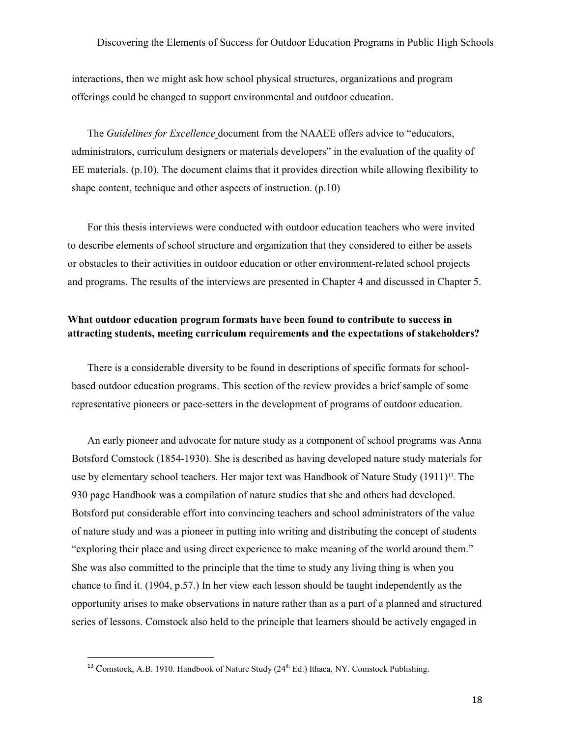interactions, then we might ask how school physical structures, organizations and program offerings could be changed to support environmental and outdoor education.

The *Guidelines for Excellence* document from the NAAEE offers advice to "educators, administrators, curriculum designers or materials developers" in the evaluation of the quality of EE materials. (p.10). The document claims that it provides direction while allowing flexibility to shape content, technique and other aspects of instruction. (p.10)

For this thesis interviews were conducted with outdoor education teachers who were invited to describe elements of school structure and organization that they considered to either be assets or obstacles to their activities in outdoor education or other environment-related school projects and programs. The results of the interviews are presented in Chapter 4 and discussed in Chapter 5.

# **What outdoor education program formats have been found to contribute to success in attracting students, meeting curriculum requirements and the expectations of stakeholders?**

There is a considerable diversity to be found in descriptions of specific formats for schoolbased outdoor education programs. This section of the review provides a brief sample of some representative pioneers or pace-setters in the development of programs of outdoor education.

An early pioneer and advocate for nature study as a component of school programs was Anna Botsford Comstock (1854-1930). She is described as having developed nature study materials for use by elementary school teachers. Her major text was Handbook of Nature Study (1911)<sup>13</sup>. The 930 page Handbook was a compilation of nature studies that she and others had developed. Botsford put considerable effort into convincing teachers and school administrators of the value of nature study and was a pioneer in putting into writing and distributing the concept of students "exploring their place and using direct experience to make meaning of the world around them." She was also committed to the principle that the time to study any living thing is when you chance to find it. (1904, p.57.) In her view each lesson should be taught independently as the opportunity arises to make observations in nature rather than as a part of a planned and structured series of lessons. Comstock also held to the principle that learners should be actively engaged in

l

<sup>&</sup>lt;sup>13</sup> Comstock, A.B. 1910. Handbook of Nature Study (24<sup>th</sup> Ed.) Ithaca, NY. Comstock Publishing.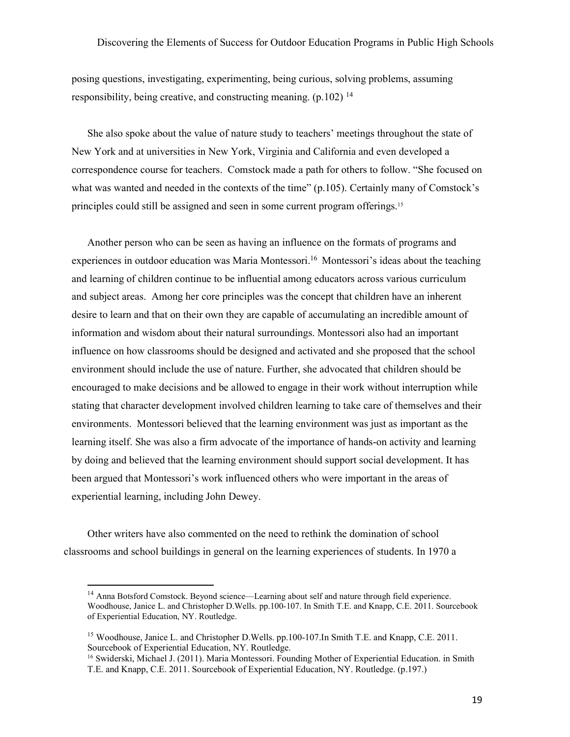posing questions, investigating, experimenting, being curious, solving problems, assuming responsibility, being creative, and constructing meaning. (p.102) <sup>14</sup>

She also spoke about the value of nature study to teachers' meetings throughout the state of New York and at universities in New York, Virginia and California and even developed a correspondence course for teachers. Comstock made a path for others to follow. "She focused on what was wanted and needed in the contexts of the time" (p.105). Certainly many of Comstock's principles could still be assigned and seen in some current program offerings.<sup>15</sup>

Another person who can be seen as having an influence on the formats of programs and experiences in outdoor education was Maria Montessori.<sup>16</sup> Montessori's ideas about the teaching and learning of children continue to be influential among educators across various curriculum and subject areas. Among her core principles was the concept that children have an inherent desire to learn and that on their own they are capable of accumulating an incredible amount of information and wisdom about their natural surroundings. Montessori also had an important influence on how classrooms should be designed and activated and she proposed that the school environment should include the use of nature. Further, she advocated that children should be encouraged to make decisions and be allowed to engage in their work without interruption while stating that character development involved children learning to take care of themselves and their environments. Montessori believed that the learning environment was just as important as the learning itself. She was also a firm advocate of the importance of hands-on activity and learning by doing and believed that the learning environment should support social development. It has been argued that Montessori's work influenced others who were important in the areas of experiential learning, including John Dewey.

Other writers have also commented on the need to rethink the domination of school classrooms and school buildings in general on the learning experiences of students. In 1970 a

<sup>&</sup>lt;sup>14</sup> Anna Botsford Comstock. Beyond science—Learning about self and nature through field experience. Woodhouse, Janice L. and Christopher D.Wells. pp.100-107. In Smith T.E. and Knapp, C.E. 2011. Sourcebook of Experiential Education, NY. Routledge.

<sup>&</sup>lt;sup>15</sup> Woodhouse, Janice L. and Christopher D.Wells. pp.100-107. In Smith T.E. and Knapp, C.E. 2011. Sourcebook of Experiential Education, NY. Routledge.

<sup>16</sup> Swiderski, Michael J. (2011). Maria Montessori. Founding Mother of Experiential Education. in Smith T.E. and Knapp, C.E. 2011. Sourcebook of Experiential Education, NY. Routledge. (p.197.)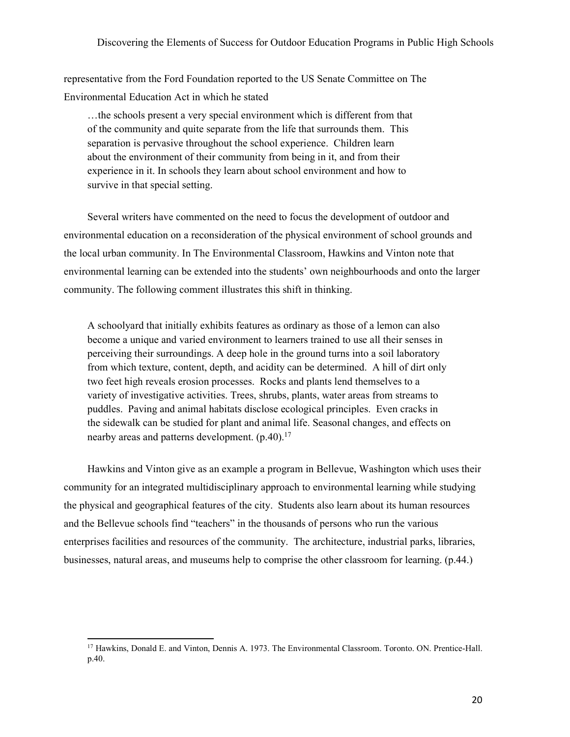representative from the Ford Foundation reported to the US Senate Committee on The Environmental Education Act in which he stated

…the schools present a very special environment which is different from that of the community and quite separate from the life that surrounds them. This separation is pervasive throughout the school experience. Children learn about the environment of their community from being in it, and from their experience in it. In schools they learn about school environment and how to survive in that special setting.

Several writers have commented on the need to focus the development of outdoor and environmental education on a reconsideration of the physical environment of school grounds and the local urban community. In The Environmental Classroom, Hawkins and Vinton note that environmental learning can be extended into the students' own neighbourhoods and onto the larger community. The following comment illustrates this shift in thinking.

A schoolyard that initially exhibits features as ordinary as those of a lemon can also become a unique and varied environment to learners trained to use all their senses in perceiving their surroundings. A deep hole in the ground turns into a soil laboratory from which texture, content, depth, and acidity can be determined. A hill of dirt only two feet high reveals erosion processes. Rocks and plants lend themselves to a variety of investigative activities. Trees, shrubs, plants, water areas from streams to puddles. Paving and animal habitats disclose ecological principles. Even cracks in the sidewalk can be studied for plant and animal life. Seasonal changes, and effects on nearby areas and patterns development.  $(p.40)$ .<sup>17</sup>

Hawkins and Vinton give as an example a program in Bellevue, Washington which uses their community for an integrated multidisciplinary approach to environmental learning while studying the physical and geographical features of the city. Students also learn about its human resources and the Bellevue schools find "teachers" in the thousands of persons who run the various enterprises facilities and resources of the community. The architecture, industrial parks, libraries, businesses, natural areas, and museums help to comprise the other classroom for learning. (p.44.)

<sup>&</sup>lt;sup>17</sup> Hawkins, Donald E. and Vinton, Dennis A. 1973. The Environmental Classroom. Toronto. ON. Prentice-Hall. p.40.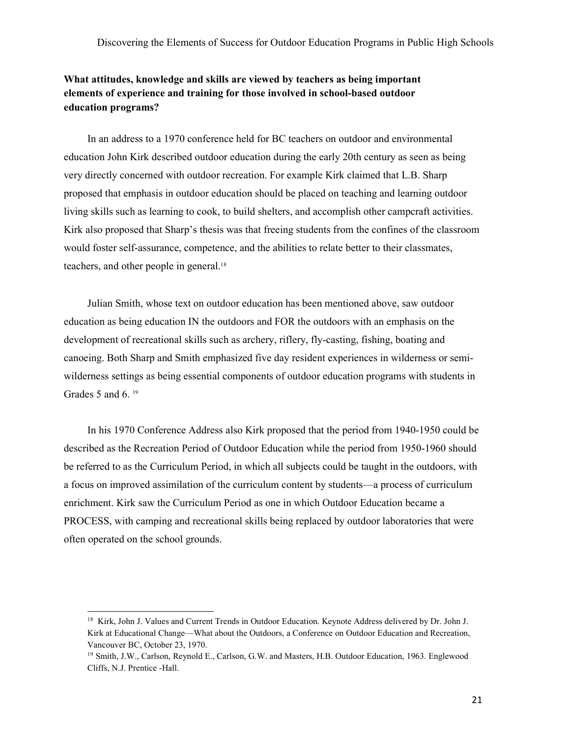# **What attitudes, knowledge and skills are viewed by teachers as being important elements of experience and training for those involved in school-based outdoor education programs?**

In an address to a 1970 conference held for BC teachers on outdoor and environmental education John Kirk described outdoor education during the early 20th century as seen as being very directly concerned with outdoor recreation. For example Kirk claimed that L.B. Sharp proposed that emphasis in outdoor education should be placed on teaching and learning outdoor living skills such as learning to cook, to build shelters, and accomplish other campcraft activities. Kirk also proposed that Sharp's thesis was that freeing students from the confines of the classroom would foster self-assurance, competence, and the abilities to relate better to their classmates, teachers, and other people in general.<sup>18</sup>

Julian Smith, whose text on outdoor education has been mentioned above, saw outdoor education as being education IN the outdoors and FOR the outdoors with an emphasis on the development of recreational skills such as archery, riflery, fly-casting, fishing, boating and canoeing. Both Sharp and Smith emphasized five day resident experiences in wilderness or semiwilderness settings as being essential components of outdoor education programs with students in Grades 5 and 6. <sup>19</sup>

In his 1970 Conference Address also Kirk proposed that the period from 1940-1950 could be described as the Recreation Period of Outdoor Education while the period from 1950-1960 should be referred to as the Curriculum Period, in which all subjects could be taught in the outdoors, with a focus on improved assimilation of the curriculum content by students—a process of curriculum enrichment. Kirk saw the Curriculum Period as one in which Outdoor Education became a PROCESS, with camping and recreational skills being replaced by outdoor laboratories that were often operated on the school grounds.

<sup>&</sup>lt;sup>18</sup> Kirk, John J. Values and Current Trends in Outdoor Education. Keynote Address delivered by Dr. John J. Kirk at Educational Change—What about the Outdoors, a Conference on Outdoor Education and Recreation, Vancouver BC, October 23, 1970.

<sup>19</sup> Smith, J.W., Carlson, Reynold E., Carlson, G.W. and Masters, H.B. Outdoor Education, 1963. Englewood Cliffs, N.J. Prentice -Hall.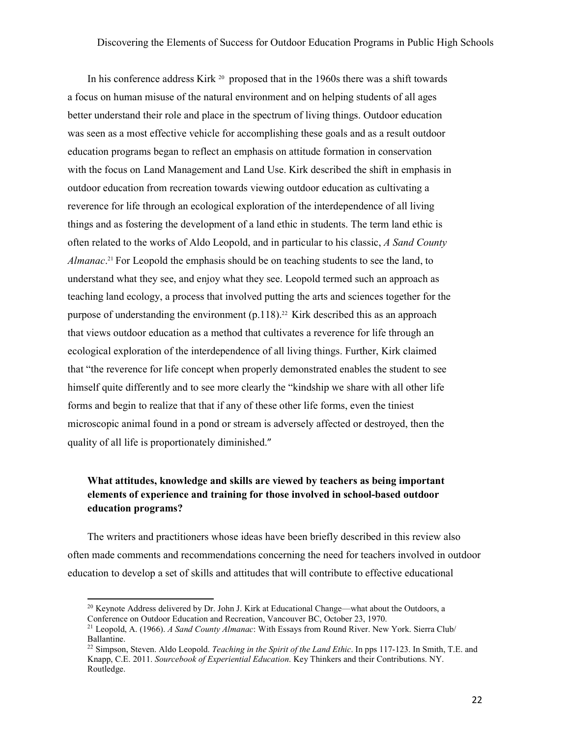In his conference address Kirk <sup>20</sup> proposed that in the 1960s there was a shift towards a focus on human misuse of the natural environment and on helping students of all ages better understand their role and place in the spectrum of living things. Outdoor education was seen as a most effective vehicle for accomplishing these goals and as a result outdoor education programs began to reflect an emphasis on attitude formation in conservation with the focus on Land Management and Land Use. Kirk described the shift in emphasis in outdoor education from recreation towards viewing outdoor education as cultivating a reverence for life through an ecological exploration of the interdependence of all living things and as fostering the development of a land ethic in students. The term land ethic is often related to the works of Aldo Leopold, and in particular to his classic, *A Sand County Almanac*. <sup>21</sup> For Leopold the emphasis should be on teaching students to see the land, to understand what they see, and enjoy what they see. Leopold termed such an approach as teaching land ecology, a process that involved putting the arts and sciences together for the purpose of understanding the environment (p.118).<sup>22</sup> Kirk described this as an approach that views outdoor education as a method that cultivates a reverence for life through an ecological exploration of the interdependence of all living things. Further, Kirk claimed that "the reverence for life concept when properly demonstrated enables the student to see himself quite differently and to see more clearly the "kindship we share with all other life forms and begin to realize that that if any of these other life forms, even the tiniest microscopic animal found in a pond or stream is adversely affected or destroyed, then the quality of all life is proportionately diminished."

# **What attitudes, knowledge and skills are viewed by teachers as being important elements of experience and training for those involved in school-based outdoor education programs?**

The writers and practitioners whose ideas have been briefly described in this review also often made comments and recommendations concerning the need for teachers involved in outdoor education to develop a set of skills and attitudes that will contribute to effective educational

<sup>&</sup>lt;sup>20</sup> Keynote Address delivered by Dr. John J. Kirk at Educational Change—what about the Outdoors, a Conference on Outdoor Education and Recreation, Vancouver BC, October 23, 1970.

<sup>21</sup> Leopold, A. (1966). *A Sand County Almanac*: With Essays from Round River. New York. Sierra Club/ Ballantine.

<sup>22</sup> Simpson, Steven. Aldo Leopold. *Teaching in the Spirit of the Land Ethic*. In pps 117-123. In Smith, T.E. and Knapp, C.E. 2011. *Sourcebook of Experiential Education*. Key Thinkers and their Contributions. NY. Routledge.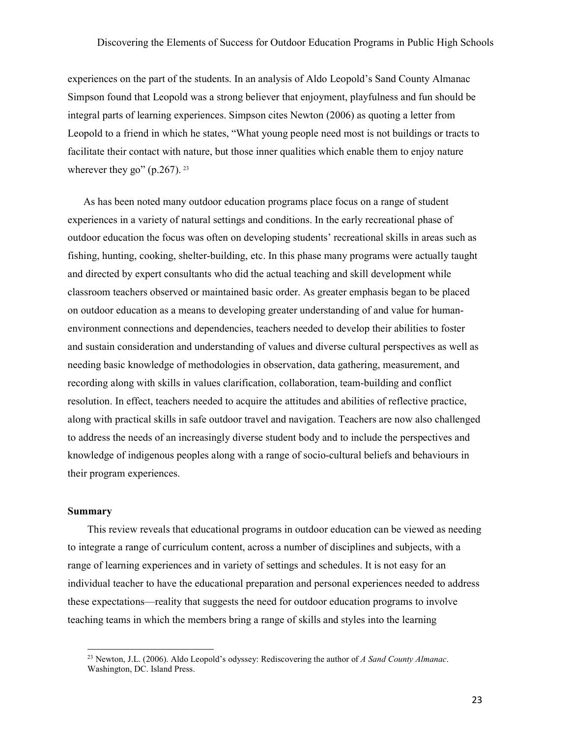experiences on the part of the students. In an analysis of Aldo Leopold's Sand County Almanac Simpson found that Leopold was a strong believer that enjoyment, playfulness and fun should be integral parts of learning experiences. Simpson cites Newton (2006) as quoting a letter from Leopold to a friend in which he states, "What young people need most is not buildings or tracts to facilitate their contact with nature, but those inner qualities which enable them to enjoy nature wherever they go" (p.267).  $23$ 

As has been noted many outdoor education programs place focus on a range of student experiences in a variety of natural settings and conditions. In the early recreational phase of outdoor education the focus was often on developing students' recreational skills in areas such as fishing, hunting, cooking, shelter-building, etc. In this phase many programs were actually taught and directed by expert consultants who did the actual teaching and skill development while classroom teachers observed or maintained basic order. As greater emphasis began to be placed on outdoor education as a means to developing greater understanding of and value for humanenvironment connections and dependencies, teachers needed to develop their abilities to foster and sustain consideration and understanding of values and diverse cultural perspectives as well as needing basic knowledge of methodologies in observation, data gathering, measurement, and recording along with skills in values clarification, collaboration, team-building and conflict resolution. In effect, teachers needed to acquire the attitudes and abilities of reflective practice, along with practical skills in safe outdoor travel and navigation. Teachers are now also challenged to address the needs of an increasingly diverse student body and to include the perspectives and knowledge of indigenous peoples along with a range of socio-cultural beliefs and behaviours in their program experiences.

#### **Summary**

l

This review reveals that educational programs in outdoor education can be viewed as needing to integrate a range of curriculum content, across a number of disciplines and subjects, with a range of learning experiences and in variety of settings and schedules. It is not easy for an individual teacher to have the educational preparation and personal experiences needed to address these expectations—reality that suggests the need for outdoor education programs to involve teaching teams in which the members bring a range of skills and styles into the learning

<sup>23</sup> Newton, J.L. (2006). Aldo Leopold's odyssey: Rediscovering the author of *A Sand County Almanac*. Washington, DC. Island Press.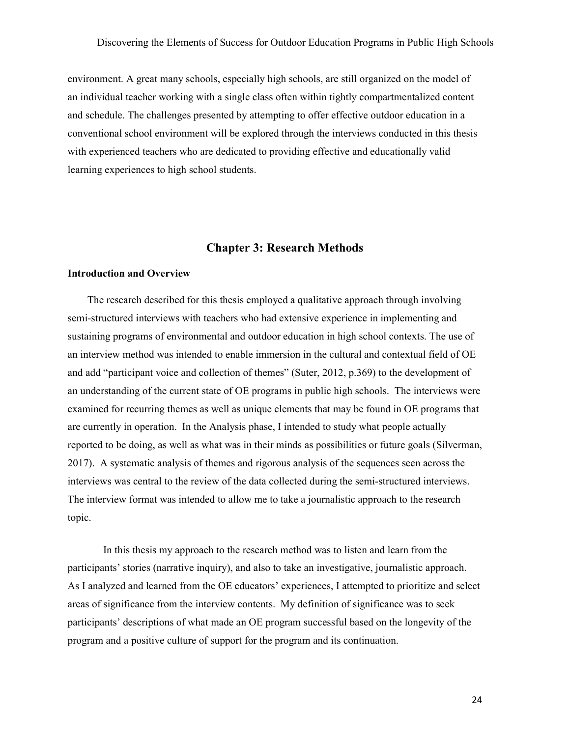environment. A great many schools, especially high schools, are still organized on the model of an individual teacher working with a single class often within tightly compartmentalized content and schedule. The challenges presented by attempting to offer effective outdoor education in a conventional school environment will be explored through the interviews conducted in this thesis with experienced teachers who are dedicated to providing effective and educationally valid learning experiences to high school students.

# **Chapter 3: Research Methods**

#### **Introduction and Overview**

The research described for this thesis employed a qualitative approach through involving semi-structured interviews with teachers who had extensive experience in implementing and sustaining programs of environmental and outdoor education in high school contexts. The use of an interview method was intended to enable immersion in the cultural and contextual field of OE and add "participant voice and collection of themes" (Suter, 2012, p.369) to the development of an understanding of the current state of OE programs in public high schools. The interviews were examined for recurring themes as well as unique elements that may be found in OE programs that are currently in operation. In the Analysis phase, I intended to study what people actually reported to be doing, as well as what was in their minds as possibilities or future goals (Silverman, 2017). A systematic analysis of themes and rigorous analysis of the sequences seen across the interviews was central to the review of the data collected during the semi-structured interviews. The interview format was intended to allow me to take a journalistic approach to the research topic.

In this thesis my approach to the research method was to listen and learn from the participants' stories (narrative inquiry), and also to take an investigative, journalistic approach. As I analyzed and learned from the OE educators' experiences, I attempted to prioritize and select areas of significance from the interview contents. My definition of significance was to seek participants' descriptions of what made an OE program successful based on the longevity of the program and a positive culture of support for the program and its continuation.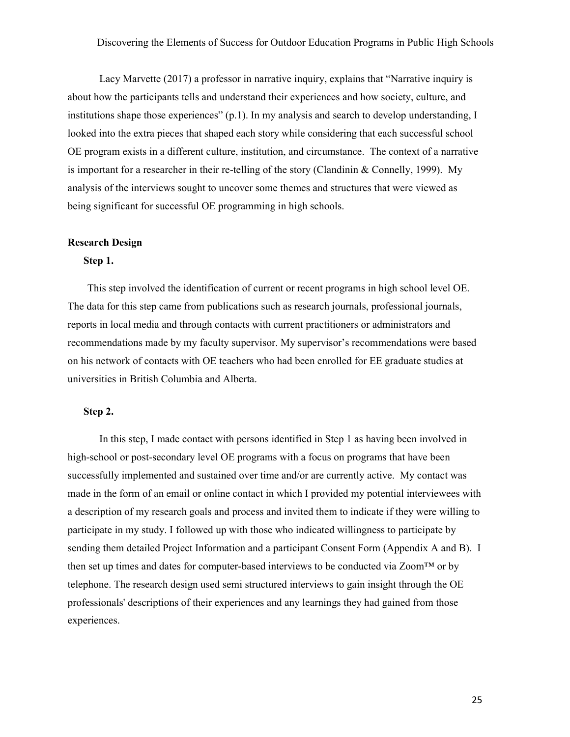Lacy Marvette (2017) a professor in narrative inquiry, explains that "Narrative inquiry is about how the participants tells and understand their experiences and how society, culture, and institutions shape those experiences" (p.1). In my analysis and search to develop understanding, I looked into the extra pieces that shaped each story while considering that each successful school OE program exists in a different culture, institution, and circumstance. The context of a narrative is important for a researcher in their re-telling of the story (Clandinin & Connelly, 1999). My analysis of the interviews sought to uncover some themes and structures that were viewed as being significant for successful OE programming in high schools.

#### **Research Design**

#### **Step 1.**

This step involved the identification of current or recent programs in high school level OE. The data for this step came from publications such as research journals, professional journals, reports in local media and through contacts with current practitioners or administrators and recommendations made by my faculty supervisor. My supervisor's recommendations were based on his network of contacts with OE teachers who had been enrolled for EE graduate studies at universities in British Columbia and Alberta.

#### **Step 2.**

In this step, I made contact with persons identified in Step 1 as having been involved in high-school or post-secondary level OE programs with a focus on programs that have been successfully implemented and sustained over time and/or are currently active. My contact was made in the form of an email or online contact in which I provided my potential interviewees with a description of my research goals and process and invited them to indicate if they were willing to participate in my study. I followed up with those who indicated willingness to participate by sending them detailed Project Information and a participant Consent Form (Appendix A and B). I then set up times and dates for computer-based interviews to be conducted via Zoom™ or by telephone. The research design used semi structured interviews to gain insight through the OE professionals' descriptions of their experiences and any learnings they had gained from those experiences.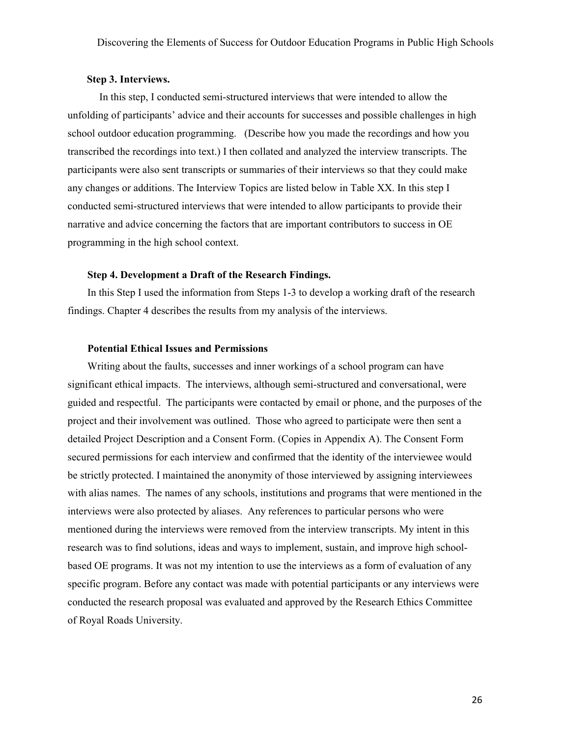#### **Step 3. Interviews.**

In this step, I conducted semi-structured interviews that were intended to allow the unfolding of participants' advice and their accounts for successes and possible challenges in high school outdoor education programming. (Describe how you made the recordings and how you transcribed the recordings into text.) I then collated and analyzed the interview transcripts. The participants were also sent transcripts or summaries of their interviews so that they could make any changes or additions. The Interview Topics are listed below in Table XX. In this step I conducted semi-structured interviews that were intended to allow participants to provide their narrative and advice concerning the factors that are important contributors to success in OE programming in the high school context.

#### **Step 4. Development a Draft of the Research Findings.**

In this Step I used the information from Steps 1-3 to develop a working draft of the research findings. Chapter 4 describes the results from my analysis of the interviews.

#### **Potential Ethical Issues and Permissions**

Writing about the faults, successes and inner workings of a school program can have significant ethical impacts. The interviews, although semi-structured and conversational, were guided and respectful. The participants were contacted by email or phone, and the purposes of the project and their involvement was outlined. Those who agreed to participate were then sent a detailed Project Description and a Consent Form. (Copies in Appendix A). The Consent Form secured permissions for each interview and confirmed that the identity of the interviewee would be strictly protected. I maintained the anonymity of those interviewed by assigning interviewees with alias names. The names of any schools, institutions and programs that were mentioned in the interviews were also protected by aliases. Any references to particular persons who were mentioned during the interviews were removed from the interview transcripts. My intent in this research was to find solutions, ideas and ways to implement, sustain, and improve high schoolbased OE programs. It was not my intention to use the interviews as a form of evaluation of any specific program. Before any contact was made with potential participants or any interviews were conducted the research proposal was evaluated and approved by the Research Ethics Committee of Royal Roads University.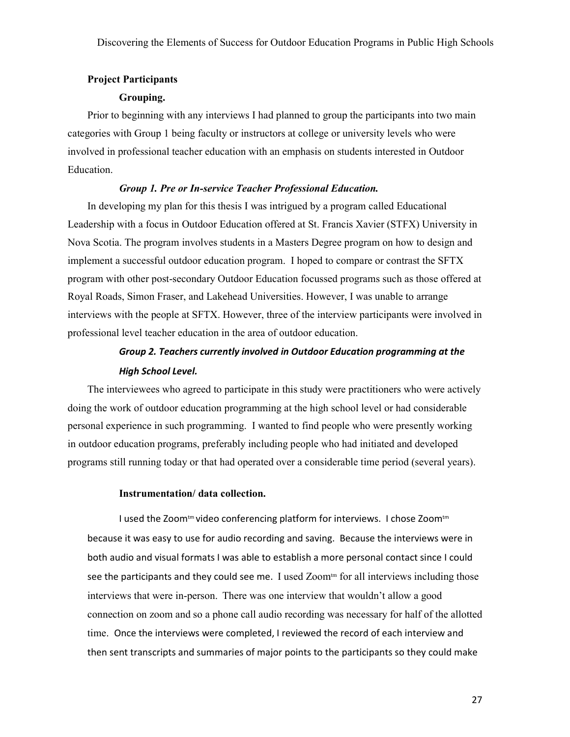### **Project Participants**

#### **Grouping.**

Prior to beginning with any interviews I had planned to group the participants into two main categories with Group 1 being faculty or instructors at college or university levels who were involved in professional teacher education with an emphasis on students interested in Outdoor Education.

#### *Group 1. Pre or In-service Teacher Professional Education.*

In developing my plan for this thesis I was intrigued by a program called Educational Leadership with a focus in Outdoor Education offered at St. Francis Xavier (STFX) University in Nova Scotia. The program involves students in a Masters Degree program on how to design and implement a successful outdoor education program. I hoped to compare or contrast the SFTX program with other post-secondary Outdoor Education focussed programs such as those offered at Royal Roads, Simon Fraser, and Lakehead Universities. However, I was unable to arrange interviews with the people at SFTX. However, three of the interview participants were involved in professional level teacher education in the area of outdoor education.

# *Group 2. Teachers currently involved in Outdoor Education programming at the High School Level.*

The interviewees who agreed to participate in this study were practitioners who were actively doing the work of outdoor education programming at the high school level or had considerable personal experience in such programming. I wanted to find people who were presently working in outdoor education programs, preferably including people who had initiated and developed programs still running today or that had operated over a considerable time period (several years).

#### **Instrumentation/ data collection.**

I used the Zoom<sup>tm</sup> video conferencing platform for interviews. I chose Zoom<sup>tm</sup> because it was easy to use for audio recording and saving. Because the interviews were in both audio and visual formats I was able to establish a more personal contact since I could see the participants and they could see me. I used Zoom $t<sub>m</sub>$  for all interviews including those interviews that were in-person.There was one interview that wouldn't allow a good connection on zoom and so a phone call audio recording was necessary for half of the allotted time. Once the interviews were completed, I reviewed the record of each interview and then sent transcripts and summaries of major points to the participants so they could make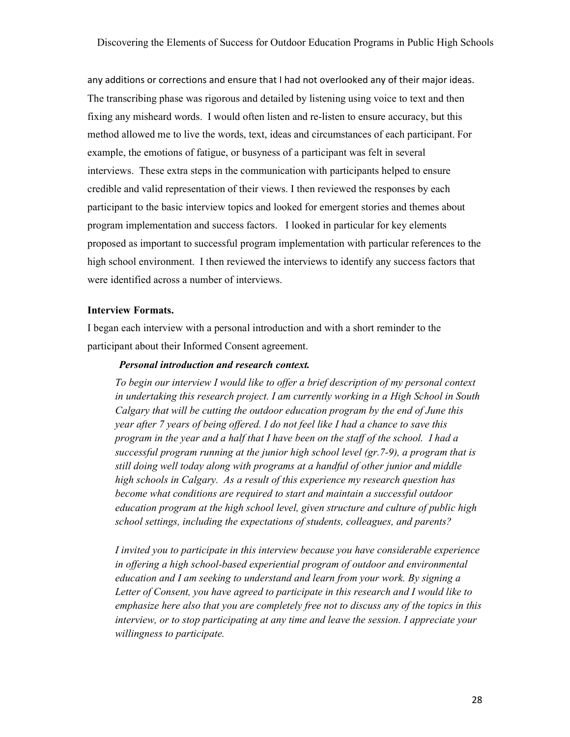any additions or corrections and ensure that I had not overlooked any of their major ideas. The transcribing phase was rigorous and detailed by listening using voice to text and then fixing any misheard words. I would often listen and re-listen to ensure accuracy, but this method allowed me to live the words, text, ideas and circumstances of each participant. For example, the emotions of fatigue, or busyness of a participant was felt in several interviews. These extra steps in the communication with participants helped to ensure credible and valid representation of their views. I then reviewed the responses by each participant to the basic interview topics and looked for emergent stories and themes about program implementation and success factors. I looked in particular for key elements proposed as important to successful program implementation with particular references to the high school environment. I then reviewed the interviews to identify any success factors that were identified across a number of interviews.

#### **Interview Formats.**

I began each interview with a personal introduction and with a short reminder to the participant about their Informed Consent agreement.

#### *Personal introduction and research context.*

*To begin our interview I would like to offer a brief description of my personal context in undertaking this research project. I am currently working in a High School in South Calgary that will be cutting the outdoor education program by the end of June this year after 7 years of being offered. I do not feel like I had a chance to save this program in the year and a half that I have been on the staff of the school. I had a successful program running at the junior high school level (gr.7-9), a program that is still doing well today along with programs at a handful of other junior and middle high schools in Calgary. As a result of this experience my research question has become what conditions are required to start and maintain a successful outdoor education program at the high school level, given structure and culture of public high school settings, including the expectations of students, colleagues, and parents?* 

*I invited you to participate in this interview because you have considerable experience in offering a high school-based experiential program of outdoor and environmental education and I am seeking to understand and learn from your work. By signing a Letter of Consent, you have agreed to participate in this research and I would like to emphasize here also that you are completely free not to discuss any of the topics in this interview, or to stop participating at any time and leave the session. I appreciate your willingness to participate.*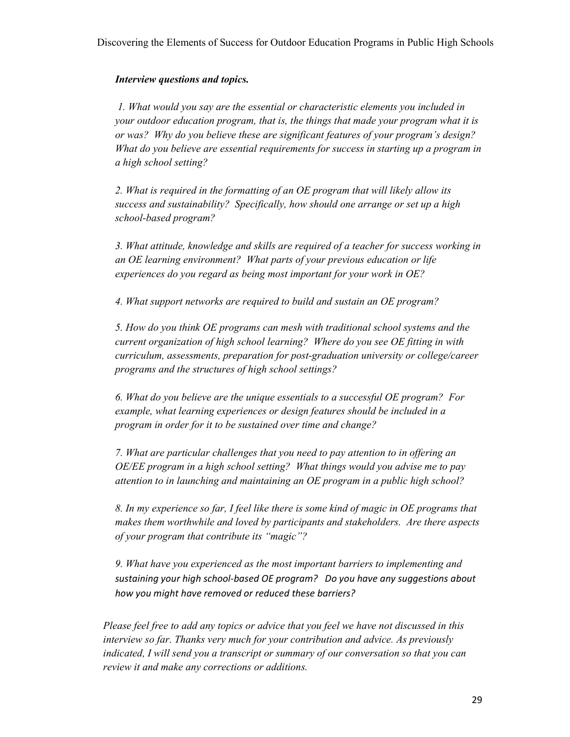# *Interview questions and topics.*

 *1. What would you say are the essential or characteristic elements you included in your outdoor education program, that is, the things that made your program what it is or was? Why do you believe these are significant features of your program's design? What do you believe are essential requirements for success in starting up a program in a high school setting?* 

*2. What is required in the formatting of an OE program that will likely allow its success and sustainability? Specifically, how should one arrange or set up a high school-based program?* 

*3. What attitude, knowledge and skills are required of a teacher for success working in an OE learning environment? What parts of your previous education or life experiences do you regard as being most important for your work in OE?* 

*4. What support networks are required to build and sustain an OE program?* 

*5. How do you think OE programs can mesh with traditional school systems and the current organization of high school learning? Where do you see OE fitting in with curriculum, assessments, preparation for post-graduation university or college/career programs and the structures of high school settings?* 

*6. What do you believe are the unique essentials to a successful OE program? For example, what learning experiences or design features should be included in a program in order for it to be sustained over time and change?* 

*7. What are particular challenges that you need to pay attention to in offering an OE/EE program in a high school setting? What things would you advise me to pay attention to in launching and maintaining an OE program in a public high school?* 

*8. In my experience so far, I feel like there is some kind of magic in OE programs that makes them worthwhile and loved by participants and stakeholders. Are there aspects of your program that contribute its "magic"?* 

*9. What have you experienced as the most important barriers to implementing and sustaining your high school-based OE program? Do you have any suggestions about how you might have removed or reduced these barriers?*

*Please feel free to add any topics or advice that you feel we have not discussed in this interview so far. Thanks very much for your contribution and advice. As previously indicated, I will send you a transcript or summary of our conversation so that you can review it and make any corrections or additions.*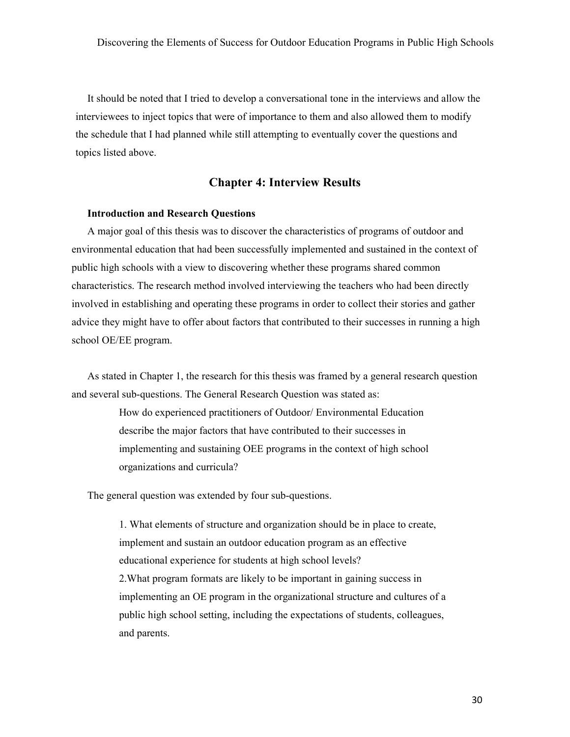It should be noted that I tried to develop a conversational tone in the interviews and allow the interviewees to inject topics that were of importance to them and also allowed them to modify the schedule that I had planned while still attempting to eventually cover the questions and topics listed above.

#### **Chapter 4: Interview Results**

#### **Introduction and Research Questions**

A major goal of this thesis was to discover the characteristics of programs of outdoor and environmental education that had been successfully implemented and sustained in the context of public high schools with a view to discovering whether these programs shared common characteristics. The research method involved interviewing the teachers who had been directly involved in establishing and operating these programs in order to collect their stories and gather advice they might have to offer about factors that contributed to their successes in running a high school OE/EE program.

As stated in Chapter 1, the research for this thesis was framed by a general research question and several sub-questions. The General Research Question was stated as:

> How do experienced practitioners of Outdoor/ Environmental Education describe the major factors that have contributed to their successes in implementing and sustaining OEE programs in the context of high school organizations and curricula?

The general question was extended by four sub-questions.

1. What elements of structure and organization should be in place to create, implement and sustain an outdoor education program as an effective educational experience for students at high school levels? 2.What program formats are likely to be important in gaining success in implementing an OE program in the organizational structure and cultures of a public high school setting, including the expectations of students, colleagues, and parents.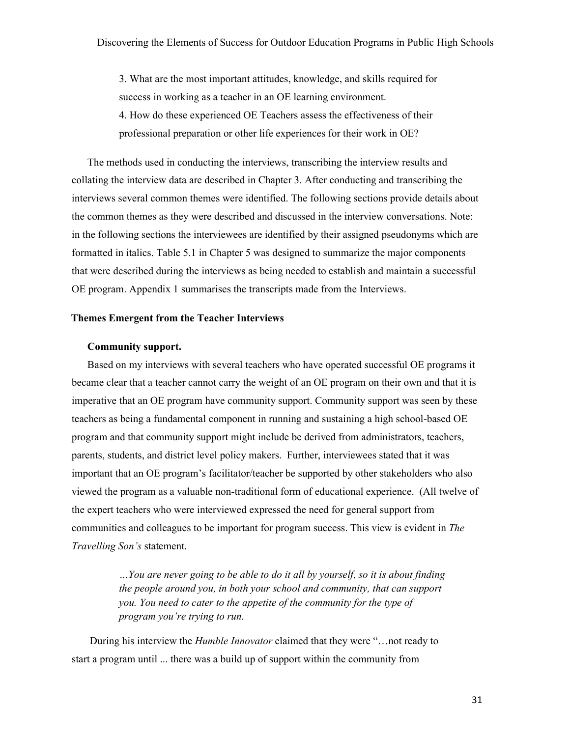3. What are the most important attitudes, knowledge, and skills required for success in working as a teacher in an OE learning environment. 4. How do these experienced OE Teachers assess the effectiveness of their professional preparation or other life experiences for their work in OE?

The methods used in conducting the interviews, transcribing the interview results and collating the interview data are described in Chapter 3. After conducting and transcribing the interviews several common themes were identified. The following sections provide details about the common themes as they were described and discussed in the interview conversations. Note: in the following sections the interviewees are identified by their assigned pseudonyms which are formatted in italics. Table 5.1 in Chapter 5 was designed to summarize the major components that were described during the interviews as being needed to establish and maintain a successful OE program. Appendix 1 summarises the transcripts made from the Interviews.

#### **Themes Emergent from the Teacher Interviews**

#### **Community support.**

Based on my interviews with several teachers who have operated successful OE programs it became clear that a teacher cannot carry the weight of an OE program on their own and that it is imperative that an OE program have community support. Community support was seen by these teachers as being a fundamental component in running and sustaining a high school-based OE program and that community support might include be derived from administrators, teachers, parents, students, and district level policy makers. Further, interviewees stated that it was important that an OE program's facilitator/teacher be supported by other stakeholders who also viewed the program as a valuable non-traditional form of educational experience. (All twelve of the expert teachers who were interviewed expressed the need for general support from communities and colleagues to be important for program success. This view is evident in *The Travelling Son's* statement.

> *…You are never going to be able to do it all by yourself, so it is about finding the people around you, in both your school and community, that can support you. You need to cater to the appetite of the community for the type of program you're trying to run.*

During his interview the *Humble Innovator* claimed that they were "…not ready to start a program until ... there was a build up of support within the community from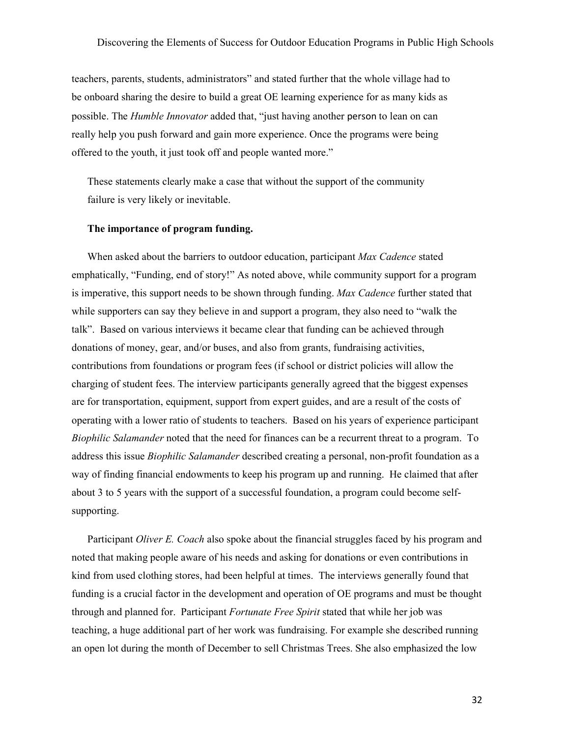teachers, parents, students, administrators" and stated further that the whole village had to be onboard sharing the desire to build a great OE learning experience for as many kids as possible. The *Humble Innovator* added that, "just having another person to lean on can really help you push forward and gain more experience. Once the programs were being offered to the youth, it just took off and people wanted more."

These statements clearly make a case that without the support of the community failure is very likely or inevitable.

#### **The importance of program funding.**

When asked about the barriers to outdoor education, participant *Max Cadence* stated emphatically, "Funding, end of story!" As noted above, while community support for a program is imperative, this support needs to be shown through funding. *Max Cadence* further stated that while supporters can say they believe in and support a program, they also need to "walk the talk". Based on various interviews it became clear that funding can be achieved through donations of money, gear, and/or buses, and also from grants, fundraising activities, contributions from foundations or program fees (if school or district policies will allow the charging of student fees. The interview participants generally agreed that the biggest expenses are for transportation, equipment, support from expert guides, and are a result of the costs of operating with a lower ratio of students to teachers. Based on his years of experience participant *Biophilic Salamander* noted that the need for finances can be a recurrent threat to a program. To address this issue *Biophilic Salamander* described creating a personal, non-profit foundation as a way of finding financial endowments to keep his program up and running. He claimed that after about 3 to 5 years with the support of a successful foundation, a program could become selfsupporting.

Participant *Oliver E. Coach* also spoke about the financial struggles faced by his program and noted that making people aware of his needs and asking for donations or even contributions in kind from used clothing stores, had been helpful at times. The interviews generally found that funding is a crucial factor in the development and operation of OE programs and must be thought through and planned for. Participant *Fortunate Free Spirit* stated that while her job was teaching, a huge additional part of her work was fundraising. For example she described running an open lot during the month of December to sell Christmas Trees. She also emphasized the low

32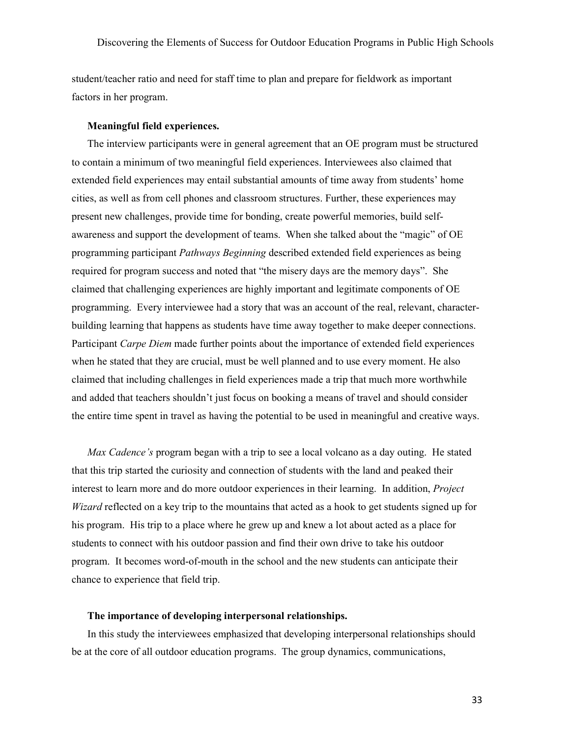student/teacher ratio and need for staff time to plan and prepare for fieldwork as important factors in her program.

#### **Meaningful field experiences.**

The interview participants were in general agreement that an OE program must be structured to contain a minimum of two meaningful field experiences. Interviewees also claimed that extended field experiences may entail substantial amounts of time away from students' home cities, as well as from cell phones and classroom structures. Further, these experiences may present new challenges, provide time for bonding, create powerful memories, build selfawareness and support the development of teams. When she talked about the "magic" of OE programming participant *Pathways Beginning* described extended field experiences as being required for program success and noted that "the misery days are the memory days". She claimed that challenging experiences are highly important and legitimate components of OE programming. Every interviewee had a story that was an account of the real, relevant, characterbuilding learning that happens as students have time away together to make deeper connections. Participant *Carpe Diem* made further points about the importance of extended field experiences when he stated that they are crucial, must be well planned and to use every moment. He also claimed that including challenges in field experiences made a trip that much more worthwhile and added that teachers shouldn't just focus on booking a means of travel and should consider the entire time spent in travel as having the potential to be used in meaningful and creative ways.

*Max Cadence's* program began with a trip to see a local volcano as a day outing. He stated that this trip started the curiosity and connection of students with the land and peaked their interest to learn more and do more outdoor experiences in their learning. In addition, *Project Wizard* reflected on a key trip to the mountains that acted as a hook to get students signed up for his program. His trip to a place where he grew up and knew a lot about acted as a place for students to connect with his outdoor passion and find their own drive to take his outdoor program. It becomes word-of-mouth in the school and the new students can anticipate their chance to experience that field trip.

#### **The importance of developing interpersonal relationships.**

In this study the interviewees emphasized that developing interpersonal relationships should be at the core of all outdoor education programs. The group dynamics, communications,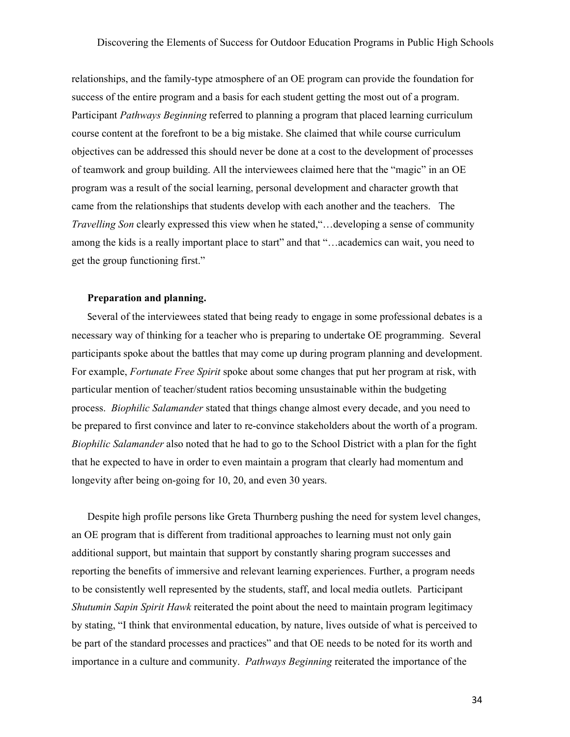relationships, and the family-type atmosphere of an OE program can provide the foundation for success of the entire program and a basis for each student getting the most out of a program. Participant *Pathways Beginning* referred to planning a program that placed learning curriculum course content at the forefront to be a big mistake. She claimed that while course curriculum objectives can be addressed this should never be done at a cost to the development of processes of teamwork and group building. All the interviewees claimed here that the "magic" in an OE program was a result of the social learning, personal development and character growth that came from the relationships that students develop with each another and the teachers. The *Travelling Son* clearly expressed this view when he stated,"…developing a sense of community among the kids is a really important place to start" and that "…academics can wait, you need to get the group functioning first."

#### **Preparation and planning.**

Several of the interviewees stated that being ready to engage in some professional debates is a necessary way of thinking for a teacher who is preparing to undertake OE programming. Several participants spoke about the battles that may come up during program planning and development. For example, *Fortunate Free Spirit* spoke about some changes that put her program at risk, with particular mention of teacher/student ratios becoming unsustainable within the budgeting process. *Biophilic Salamander* stated that things change almost every decade, and you need to be prepared to first convince and later to re-convince stakeholders about the worth of a program. *Biophilic Salamander* also noted that he had to go to the School District with a plan for the fight that he expected to have in order to even maintain a program that clearly had momentum and longevity after being on-going for 10, 20, and even 30 years.

Despite high profile persons like Greta Thurnberg pushing the need for system level changes, an OE program that is different from traditional approaches to learning must not only gain additional support, but maintain that support by constantly sharing program successes and reporting the benefits of immersive and relevant learning experiences. Further, a program needs to be consistently well represented by the students, staff, and local media outlets. Participant *Shutumin Sapin Spirit Hawk* reiterated the point about the need to maintain program legitimacy by stating, "I think that environmental education, by nature, lives outside of what is perceived to be part of the standard processes and practices" and that OE needs to be noted for its worth and importance in a culture and community. *Pathways Beginning* reiterated the importance of the

34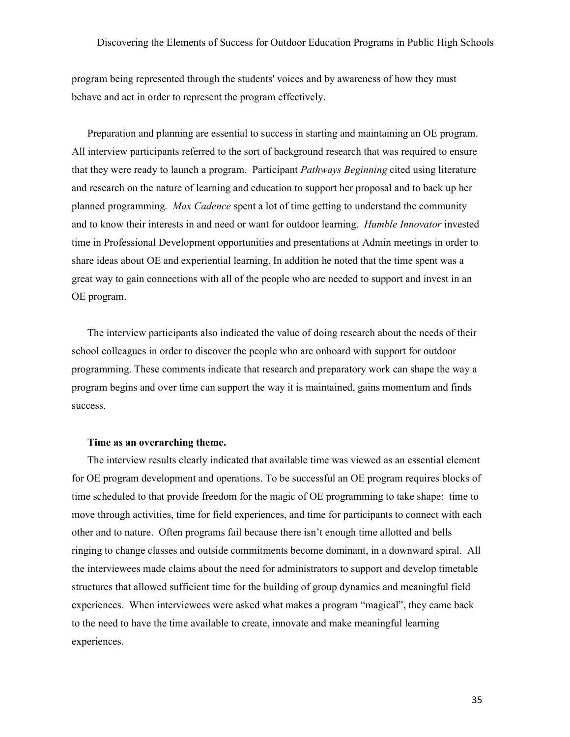program being represented through the students' voices and by awareness of how they must behave and act in order to represent the program effectively.

Preparation and planning are essential to success in starting and maintaining an OE program. All interview participants referred to the sort of background research that was required to ensure that they were ready to launch a program. Participant *Pathways Beginning* cited using literature and research on the nature of learning and education to support her proposal and to back up her planned programming. *Max Cadence* spent a lot of time getting to understand the community and to know their interests in and need or want for outdoor learning. *Humble Innovator* invested time in Professional Development opportunities and presentations at Admin meetings in order to share ideas about OE and experiential learning. In addition he noted that the time spent was a great way to gain connections with all of the people who are needed to support and invest in an OE program.

The interview participants also indicated the value of doing research about the needs of their school colleagues in order to discover the people who are onboard with support for outdoor programming. These comments indicate that research and preparatory work can shape the way a program begins and over time can support the way it is maintained, gains momentum and finds success.

#### **Time as an overarching theme.**

The interview results clearly indicated that available time was viewed as an essential element for OE program development and operations. To be successful an OE program requires blocks of time scheduled to that provide freedom for the magic of OE programming to take shape: time to move through activities, time for field experiences, and time for participants to connect with each other and to nature. Often programs fail because there isn't enough time allotted and bells ringing to change classes and outside commitments become dominant, in a downward spiral. All the interviewees made claims about the need for administrators to support and develop timetable structures that allowed sufficient time for the building of group dynamics and meaningful field experiences. When interviewees were asked what makes a program "magical", they came back to the need to have the time available to create, innovate and make meaningful learning experiences.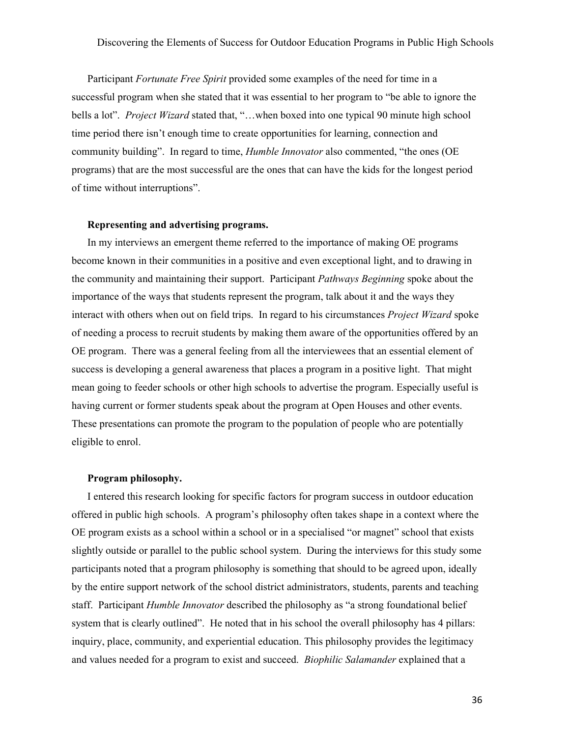Participant *Fortunate Free Spirit* provided some examples of the need for time in a successful program when she stated that it was essential to her program to "be able to ignore the bells a lot". *Project Wizard* stated that, "…when boxed into one typical 90 minute high school time period there isn't enough time to create opportunities for learning, connection and community building". In regard to time, *Humble Innovator* also commented, "the ones (OE programs) that are the most successful are the ones that can have the kids for the longest period of time without interruptions".

#### **Representing and advertising programs.**

In my interviews an emergent theme referred to the importance of making OE programs become known in their communities in a positive and even exceptional light, and to drawing in the community and maintaining their support. Participant *Pathways Beginning* spoke about the importance of the ways that students represent the program, talk about it and the ways they interact with others when out on field trips. In regard to his circumstances *Project Wizard* spoke of needing a process to recruit students by making them aware of the opportunities offered by an OE program. There was a general feeling from all the interviewees that an essential element of success is developing a general awareness that places a program in a positive light. That might mean going to feeder schools or other high schools to advertise the program. Especially useful is having current or former students speak about the program at Open Houses and other events. These presentations can promote the program to the population of people who are potentially eligible to enrol.

#### **Program philosophy.**

I entered this research looking for specific factors for program success in outdoor education offered in public high schools. A program's philosophy often takes shape in a context where the OE program exists as a school within a school or in a specialised "or magnet" school that exists slightly outside or parallel to the public school system. During the interviews for this study some participants noted that a program philosophy is something that should to be agreed upon, ideally by the entire support network of the school district administrators, students, parents and teaching staff. Participant *Humble Innovator* described the philosophy as "a strong foundational belief system that is clearly outlined". He noted that in his school the overall philosophy has 4 pillars: inquiry, place, community, and experiential education. This philosophy provides the legitimacy and values needed for a program to exist and succeed. *Biophilic Salamander* explained that a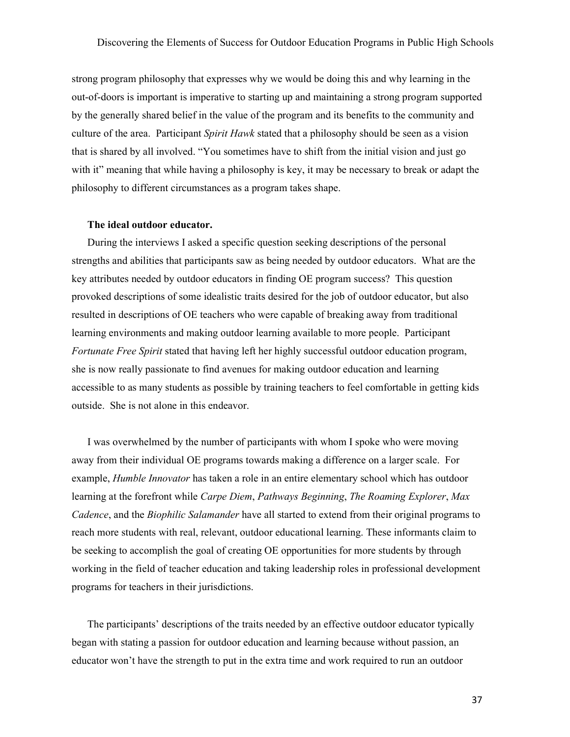strong program philosophy that expresses why we would be doing this and why learning in the out-of-doors is important is imperative to starting up and maintaining a strong program supported by the generally shared belief in the value of the program and its benefits to the community and culture of the area. Participant *Spirit Hawk* stated that a philosophy should be seen as a vision that is shared by all involved. "You sometimes have to shift from the initial vision and just go with it" meaning that while having a philosophy is key, it may be necessary to break or adapt the philosophy to different circumstances as a program takes shape.

## **The ideal outdoor educator.**

During the interviews I asked a specific question seeking descriptions of the personal strengths and abilities that participants saw as being needed by outdoor educators. What are the key attributes needed by outdoor educators in finding OE program success? This question provoked descriptions of some idealistic traits desired for the job of outdoor educator, but also resulted in descriptions of OE teachers who were capable of breaking away from traditional learning environments and making outdoor learning available to more people. Participant *Fortunate Free Spirit* stated that having left her highly successful outdoor education program, she is now really passionate to find avenues for making outdoor education and learning accessible to as many students as possible by training teachers to feel comfortable in getting kids outside. She is not alone in this endeavor.

I was overwhelmed by the number of participants with whom I spoke who were moving away from their individual OE programs towards making a difference on a larger scale. For example, *Humble Innovator* has taken a role in an entire elementary school which has outdoor learning at the forefront while *Carpe Diem*, *Pathways Beginning*, *The Roaming Explorer*, *Max Cadence*, and the *Biophilic Salamander* have all started to extend from their original programs to reach more students with real, relevant, outdoor educational learning. These informants claim to be seeking to accomplish the goal of creating OE opportunities for more students by through working in the field of teacher education and taking leadership roles in professional development programs for teachers in their jurisdictions.

The participants' descriptions of the traits needed by an effective outdoor educator typically began with stating a passion for outdoor education and learning because without passion, an educator won't have the strength to put in the extra time and work required to run an outdoor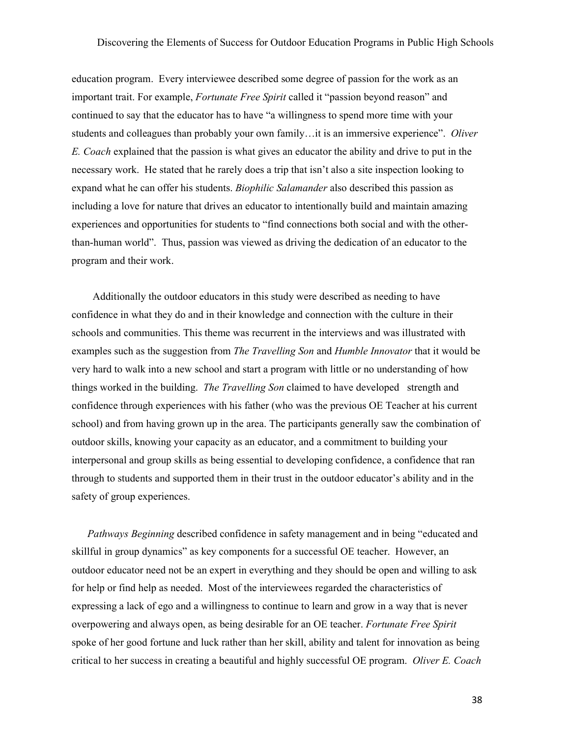education program. Every interviewee described some degree of passion for the work as an important trait. For example, *Fortunate Free Spirit* called it "passion beyond reason" and continued to say that the educator has to have "a willingness to spend more time with your students and colleagues than probably your own family…it is an immersive experience". *Oliver E. Coach* explained that the passion is what gives an educator the ability and drive to put in the necessary work. He stated that he rarely does a trip that isn't also a site inspection looking to expand what he can offer his students. *Biophilic Salamander* also described this passion as including a love for nature that drives an educator to intentionally build and maintain amazing experiences and opportunities for students to "find connections both social and with the otherthan-human world". Thus, passion was viewed as driving the dedication of an educator to the program and their work.

 Additionally the outdoor educators in this study were described as needing to have confidence in what they do and in their knowledge and connection with the culture in their schools and communities. This theme was recurrent in the interviews and was illustrated with examples such as the suggestion from *The Travelling Son* and *Humble Innovator* that it would be very hard to walk into a new school and start a program with little or no understanding of how things worked in the building. *The Travelling Son* claimed to have developed strength and confidence through experiences with his father (who was the previous OE Teacher at his current school) and from having grown up in the area. The participants generally saw the combination of outdoor skills, knowing your capacity as an educator, and a commitment to building your interpersonal and group skills as being essential to developing confidence, a confidence that ran through to students and supported them in their trust in the outdoor educator's ability and in the safety of group experiences.

*Pathways Beginning* described confidence in safety management and in being "educated and skillful in group dynamics" as key components for a successful OE teacher. However, an outdoor educator need not be an expert in everything and they should be open and willing to ask for help or find help as needed. Most of the interviewees regarded the characteristics of expressing a lack of ego and a willingness to continue to learn and grow in a way that is never overpowering and always open, as being desirable for an OE teacher. *Fortunate Free Spirit* spoke of her good fortune and luck rather than her skill, ability and talent for innovation as being critical to her success in creating a beautiful and highly successful OE program. *Oliver E. Coach*

38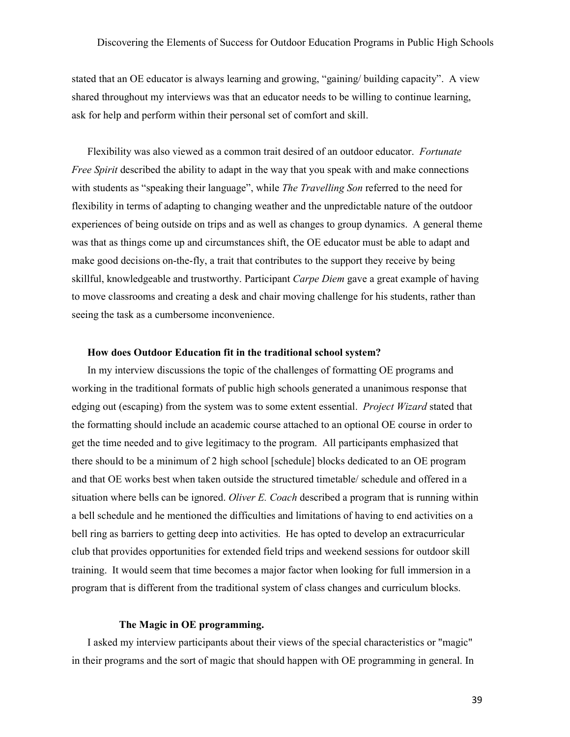stated that an OE educator is always learning and growing, "gaining/ building capacity". A view shared throughout my interviews was that an educator needs to be willing to continue learning, ask for help and perform within their personal set of comfort and skill.

Flexibility was also viewed as a common trait desired of an outdoor educator. *Fortunate Free Spirit* described the ability to adapt in the way that you speak with and make connections with students as "speaking their language", while *The Travelling Son* referred to the need for flexibility in terms of adapting to changing weather and the unpredictable nature of the outdoor experiences of being outside on trips and as well as changes to group dynamics. A general theme was that as things come up and circumstances shift, the OE educator must be able to adapt and make good decisions on-the-fly, a trait that contributes to the support they receive by being skillful, knowledgeable and trustworthy. Participant *Carpe Diem* gave a great example of having to move classrooms and creating a desk and chair moving challenge for his students, rather than seeing the task as a cumbersome inconvenience.

#### **How does Outdoor Education fit in the traditional school system?**

In my interview discussions the topic of the challenges of formatting OE programs and working in the traditional formats of public high schools generated a unanimous response that edging out (escaping) from the system was to some extent essential. *Project Wizard* stated that the formatting should include an academic course attached to an optional OE course in order to get the time needed and to give legitimacy to the program. All participants emphasized that there should to be a minimum of 2 high school [schedule] blocks dedicated to an OE program and that OE works best when taken outside the structured timetable/ schedule and offered in a situation where bells can be ignored. *Oliver E. Coach* described a program that is running within a bell schedule and he mentioned the difficulties and limitations of having to end activities on a bell ring as barriers to getting deep into activities. He has opted to develop an extracurricular club that provides opportunities for extended field trips and weekend sessions for outdoor skill training. It would seem that time becomes a major factor when looking for full immersion in a program that is different from the traditional system of class changes and curriculum blocks.

#### **The Magic in OE programming.**

I asked my interview participants about their views of the special characteristics or "magic" in their programs and the sort of magic that should happen with OE programming in general. In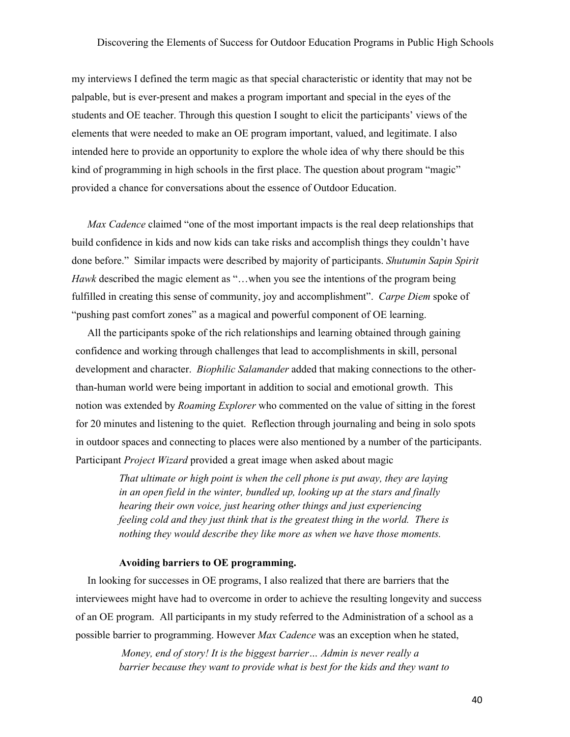my interviews I defined the term magic as that special characteristic or identity that may not be palpable, but is ever-present and makes a program important and special in the eyes of the students and OE teacher. Through this question I sought to elicit the participants' views of the elements that were needed to make an OE program important, valued, and legitimate. I also intended here to provide an opportunity to explore the whole idea of why there should be this kind of programming in high schools in the first place. The question about program "magic" provided a chance for conversations about the essence of Outdoor Education.

*Max Cadence* claimed "one of the most important impacts is the real deep relationships that build confidence in kids and now kids can take risks and accomplish things they couldn't have done before." Similar impacts were described by majority of participants. *Shutumin Sapin Spirit Hawk* described the magic element as "...when you see the intentions of the program being fulfilled in creating this sense of community, joy and accomplishment". *Carpe Diem* spoke of "pushing past comfort zones" as a magical and powerful component of OE learning.

All the participants spoke of the rich relationships and learning obtained through gaining confidence and working through challenges that lead to accomplishments in skill, personal development and character. *Biophilic Salamander* added that making connections to the otherthan-human world were being important in addition to social and emotional growth. This notion was extended by *Roaming Explorer* who commented on the value of sitting in the forest for 20 minutes and listening to the quiet. Reflection through journaling and being in solo spots in outdoor spaces and connecting to places were also mentioned by a number of the participants. Participant *Project Wizard* provided a great image when asked about magic

> *That ultimate or high point is when the cell phone is put away, they are laying in an open field in the winter, bundled up, looking up at the stars and finally hearing their own voice, just hearing other things and just experiencing feeling cold and they just think that is the greatest thing in the world. There is nothing they would describe they like more as when we have those moments.*

#### **Avoiding barriers to OE programming.**

In looking for successes in OE programs, I also realized that there are barriers that the interviewees might have had to overcome in order to achieve the resulting longevity and success of an OE program. All participants in my study referred to the Administration of a school as a possible barrier to programming. However *Max Cadence* was an exception when he stated,

> *Money, end of story! It is the biggest barrier… Admin is never really a barrier because they want to provide what is best for the kids and they want to*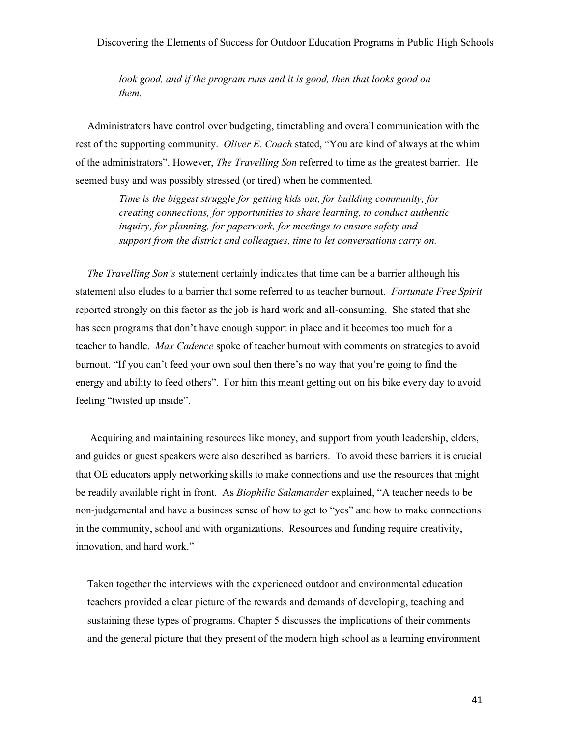*look good, and if the program runs and it is good, then that looks good on them.* 

Administrators have control over budgeting, timetabling and overall communication with the rest of the supporting community. *Oliver E. Coach* stated, "You are kind of always at the whim of the administrators". However, *The Travelling Son* referred to time as the greatest barrier. He seemed busy and was possibly stressed (or tired) when he commented.

> *Time is the biggest struggle for getting kids out, for building community, for creating connections, for opportunities to share learning, to conduct authentic inquiry, for planning, for paperwork, for meetings to ensure safety and support from the district and colleagues, time to let conversations carry on.*

*The Travelling Son's* statement certainly indicates that time can be a barrier although his statement also eludes to a barrier that some referred to as teacher burnout. *Fortunate Free Spirit* reported strongly on this factor as the job is hard work and all-consuming. She stated that she has seen programs that don't have enough support in place and it becomes too much for a teacher to handle. *Max Cadence* spoke of teacher burnout with comments on strategies to avoid burnout. "If you can't feed your own soul then there's no way that you're going to find the energy and ability to feed others". For him this meant getting out on his bike every day to avoid feeling "twisted up inside".

 Acquiring and maintaining resources like money, and support from youth leadership, elders, and guides or guest speakers were also described as barriers. To avoid these barriers it is crucial that OE educators apply networking skills to make connections and use the resources that might be readily available right in front. As *Biophilic Salamander* explained, "A teacher needs to be non-judgemental and have a business sense of how to get to "yes" and how to make connections in the community, school and with organizations. Resources and funding require creativity, innovation, and hard work."

Taken together the interviews with the experienced outdoor and environmental education teachers provided a clear picture of the rewards and demands of developing, teaching and sustaining these types of programs. Chapter 5 discusses the implications of their comments and the general picture that they present of the modern high school as a learning environment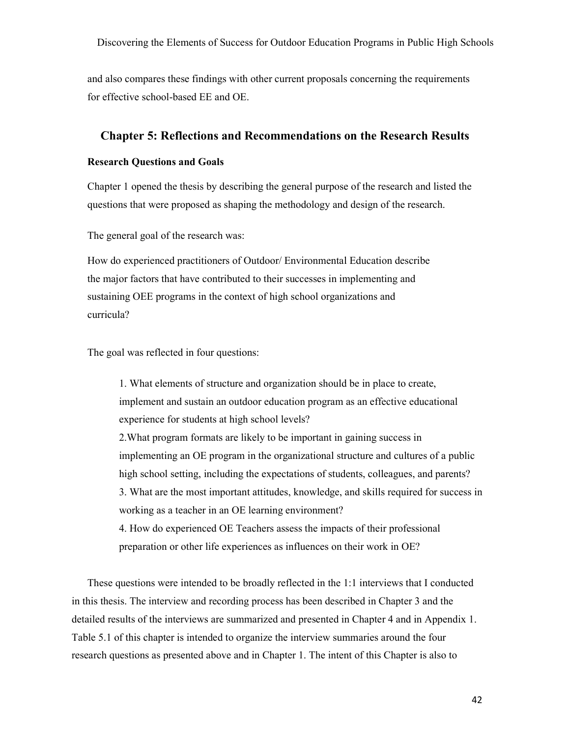and also compares these findings with other current proposals concerning the requirements for effective school-based EE and OE.

## **Chapter 5: Reflections and Recommendations on the Research Results**

## **Research Questions and Goals**

Chapter 1 opened the thesis by describing the general purpose of the research and listed the questions that were proposed as shaping the methodology and design of the research.

The general goal of the research was:

How do experienced practitioners of Outdoor/ Environmental Education describe the major factors that have contributed to their successes in implementing and sustaining OEE programs in the context of high school organizations and curricula?

The goal was reflected in four questions:

1. What elements of structure and organization should be in place to create, implement and sustain an outdoor education program as an effective educational experience for students at high school levels? 2.What program formats are likely to be important in gaining success in implementing an OE program in the organizational structure and cultures of a public high school setting, including the expectations of students, colleagues, and parents? 3. What are the most important attitudes, knowledge, and skills required for success in working as a teacher in an OE learning environment? 4. How do experienced OE Teachers assess the impacts of their professional

preparation or other life experiences as influences on their work in OE?

These questions were intended to be broadly reflected in the 1:1 interviews that I conducted in this thesis. The interview and recording process has been described in Chapter 3 and the detailed results of the interviews are summarized and presented in Chapter 4 and in Appendix 1. Table 5.1 of this chapter is intended to organize the interview summaries around the four research questions as presented above and in Chapter 1. The intent of this Chapter is also to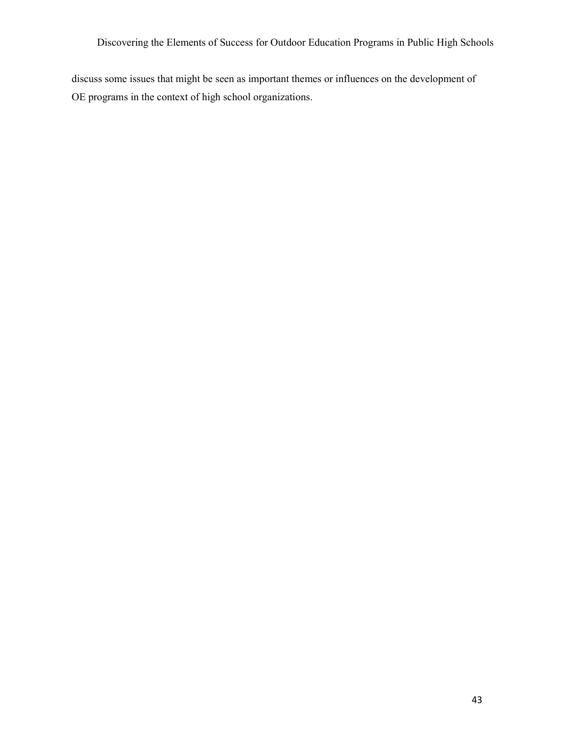discuss some issues that might be seen as important themes or influences on the development of OE programs in the context of high school organizations.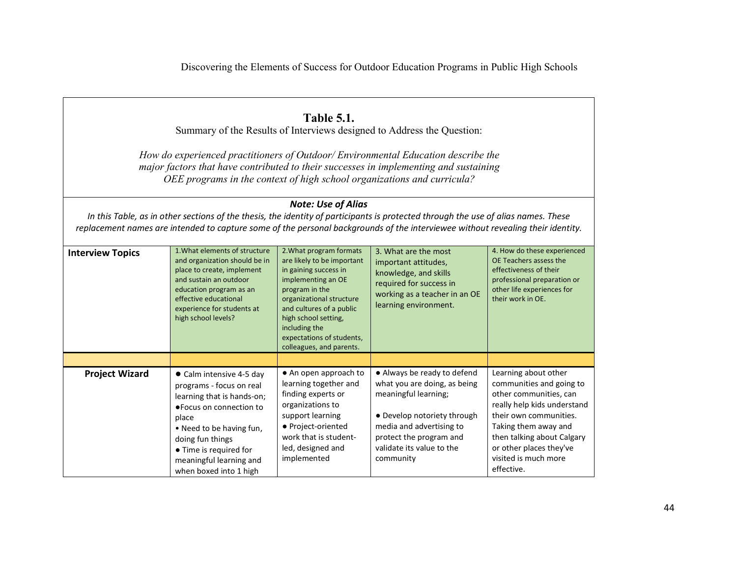#### **Table 5.1.**  Summary of the Results of Interviews designed to Address the Question: *How do experienced practitioners of Outdoor/ Environmental Education describe the major factors that have contributed to their successes in implementing and sustaining OEE programs in the context of high school organizations and curricula?Note: Use of Alias In this Table, as in other sections of the thesis, the identity of participants is protected through the use of alias names. These replacement names are intended to capture some of the personal backgrounds of the interviewee without revealing their identity.* **Interview Topics 1.What elements of structure** and organization should be in place to create, implement and sustain an outdoor education program as an effective educational experience for students at high school levels?2.What program formats are likely to be important in gaining success in implementing an OE program in the organizational structure and cultures of a public high school setting, including the expectations of students, colleagues, and parents.3. What are the most important attitudes, knowledge, and skills required for success in working as a teacher in an OE learning environment. 4. How do these experienced OE Teachers assess the effectiveness of their professional preparation or other life experiences for their work in OE. **Project Wizard** ● Calm intensive 4-5 day programs - focus on real learning that is hands-on; ●Focus on connection to place • Need to be having fun, doing fun things ● Time is required for meaningful learning and when boxed into 1 high ● An open approach to learning together and finding experts or organizations to support learning ● Project-oriented work that is studentled, designed and implemented ● Always be ready to defend what you are doing, as being meaningful learning; ● Develop notoriety through media and advertising to protect the program and validate its value to the community Learning about other communities and going to other communities, can really help kids understand their own communities. Taking them away and then talking about Calgary or other places they've visited is much more effective.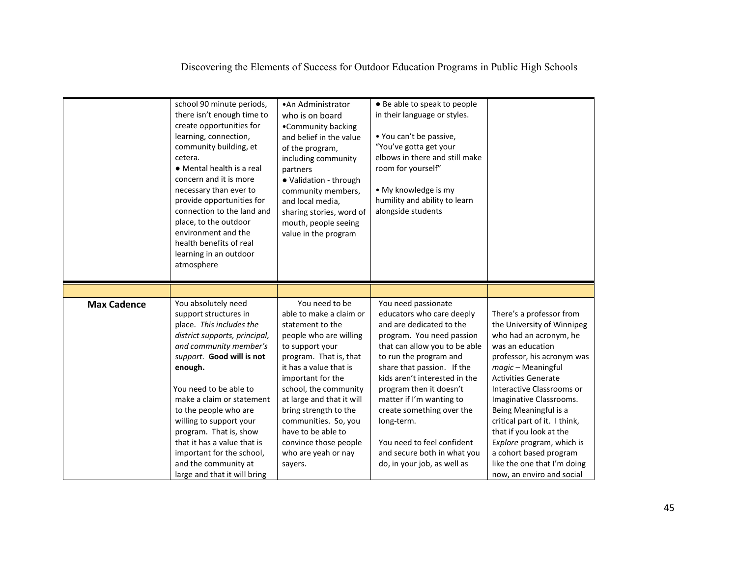|                    | school 90 minute periods,<br>there isn't enough time to                                                                                                                                                                                                                                                                                         | • An Administrator                                                                                                                                                                                                                                                                                                                        | • Be able to speak to people<br>in their language or styles.                                                                                                                                                                                                                                                                                                        |                                                                                                                                                                                                                                                                                                                                                                  |
|--------------------|-------------------------------------------------------------------------------------------------------------------------------------------------------------------------------------------------------------------------------------------------------------------------------------------------------------------------------------------------|-------------------------------------------------------------------------------------------------------------------------------------------------------------------------------------------------------------------------------------------------------------------------------------------------------------------------------------------|---------------------------------------------------------------------------------------------------------------------------------------------------------------------------------------------------------------------------------------------------------------------------------------------------------------------------------------------------------------------|------------------------------------------------------------------------------------------------------------------------------------------------------------------------------------------------------------------------------------------------------------------------------------------------------------------------------------------------------------------|
|                    | create opportunities for                                                                                                                                                                                                                                                                                                                        | who is on board<br>•Community backing                                                                                                                                                                                                                                                                                                     |                                                                                                                                                                                                                                                                                                                                                                     |                                                                                                                                                                                                                                                                                                                                                                  |
|                    | learning, connection,<br>community building, et<br>cetera.<br>• Mental health is a real<br>concern and it is more<br>necessary than ever to<br>provide opportunities for<br>connection to the land and<br>place, to the outdoor<br>environment and the<br>health benefits of real<br>learning in an outdoor<br>atmosphere                       | and belief in the value<br>of the program,<br>including community<br>partners<br>· Validation - through<br>community members,<br>and local media,<br>sharing stories, word of<br>mouth, people seeing<br>value in the program                                                                                                             | • You can't be passive,<br>"You've gotta get your<br>elbows in there and still make<br>room for yourself"<br>• My knowledge is my<br>humility and ability to learn<br>alongside students                                                                                                                                                                            |                                                                                                                                                                                                                                                                                                                                                                  |
|                    |                                                                                                                                                                                                                                                                                                                                                 |                                                                                                                                                                                                                                                                                                                                           |                                                                                                                                                                                                                                                                                                                                                                     |                                                                                                                                                                                                                                                                                                                                                                  |
| <b>Max Cadence</b> | You absolutely need<br>support structures in<br>place. This includes the<br>district supports, principal,<br>and community member's<br>support. Good will is not<br>enough.<br>You need to be able to<br>make a claim or statement<br>to the people who are<br>willing to support your<br>program. That is, show<br>that it has a value that is | You need to be<br>able to make a claim or<br>statement to the<br>people who are willing<br>to support your<br>program. That is, that<br>it has a value that is<br>important for the<br>school, the community<br>at large and that it will<br>bring strength to the<br>communities. So, you<br>have to be able to<br>convince those people | You need passionate<br>educators who care deeply<br>and are dedicated to the<br>program. You need passion<br>that can allow you to be able<br>to run the program and<br>share that passion. If the<br>kids aren't interested in the<br>program then it doesn't<br>matter if I'm wanting to<br>create something over the<br>long-term.<br>You need to feel confident | There's a professor from<br>the University of Winnipeg<br>who had an acronym, he<br>was an education<br>professor, his acronym was<br>magic - Meaningful<br><b>Activities Generate</b><br>Interactive Classrooms or<br>Imaginative Classrooms.<br>Being Meaningful is a<br>critical part of it. I think,<br>that if you look at the<br>Explore program, which is |
|                    | important for the school,<br>and the community at<br>large and that it will bring                                                                                                                                                                                                                                                               | who are yeah or nay<br>sayers.                                                                                                                                                                                                                                                                                                            | and secure both in what you<br>do, in your job, as well as                                                                                                                                                                                                                                                                                                          | a cohort based program<br>like the one that I'm doing<br>now, an enviro and social                                                                                                                                                                                                                                                                               |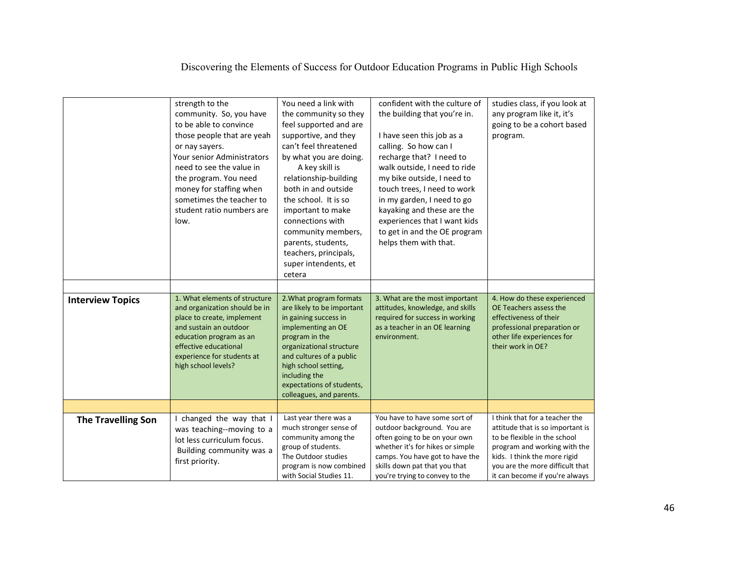|                           | strength to the<br>community. So, you have<br>to be able to convince<br>those people that are yeah<br>or nay sayers.<br>Your senior Administrators<br>need to see the value in<br>the program. You need<br>money for staffing when<br>sometimes the teacher to<br>student ratio numbers are<br>low. | You need a link with<br>the community so they<br>feel supported and are<br>supportive, and they<br>can't feel threatened<br>by what you are doing.<br>A key skill is<br>relationship-building<br>both in and outside<br>the school. It is so<br>important to make<br>connections with<br>community members,<br>parents, students,<br>teachers, principals,<br>super intendents, et<br>cetera | confident with the culture of<br>the building that you're in.<br>I have seen this job as a<br>calling. So how can I<br>recharge that? I need to<br>walk outside, I need to ride<br>my bike outside, I need to<br>touch trees, I need to work<br>in my garden, I need to go<br>kayaking and these are the<br>experiences that I want kids<br>to get in and the OE program<br>helps them with that. | studies class, if you look at<br>any program like it, it's<br>going to be a cohort based<br>program.                                                                                                                                    |
|---------------------------|-----------------------------------------------------------------------------------------------------------------------------------------------------------------------------------------------------------------------------------------------------------------------------------------------------|----------------------------------------------------------------------------------------------------------------------------------------------------------------------------------------------------------------------------------------------------------------------------------------------------------------------------------------------------------------------------------------------|---------------------------------------------------------------------------------------------------------------------------------------------------------------------------------------------------------------------------------------------------------------------------------------------------------------------------------------------------------------------------------------------------|-----------------------------------------------------------------------------------------------------------------------------------------------------------------------------------------------------------------------------------------|
| <b>Interview Topics</b>   | 1. What elements of structure<br>and organization should be in<br>place to create, implement<br>and sustain an outdoor<br>education program as an<br>effective educational<br>experience for students at<br>high school levels?                                                                     | 2. What program formats<br>are likely to be important<br>in gaining success in<br>implementing an OE<br>program in the<br>organizational structure<br>and cultures of a public<br>high school setting,<br>including the<br>expectations of students,<br>colleagues, and parents.                                                                                                             | 3. What are the most important<br>attitudes, knowledge, and skills<br>required for success in working<br>as a teacher in an OE learning<br>environment.                                                                                                                                                                                                                                           | 4. How do these experienced<br>OE Teachers assess the<br>effectiveness of their<br>professional preparation or<br>other life experiences for<br>their work in OE?                                                                       |
|                           |                                                                                                                                                                                                                                                                                                     |                                                                                                                                                                                                                                                                                                                                                                                              |                                                                                                                                                                                                                                                                                                                                                                                                   |                                                                                                                                                                                                                                         |
| <b>The Travelling Son</b> | I changed the way that I<br>was teaching--moving to a<br>lot less curriculum focus.<br>Building community was a<br>first priority.                                                                                                                                                                  | Last year there was a<br>much stronger sense of<br>community among the<br>group of students.<br>The Outdoor studies<br>program is now combined<br>with Social Studies 11.                                                                                                                                                                                                                    | You have to have some sort of<br>outdoor background. You are<br>often going to be on your own<br>whether it's for hikes or simple<br>camps. You have got to have the<br>skills down pat that you that<br>you're trying to convey to the                                                                                                                                                           | I think that for a teacher the<br>attitude that is so important is<br>to be flexible in the school<br>program and working with the<br>kids. I think the more rigid<br>you are the more difficult that<br>it can become if you're always |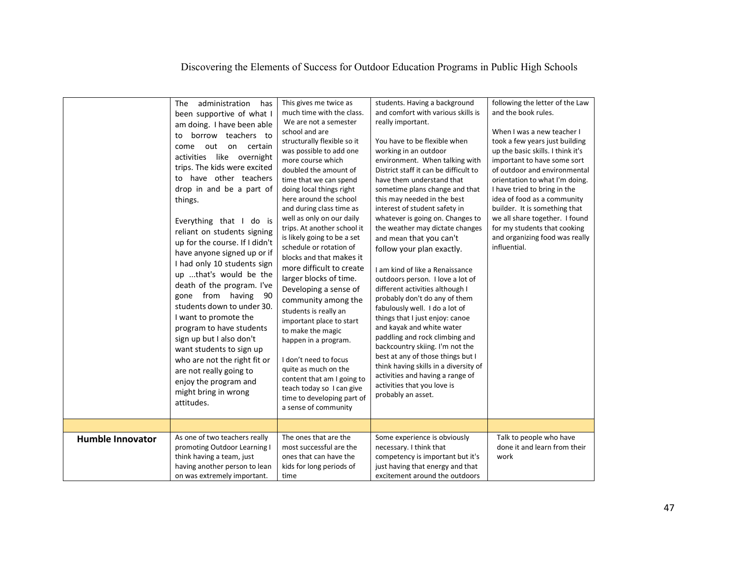|                         | The<br>administration<br>has<br>been supportive of what I<br>am doing. I have been able<br>borrow teachers to<br>to<br>come<br>out<br>on certain<br>activities like overnight<br>trips. The kids were excited<br>to have other teachers<br>drop in and be a part of<br>things.<br>Everything that I do is<br>reliant on students signing<br>up for the course. If I didn't<br>have anyone signed up or if<br>I had only 10 students sign<br>up that's would be the<br>death of the program. I've<br>gone from having<br>- 90<br>students down to under 30.<br>I want to promote the<br>program to have students<br>sign up but I also don't<br>want students to sign up<br>who are not the right fit or<br>are not really going to<br>enjoy the program and<br>might bring in wrong<br>attitudes. | This gives me twice as<br>much time with the class.<br>We are not a semester<br>school and are<br>structurally flexible so it<br>was possible to add one<br>more course which<br>doubled the amount of<br>time that we can spend<br>doing local things right<br>here around the school<br>and during class time as<br>well as only on our daily<br>trips. At another school it<br>is likely going to be a set<br>schedule or rotation of<br>blocks and that makes it<br>more difficult to create<br>larger blocks of time.<br>Developing a sense of<br>community among the<br>students is really an<br>important place to start<br>to make the magic<br>happen in a program.<br>I don't need to focus<br>quite as much on the<br>content that am I going to<br>teach today so I can give<br>time to developing part of<br>a sense of community | students. Having a background<br>and comfort with various skills is<br>really important.<br>You have to be flexible when<br>working in an outdoor<br>environment. When talking with<br>District staff it can be difficult to<br>have them understand that<br>sometime plans change and that<br>this may needed in the best<br>interest of student safety in<br>whatever is going on. Changes to<br>the weather may dictate changes<br>and mean that you can't<br>follow your plan exactly.<br>I am kind of like a Renaissance<br>outdoors person. I love a lot of<br>different activities although I<br>probably don't do any of them<br>fabulously well. I do a lot of<br>things that I just enjoy: canoe<br>and kayak and white water<br>paddling and rock climbing and<br>backcountry skiing. I'm not the<br>best at any of those things but I<br>think having skills in a diversity of<br>activities and having a range of<br>activities that you love is<br>probably an asset. | following the letter of the Law<br>and the book rules.<br>When I was a new teacher I<br>took a few years just building<br>up the basic skills. I think it's<br>important to have some sort<br>of outdoor and environmental<br>orientation to what I'm doing.<br>I have tried to bring in the<br>idea of food as a community<br>builder. It is something that<br>we all share together. I found<br>for my students that cooking<br>and organizing food was really<br>influential. |
|-------------------------|---------------------------------------------------------------------------------------------------------------------------------------------------------------------------------------------------------------------------------------------------------------------------------------------------------------------------------------------------------------------------------------------------------------------------------------------------------------------------------------------------------------------------------------------------------------------------------------------------------------------------------------------------------------------------------------------------------------------------------------------------------------------------------------------------|------------------------------------------------------------------------------------------------------------------------------------------------------------------------------------------------------------------------------------------------------------------------------------------------------------------------------------------------------------------------------------------------------------------------------------------------------------------------------------------------------------------------------------------------------------------------------------------------------------------------------------------------------------------------------------------------------------------------------------------------------------------------------------------------------------------------------------------------|-------------------------------------------------------------------------------------------------------------------------------------------------------------------------------------------------------------------------------------------------------------------------------------------------------------------------------------------------------------------------------------------------------------------------------------------------------------------------------------------------------------------------------------------------------------------------------------------------------------------------------------------------------------------------------------------------------------------------------------------------------------------------------------------------------------------------------------------------------------------------------------------------------------------------------------------------------------------------------------|----------------------------------------------------------------------------------------------------------------------------------------------------------------------------------------------------------------------------------------------------------------------------------------------------------------------------------------------------------------------------------------------------------------------------------------------------------------------------------|
|                         |                                                                                                                                                                                                                                                                                                                                                                                                                                                                                                                                                                                                                                                                                                                                                                                                   |                                                                                                                                                                                                                                                                                                                                                                                                                                                                                                                                                                                                                                                                                                                                                                                                                                                |                                                                                                                                                                                                                                                                                                                                                                                                                                                                                                                                                                                                                                                                                                                                                                                                                                                                                                                                                                                     |                                                                                                                                                                                                                                                                                                                                                                                                                                                                                  |
| <b>Humble Innovator</b> | As one of two teachers really<br>promoting Outdoor Learning I<br>think having a team, just<br>having another person to lean<br>on was extremely important.                                                                                                                                                                                                                                                                                                                                                                                                                                                                                                                                                                                                                                        | The ones that are the<br>most successful are the<br>ones that can have the<br>kids for long periods of<br>time                                                                                                                                                                                                                                                                                                                                                                                                                                                                                                                                                                                                                                                                                                                                 | Some experience is obviously<br>necessary. I think that<br>competency is important but it's<br>just having that energy and that<br>excitement around the outdoors                                                                                                                                                                                                                                                                                                                                                                                                                                                                                                                                                                                                                                                                                                                                                                                                                   | Talk to people who have<br>done it and learn from their<br>work                                                                                                                                                                                                                                                                                                                                                                                                                  |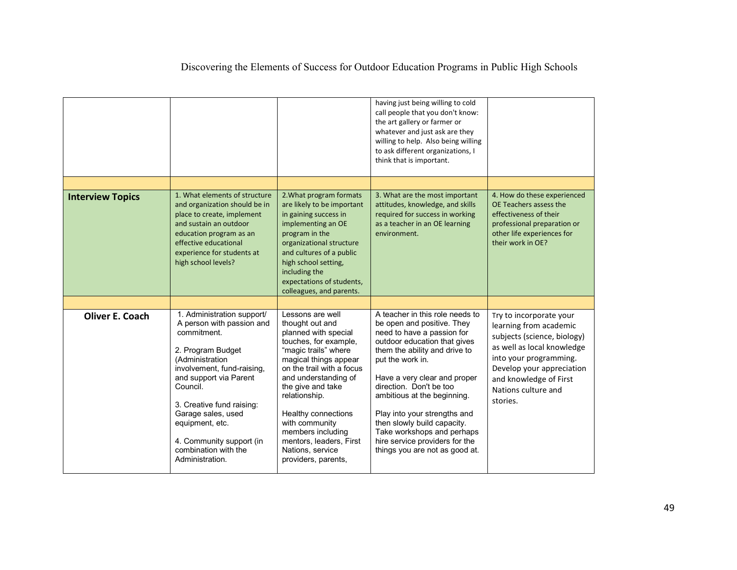| Discovering the Elements of Success for Outdoor Education Programs in Public High Schools |  |  |
|-------------------------------------------------------------------------------------------|--|--|
|                                                                                           |  |  |

|                         |                                                                                                                                                                                                                                                                                                                                 |                                                                                                                                                                                                                                                                                                                                                                      | having just being willing to cold<br>call people that you don't know:<br>the art gallery or farmer or<br>whatever and just ask are they<br>willing to help. Also being willing<br>to ask different organizations, I<br>think that is important.                                                                                                                                                                                             |                                                                                                                                                                                                                                    |
|-------------------------|---------------------------------------------------------------------------------------------------------------------------------------------------------------------------------------------------------------------------------------------------------------------------------------------------------------------------------|----------------------------------------------------------------------------------------------------------------------------------------------------------------------------------------------------------------------------------------------------------------------------------------------------------------------------------------------------------------------|---------------------------------------------------------------------------------------------------------------------------------------------------------------------------------------------------------------------------------------------------------------------------------------------------------------------------------------------------------------------------------------------------------------------------------------------|------------------------------------------------------------------------------------------------------------------------------------------------------------------------------------------------------------------------------------|
|                         |                                                                                                                                                                                                                                                                                                                                 |                                                                                                                                                                                                                                                                                                                                                                      |                                                                                                                                                                                                                                                                                                                                                                                                                                             |                                                                                                                                                                                                                                    |
| <b>Interview Topics</b> | 1. What elements of structure<br>and organization should be in<br>place to create, implement<br>and sustain an outdoor<br>education program as an<br>effective educational<br>experience for students at<br>high school levels?                                                                                                 | 2. What program formats<br>are likely to be important<br>in gaining success in<br>implementing an OE<br>program in the<br>organizational structure<br>and cultures of a public<br>high school setting,<br>including the<br>expectations of students,<br>colleagues, and parents.                                                                                     | 3. What are the most important<br>attitudes, knowledge, and skills<br>required for success in working<br>as a teacher in an OE learning<br>environment.                                                                                                                                                                                                                                                                                     | 4. How do these experienced<br>OE Teachers assess the<br>effectiveness of their<br>professional preparation or<br>other life experiences for<br>their work in OE?                                                                  |
|                         |                                                                                                                                                                                                                                                                                                                                 |                                                                                                                                                                                                                                                                                                                                                                      |                                                                                                                                                                                                                                                                                                                                                                                                                                             |                                                                                                                                                                                                                                    |
| <b>Oliver E. Coach</b>  | 1. Administration support/<br>A person with passion and<br>commitment.<br>2. Program Budget<br>(Administration<br>involvement, fund-raising,<br>and support via Parent<br>Council.<br>3. Creative fund raising:<br>Garage sales, used<br>equipment, etc.<br>4. Community support (in<br>combination with the<br>Administration. | Lessons are well<br>thought out and<br>planned with special<br>touches, for example,<br>"magic trails" where<br>magical things appear<br>on the trail with a focus<br>and understanding of<br>the give and take<br>relationship.<br>Healthy connections<br>with community<br>members including<br>mentors, leaders, First<br>Nations, service<br>providers, parents, | A teacher in this role needs to<br>be open and positive. They<br>need to have a passion for<br>outdoor education that gives<br>them the ability and drive to<br>put the work in.<br>Have a very clear and proper<br>direction. Don't be too<br>ambitious at the beginning.<br>Play into your strengths and<br>then slowly build capacity.<br>Take workshops and perhaps<br>hire service providers for the<br>things you are not as good at. | Try to incorporate your<br>learning from academic<br>subjects (science, biology)<br>as well as local knowledge<br>into your programming.<br>Develop your appreciation<br>and knowledge of First<br>Nations culture and<br>stories. |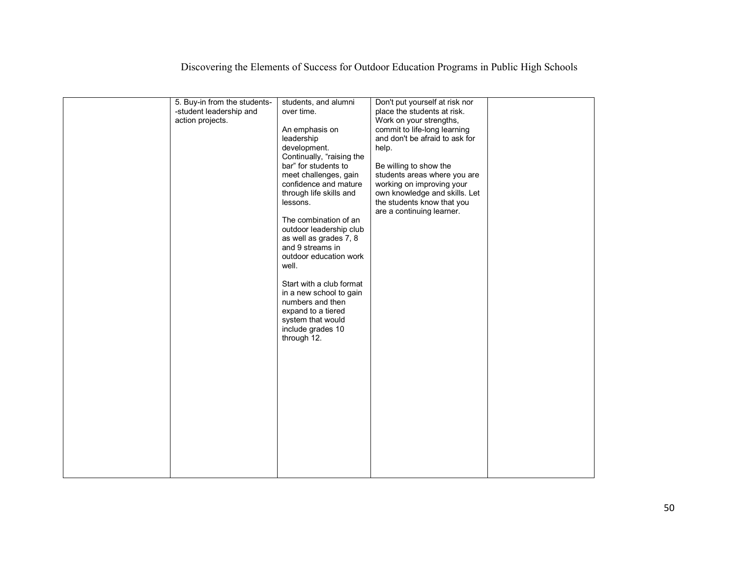| 5. Buy-in from the students-<br>-student leadership and<br>action projects. | students, and alumni<br>over time.<br>An emphasis on<br>leadership<br>development.<br>Continually, "raising the<br>bar" for students to<br>meet challenges, gain<br>confidence and mature<br>through life skills and<br>lessons.<br>The combination of an<br>outdoor leadership club<br>as well as grades 7, 8<br>and 9 streams in<br>outdoor education work<br>well.<br>Start with a club format<br>in a new school to gain<br>numbers and then<br>expand to a tiered<br>system that would<br>include grades 10<br>through 12. | Don't put yourself at risk nor<br>place the students at risk.<br>Work on your strengths,<br>commit to life-long learning<br>and don't be afraid to ask for<br>help.<br>Be willing to show the<br>students areas where you are<br>working on improving your<br>own knowledge and skills. Let<br>the students know that you<br>are a continuing learner. |  |
|-----------------------------------------------------------------------------|---------------------------------------------------------------------------------------------------------------------------------------------------------------------------------------------------------------------------------------------------------------------------------------------------------------------------------------------------------------------------------------------------------------------------------------------------------------------------------------------------------------------------------|--------------------------------------------------------------------------------------------------------------------------------------------------------------------------------------------------------------------------------------------------------------------------------------------------------------------------------------------------------|--|
|                                                                             |                                                                                                                                                                                                                                                                                                                                                                                                                                                                                                                                 |                                                                                                                                                                                                                                                                                                                                                        |  |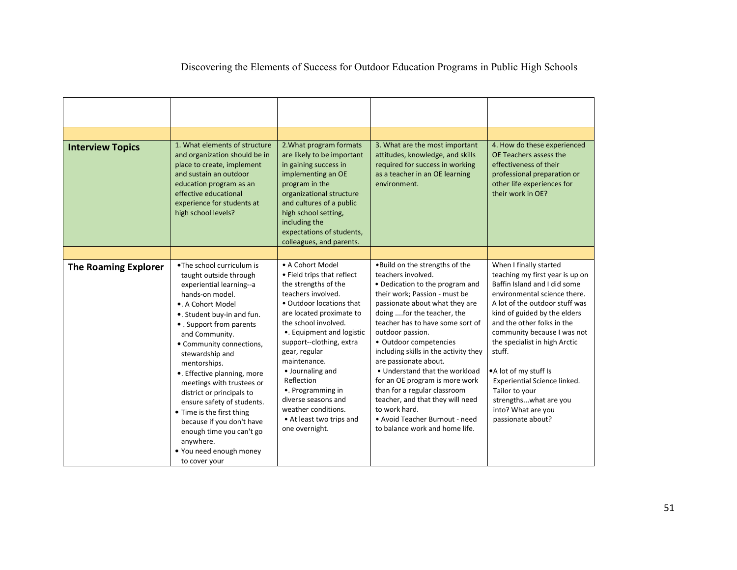| <b>Interview Topics</b>     | 1. What elements of structure<br>and organization should be in<br>place to create, implement<br>and sustain an outdoor<br>education program as an<br>effective educational<br>experience for students at<br>high school levels?                                                                                                                                                                                                                                                             | 2. What program formats<br>are likely to be important<br>in gaining success in<br>implementing an OE<br>program in the<br>organizational structure<br>and cultures of a public<br>high school setting,<br>including the<br>expectations of students,<br>colleagues, and parents.                                                                                                                                          | 3. What are the most important<br>attitudes, knowledge, and skills<br>required for success in working<br>as a teacher in an OE learning<br>environment.                                                                                                                                                                                                                                                                                                                                                                                                                    | 4. How do these experienced<br>OE Teachers assess the<br>effectiveness of their<br>professional preparation or<br>other life experiences for<br>their work in OE?                                                                                                                                                                                                                                                                                  |
|-----------------------------|---------------------------------------------------------------------------------------------------------------------------------------------------------------------------------------------------------------------------------------------------------------------------------------------------------------------------------------------------------------------------------------------------------------------------------------------------------------------------------------------|---------------------------------------------------------------------------------------------------------------------------------------------------------------------------------------------------------------------------------------------------------------------------------------------------------------------------------------------------------------------------------------------------------------------------|----------------------------------------------------------------------------------------------------------------------------------------------------------------------------------------------------------------------------------------------------------------------------------------------------------------------------------------------------------------------------------------------------------------------------------------------------------------------------------------------------------------------------------------------------------------------------|----------------------------------------------------------------------------------------------------------------------------------------------------------------------------------------------------------------------------------------------------------------------------------------------------------------------------------------------------------------------------------------------------------------------------------------------------|
|                             |                                                                                                                                                                                                                                                                                                                                                                                                                                                                                             |                                                                                                                                                                                                                                                                                                                                                                                                                           |                                                                                                                                                                                                                                                                                                                                                                                                                                                                                                                                                                            |                                                                                                                                                                                                                                                                                                                                                                                                                                                    |
| <b>The Roaming Explorer</b> | .The school curriculum is<br>taught outside through<br>experiential learning--a<br>hands-on model.<br>•. A Cohort Model<br>. Student buy-in and fun.<br>• . Support from parents<br>and Community.<br>• Community connections,<br>stewardship and<br>mentorships.<br>•. Effective planning, more<br>meetings with trustees or<br>district or principals to<br>ensure safety of students.<br>• Time is the first thing<br>because if you don't have<br>enough time you can't go<br>anvwhere. | • A Cohort Model<br>• Field trips that reflect<br>the strengths of the<br>teachers involved.<br>• Outdoor locations that<br>are located proximate to<br>the school involved.<br>•. Equipment and logistic<br>support--clothing, extra<br>gear, regular<br>maintenance.<br>• Journaling and<br>Reflection<br>•. Programming in<br>diverse seasons and<br>weather conditions.<br>• At least two trips and<br>one overnight. | . Build on the strengths of the<br>teachers involved.<br>• Dedication to the program and<br>their work; Passion - must be<br>passionate about what they are<br>doing for the teacher, the<br>teacher has to have some sort of<br>outdoor passion.<br>• Outdoor competencies<br>including skills in the activity they<br>are passionate about.<br>• Understand that the workload<br>for an OE program is more work<br>than for a regular classroom<br>teacher, and that they will need<br>to work hard.<br>• Avoid Teacher Burnout - need<br>to balance work and home life. | When I finally started<br>teaching my first year is up on<br>Baffin Island and I did some<br>environmental science there.<br>A lot of the outdoor stuff was<br>kind of guided by the elders<br>and the other folks in the<br>community because I was not<br>the specialist in high Arctic<br>stuff.<br>.A lot of my stuff Is<br>Experiential Science linked.<br>Tailor to your<br>strengthswhat are you<br>into? What are you<br>passionate about? |

• You need enough money

to cover your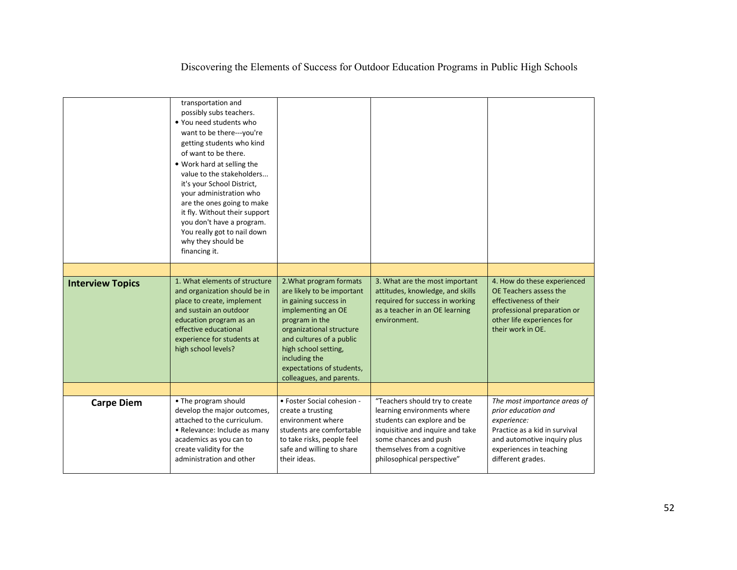|                         | transportation and<br>possibly subs teachers.<br>. You need students who<br>want to be there---you're<br>getting students who kind<br>of want to be there.<br>. Work hard at selling the<br>value to the stakeholders<br>it's your School District,<br>your administration who<br>are the ones going to make<br>it fly. Without their support<br>you don't have a program.<br>You really got to nail down<br>why they should be<br>financing it. |                                                                                                                                                                                                                                                                                  |                                                                                                                                                                                                                        |                                                                                                                                                                                    |
|-------------------------|--------------------------------------------------------------------------------------------------------------------------------------------------------------------------------------------------------------------------------------------------------------------------------------------------------------------------------------------------------------------------------------------------------------------------------------------------|----------------------------------------------------------------------------------------------------------------------------------------------------------------------------------------------------------------------------------------------------------------------------------|------------------------------------------------------------------------------------------------------------------------------------------------------------------------------------------------------------------------|------------------------------------------------------------------------------------------------------------------------------------------------------------------------------------|
|                         |                                                                                                                                                                                                                                                                                                                                                                                                                                                  |                                                                                                                                                                                                                                                                                  |                                                                                                                                                                                                                        |                                                                                                                                                                                    |
| <b>Interview Topics</b> | 1. What elements of structure<br>and organization should be in<br>place to create, implement<br>and sustain an outdoor<br>education program as an<br>effective educational<br>experience for students at<br>high school levels?                                                                                                                                                                                                                  | 2. What program formats<br>are likely to be important<br>in gaining success in<br>implementing an OE<br>program in the<br>organizational structure<br>and cultures of a public<br>high school setting,<br>including the<br>expectations of students,<br>colleagues, and parents. | 3. What are the most important<br>attitudes, knowledge, and skills<br>required for success in working<br>as a teacher in an OE learning<br>environment.                                                                | 4. How do these experienced<br>OE Teachers assess the<br>effectiveness of their<br>professional preparation or<br>other life experiences for<br>their work in OE.                  |
|                         |                                                                                                                                                                                                                                                                                                                                                                                                                                                  |                                                                                                                                                                                                                                                                                  |                                                                                                                                                                                                                        |                                                                                                                                                                                    |
| <b>Carpe Diem</b>       | • The program should<br>develop the major outcomes,<br>attached to the curriculum.<br>• Relevance: Include as many<br>academics as you can to<br>create validity for the<br>administration and other                                                                                                                                                                                                                                             | • Foster Social cohesion -<br>create a trusting<br>environment where<br>students are comfortable<br>to take risks, people feel<br>safe and willing to share<br>their ideas.                                                                                                      | "Teachers should try to create<br>learning environments where<br>students can explore and be<br>inquisitive and inquire and take<br>some chances and push<br>themselves from a cognitive<br>philosophical perspective" | The most importance areas of<br>prior education and<br>experience:<br>Practice as a kid in survival<br>and automotive inquiry plus<br>experiences in teaching<br>different grades. |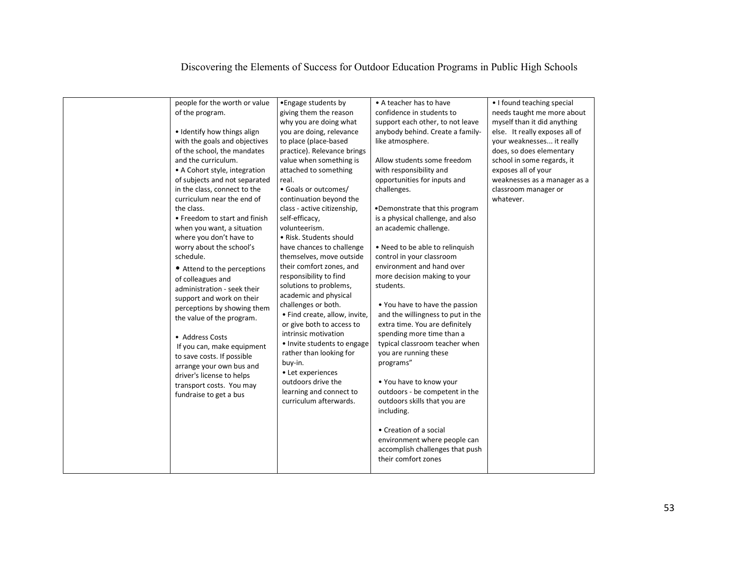| people for the worth or value<br>of the program.<br>• Identify how things align<br>with the goals and objectives<br>of the school, the mandates<br>and the curriculum.<br>• A Cohort style, integration<br>of subjects and not separated<br>in the class, connect to the<br>curriculum near the end of<br>the class.<br>• Freedom to start and finish<br>when you want, a situation<br>where you don't have to<br>worry about the school's<br>schedule.<br>• Attend to the perceptions<br>of colleagues and<br>administration - seek their<br>support and work on their<br>perceptions by showing them<br>the value of the program.<br>• Address Costs<br>If you can, make equipment<br>to save costs. If possible<br>arrange your own bus and<br>driver's license to helps<br>transport costs. You may<br>fundraise to get a bus | • Engage students by<br>giving them the reason<br>why you are doing what<br>you are doing, relevance<br>to place (place-based<br>practice). Relevance brings<br>value when something is<br>attached to something<br>real.<br>· Goals or outcomes/<br>continuation beyond the<br>class - active citizenship,<br>self-efficacy,<br>volunteerism.<br>• Risk. Students should<br>have chances to challenge<br>themselves, move outside<br>their comfort zones, and<br>responsibility to find<br>solutions to problems,<br>academic and physical<br>challenges or both.<br>· Find create, allow, invite,<br>or give both to access to<br>intrinsic motivation<br>• Invite students to engage<br>rather than looking for<br>buy-in.<br>• Let experiences<br>outdoors drive the<br>learning and connect to<br>curriculum afterwards. | • A teacher has to have<br>confidence in students to<br>support each other, to not leave<br>anybody behind. Create a family-<br>like atmosphere.<br>Allow students some freedom<br>with responsibility and<br>opportunities for inputs and<br>challenges.<br>•Demonstrate that this program<br>is a physical challenge, and also<br>an academic challenge.<br>• Need to be able to relinquish<br>control in your classroom<br>environment and hand over<br>more decision making to your<br>students.<br>. You have to have the passion<br>and the willingness to put in the<br>extra time. You are definitely<br>spending more time than a<br>typical classroom teacher when<br>you are running these<br>programs"<br>. You have to know your<br>outdoors - be competent in the<br>outdoors skills that you are<br>including.<br>• Creation of a social<br>environment where people can<br>accomplish challenges that push<br>their comfort zones | • I found teaching special<br>needs taught me more about<br>myself than it did anything<br>else. It really exposes all of<br>your weaknesses it really<br>does, so does elementary<br>school in some regards, it<br>exposes all of your<br>weaknesses as a manager as a<br>classroom manager or<br>whatever. |
|-----------------------------------------------------------------------------------------------------------------------------------------------------------------------------------------------------------------------------------------------------------------------------------------------------------------------------------------------------------------------------------------------------------------------------------------------------------------------------------------------------------------------------------------------------------------------------------------------------------------------------------------------------------------------------------------------------------------------------------------------------------------------------------------------------------------------------------|-------------------------------------------------------------------------------------------------------------------------------------------------------------------------------------------------------------------------------------------------------------------------------------------------------------------------------------------------------------------------------------------------------------------------------------------------------------------------------------------------------------------------------------------------------------------------------------------------------------------------------------------------------------------------------------------------------------------------------------------------------------------------------------------------------------------------------|---------------------------------------------------------------------------------------------------------------------------------------------------------------------------------------------------------------------------------------------------------------------------------------------------------------------------------------------------------------------------------------------------------------------------------------------------------------------------------------------------------------------------------------------------------------------------------------------------------------------------------------------------------------------------------------------------------------------------------------------------------------------------------------------------------------------------------------------------------------------------------------------------------------------------------------------------|--------------------------------------------------------------------------------------------------------------------------------------------------------------------------------------------------------------------------------------------------------------------------------------------------------------|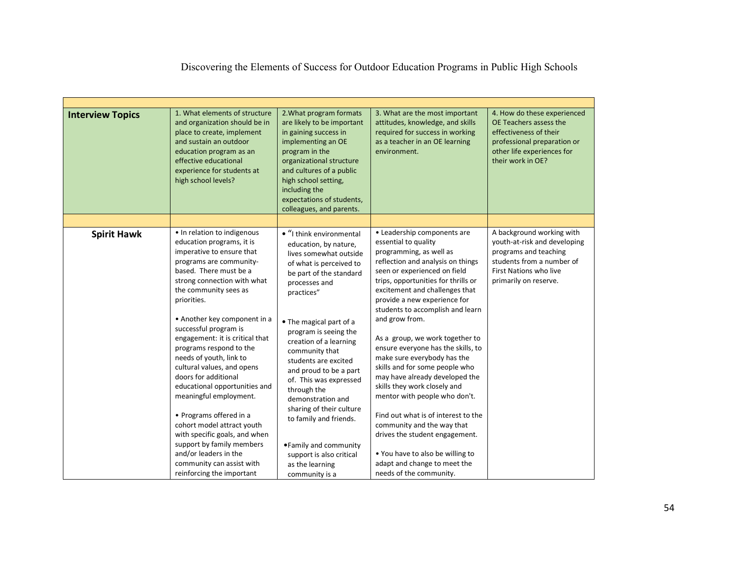| <b>Interview Topics</b> | 1. What elements of structure<br>and organization should be in<br>place to create, implement<br>and sustain an outdoor<br>education program as an<br>effective educational<br>experience for students at<br>high school levels?                                                                                                                                                                                                                                                                                                                                                                                                      | 2. What program formats<br>are likely to be important<br>in gaining success in<br>implementing an OE<br>program in the<br>organizational structure<br>and cultures of a public<br>high school setting,<br>including the<br>expectations of students,<br>colleagues, and parents.                                                                                                                                                                                                             | 3. What are the most important<br>attitudes, knowledge, and skills<br>required for success in working<br>as a teacher in an OE learning<br>environment.                                                                                                                                                                                                                                                                                                                                                                                                                                                                                                                                                    | 4. How do these experienced<br>OE Teachers assess the<br>effectiveness of their<br>professional preparation or<br>other life experiences for<br>their work in OE?  |
|-------------------------|--------------------------------------------------------------------------------------------------------------------------------------------------------------------------------------------------------------------------------------------------------------------------------------------------------------------------------------------------------------------------------------------------------------------------------------------------------------------------------------------------------------------------------------------------------------------------------------------------------------------------------------|----------------------------------------------------------------------------------------------------------------------------------------------------------------------------------------------------------------------------------------------------------------------------------------------------------------------------------------------------------------------------------------------------------------------------------------------------------------------------------------------|------------------------------------------------------------------------------------------------------------------------------------------------------------------------------------------------------------------------------------------------------------------------------------------------------------------------------------------------------------------------------------------------------------------------------------------------------------------------------------------------------------------------------------------------------------------------------------------------------------------------------------------------------------------------------------------------------------|--------------------------------------------------------------------------------------------------------------------------------------------------------------------|
|                         |                                                                                                                                                                                                                                                                                                                                                                                                                                                                                                                                                                                                                                      |                                                                                                                                                                                                                                                                                                                                                                                                                                                                                              |                                                                                                                                                                                                                                                                                                                                                                                                                                                                                                                                                                                                                                                                                                            |                                                                                                                                                                    |
| <b>Spirit Hawk</b>      | • In relation to indigenous<br>education programs, it is<br>imperative to ensure that<br>programs are community-<br>based. There must be a<br>strong connection with what<br>the community sees as<br>priorities.<br>• Another key component in a<br>successful program is<br>engagement: it is critical that<br>programs respond to the<br>needs of youth, link to<br>cultural values, and opens<br>doors for additional<br>educational opportunities and<br>meaningful employment.<br>• Programs offered in a<br>cohort model attract youth<br>with specific goals, and when<br>support by family members<br>and/or leaders in the | · "I think environmental<br>education, by nature,<br>lives somewhat outside<br>of what is perceived to<br>be part of the standard<br>processes and<br>practices"<br>• The magical part of a<br>program is seeing the<br>creation of a learning<br>community that<br>students are excited<br>and proud to be a part<br>of. This was expressed<br>through the<br>demonstration and<br>sharing of their culture<br>to family and friends.<br>. Family and community<br>support is also critical | • Leadership components are<br>essential to quality<br>programming, as well as<br>reflection and analysis on things<br>seen or experienced on field<br>trips, opportunities for thrills or<br>excitement and challenges that<br>provide a new experience for<br>students to accomplish and learn<br>and grow from.<br>As a group, we work together to<br>ensure everyone has the skills, to<br>make sure everybody has the<br>skills and for some people who<br>may have already developed the<br>skills they work closely and<br>mentor with people who don't.<br>Find out what is of interest to the<br>community and the way that<br>drives the student engagement.<br>. You have to also be willing to | A background working with<br>youth-at-risk and developing<br>programs and teaching<br>students from a number of<br>First Nations who live<br>primarily on reserve. |
|                         | community can assist with                                                                                                                                                                                                                                                                                                                                                                                                                                                                                                                                                                                                            | as the learning                                                                                                                                                                                                                                                                                                                                                                                                                                                                              | adapt and change to meet the                                                                                                                                                                                                                                                                                                                                                                                                                                                                                                                                                                                                                                                                               |                                                                                                                                                                    |
|                         | reinforcing the important                                                                                                                                                                                                                                                                                                                                                                                                                                                                                                                                                                                                            | community is a                                                                                                                                                                                                                                                                                                                                                                                                                                                                               | needs of the community.                                                                                                                                                                                                                                                                                                                                                                                                                                                                                                                                                                                                                                                                                    |                                                                                                                                                                    |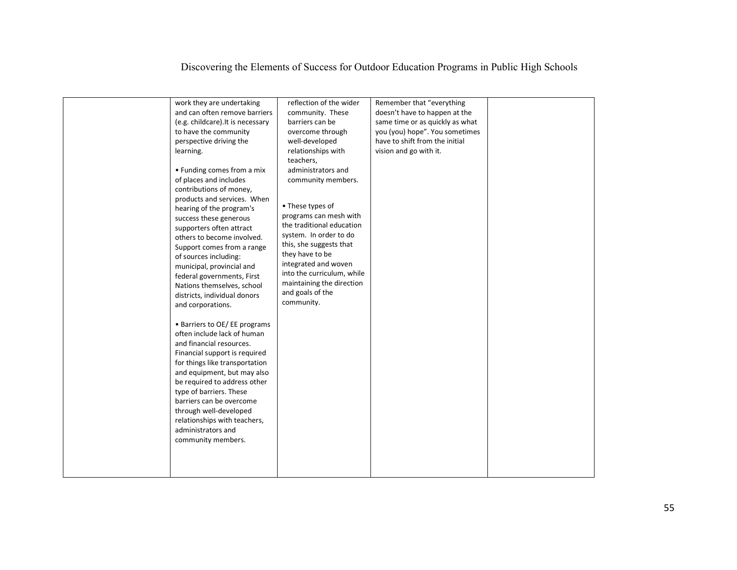| work they are undertaking<br>and can often remove barriers<br>(e.g. childcare). It is necessary<br>to have the community<br>perspective driving the<br>learning.<br>• Funding comes from a mix<br>of places and includes<br>contributions of money,<br>products and services. When<br>hearing of the program's<br>success these generous<br>supporters often attract<br>others to become involved.<br>Support comes from a range<br>of sources including:<br>municipal, provincial and<br>federal governments, First<br>Nations themselves, school<br>districts, individual donors<br>and corporations. | reflection of the wider<br>community. These<br>barriers can be<br>overcome through<br>well-developed<br>relationships with<br>teachers,<br>administrators and<br>community members.<br>• These types of<br>programs can mesh with<br>the traditional education<br>system. In order to do<br>this, she suggests that<br>they have to be<br>integrated and woven<br>into the curriculum, while<br>maintaining the direction<br>and goals of the<br>community. | Remember that "everything<br>doesn't have to happen at the<br>same time or as quickly as what<br>you (you) hope". You sometimes<br>have to shift from the initial<br>vision and go with it. |  |
|---------------------------------------------------------------------------------------------------------------------------------------------------------------------------------------------------------------------------------------------------------------------------------------------------------------------------------------------------------------------------------------------------------------------------------------------------------------------------------------------------------------------------------------------------------------------------------------------------------|-------------------------------------------------------------------------------------------------------------------------------------------------------------------------------------------------------------------------------------------------------------------------------------------------------------------------------------------------------------------------------------------------------------------------------------------------------------|---------------------------------------------------------------------------------------------------------------------------------------------------------------------------------------------|--|
| • Barriers to OE/ EE programs<br>often include lack of human<br>and financial resources.<br>Financial support is required<br>for things like transportation<br>and equipment, but may also<br>be required to address other<br>type of barriers. These<br>barriers can be overcome<br>through well-developed<br>relationships with teachers,<br>administrators and<br>community members.                                                                                                                                                                                                                 |                                                                                                                                                                                                                                                                                                                                                                                                                                                             |                                                                                                                                                                                             |  |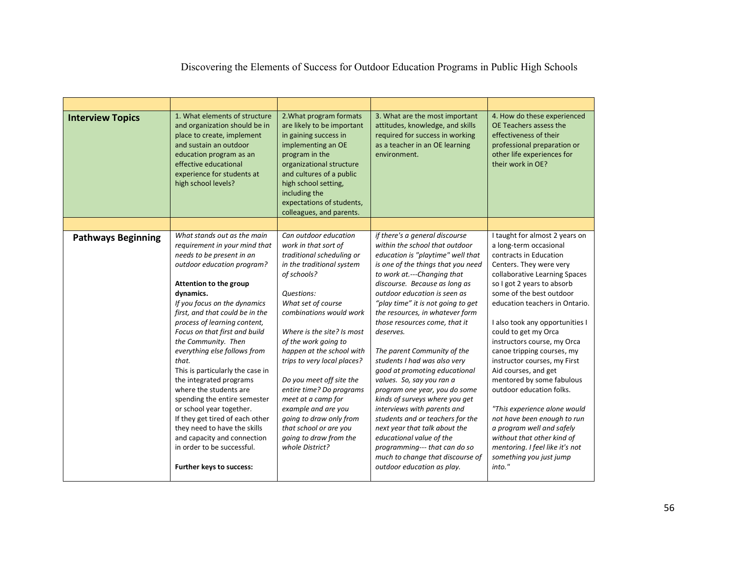| Discovering the Elements of Success for Outdoor Education Programs in Public High Schools |  |  |  |
|-------------------------------------------------------------------------------------------|--|--|--|
|                                                                                           |  |  |  |

| <b>Interview Topics</b>   | 1. What elements of structure<br>and organization should be in<br>place to create, implement<br>and sustain an outdoor<br>education program as an<br>effective educational<br>experience for students at<br>high school levels?                                                                                                                                                                                                                                                                                                                                                                                                                                                     | 2. What program formats<br>are likely to be important<br>in gaining success in<br>implementing an OE<br>program in the<br>organizational structure<br>and cultures of a public<br>high school setting,<br>including the<br>expectations of students,<br>colleagues, and parents.                                                                                                                                                                                                                               | 3. What are the most important<br>attitudes, knowledge, and skills<br>required for success in working<br>as a teacher in an OE learning<br>environment.                                                                                                                                                                                                                                                                                                                                                                                                                                                                                                                                                                                                                                                 | 4. How do these experienced<br>OE Teachers assess the<br>effectiveness of their<br>professional preparation or<br>other life experiences for<br>their work in OE?                                                                                                                                                                                                                                                                                                                                                                                                                                                                                                                     |
|---------------------------|-------------------------------------------------------------------------------------------------------------------------------------------------------------------------------------------------------------------------------------------------------------------------------------------------------------------------------------------------------------------------------------------------------------------------------------------------------------------------------------------------------------------------------------------------------------------------------------------------------------------------------------------------------------------------------------|----------------------------------------------------------------------------------------------------------------------------------------------------------------------------------------------------------------------------------------------------------------------------------------------------------------------------------------------------------------------------------------------------------------------------------------------------------------------------------------------------------------|---------------------------------------------------------------------------------------------------------------------------------------------------------------------------------------------------------------------------------------------------------------------------------------------------------------------------------------------------------------------------------------------------------------------------------------------------------------------------------------------------------------------------------------------------------------------------------------------------------------------------------------------------------------------------------------------------------------------------------------------------------------------------------------------------------|---------------------------------------------------------------------------------------------------------------------------------------------------------------------------------------------------------------------------------------------------------------------------------------------------------------------------------------------------------------------------------------------------------------------------------------------------------------------------------------------------------------------------------------------------------------------------------------------------------------------------------------------------------------------------------------|
|                           |                                                                                                                                                                                                                                                                                                                                                                                                                                                                                                                                                                                                                                                                                     |                                                                                                                                                                                                                                                                                                                                                                                                                                                                                                                |                                                                                                                                                                                                                                                                                                                                                                                                                                                                                                                                                                                                                                                                                                                                                                                                         |                                                                                                                                                                                                                                                                                                                                                                                                                                                                                                                                                                                                                                                                                       |
| <b>Pathways Beginning</b> | What stands out as the main<br>requirement in your mind that<br>needs to be present in an<br>outdoor education program?<br>Attention to the group<br>dynamics.<br>If you focus on the dynamics<br>first, and that could be in the<br>process of learning content,<br>Focus on that first and build<br>the Community. Then<br>everything else follows from<br>that.<br>This is particularly the case in<br>the integrated programs<br>where the students are<br>spending the entire semester<br>or school year together.<br>If they get tired of each other<br>they need to have the skills<br>and capacity and connection<br>in order to be successful.<br>Further keys to success: | Can outdoor education<br>work in that sort of<br>traditional scheduling or<br>in the traditional system<br>of schools?<br>Questions:<br>What set of course<br>combinations would work<br>Where is the site? Is most<br>of the work going to<br>happen at the school with<br>trips to very local places?<br>Do you meet off site the<br>entire time? Do programs<br>meet at a camp for<br>example and are you<br>going to draw only from<br>that school or are you<br>going to draw from the<br>whole District? | if there's a general discourse<br>within the school that outdoor<br>education is "playtime" well that<br>is one of the things that you need<br>to work at .--- Changing that<br>discourse. Because as long as<br>outdoor education is seen as<br>"play time" it is not going to get<br>the resources, in whatever form<br>those resources come, that it<br>deserves.<br>The parent Community of the<br>students I had was also very<br>good at promoting educational<br>values. So, say you ran a<br>program one year, you do some<br>kinds of surveys where you get<br>interviews with parents and<br>students and or teachers for the<br>next year that talk about the<br>educational value of the<br>programming--- that can do so<br>much to change that discourse of<br>outdoor education as play. | I taught for almost 2 years on<br>a long-term occasional<br>contracts in Education<br>Centers. They were very<br>collaborative Learning Spaces<br>so I got 2 years to absorb<br>some of the best outdoor<br>education teachers in Ontario.<br>I also took any opportunities I<br>could to get my Orca<br>instructors course, my Orca<br>canoe tripping courses, my<br>instructor courses, my First<br>Aid courses, and get<br>mentored by some fabulous<br>outdoor education folks.<br>"This experience alone would<br>not have been enough to run<br>a program well and safely<br>without that other kind of<br>mentoring. I feel like it's not<br>something you just jump<br>into." |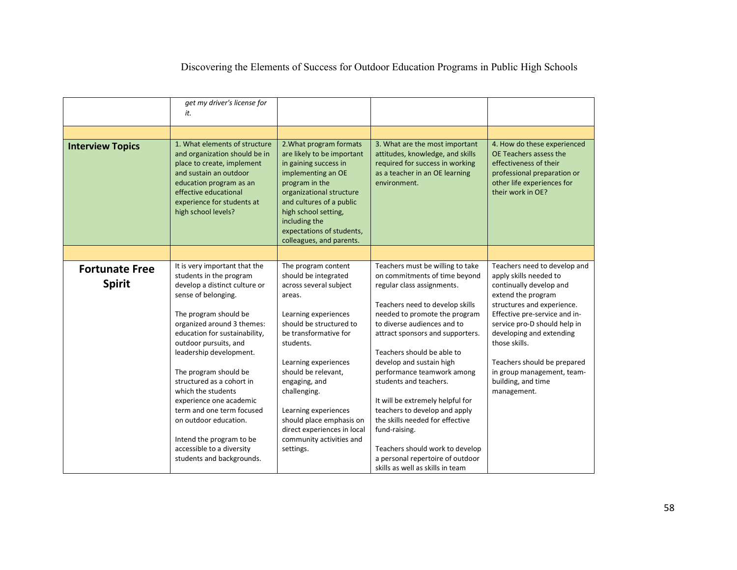|                         | get my driver's license for                                                                                                                                                                                                     |                                                                                                                                                                                                                                                                                  |                                                                                                                                                         |                                                                                                                                                                   |
|-------------------------|---------------------------------------------------------------------------------------------------------------------------------------------------------------------------------------------------------------------------------|----------------------------------------------------------------------------------------------------------------------------------------------------------------------------------------------------------------------------------------------------------------------------------|---------------------------------------------------------------------------------------------------------------------------------------------------------|-------------------------------------------------------------------------------------------------------------------------------------------------------------------|
|                         | it.                                                                                                                                                                                                                             |                                                                                                                                                                                                                                                                                  |                                                                                                                                                         |                                                                                                                                                                   |
|                         |                                                                                                                                                                                                                                 |                                                                                                                                                                                                                                                                                  |                                                                                                                                                         |                                                                                                                                                                   |
|                         |                                                                                                                                                                                                                                 |                                                                                                                                                                                                                                                                                  |                                                                                                                                                         |                                                                                                                                                                   |
| <b>Interview Topics</b> | 1. What elements of structure<br>and organization should be in<br>place to create, implement<br>and sustain an outdoor<br>education program as an<br>effective educational<br>experience for students at<br>high school levels? | 2. What program formats<br>are likely to be important<br>in gaining success in<br>implementing an OE<br>program in the<br>organizational structure<br>and cultures of a public<br>high school setting,<br>including the<br>expectations of students,<br>colleagues, and parents. | 3. What are the most important<br>attitudes, knowledge, and skills<br>required for success in working<br>as a teacher in an OE learning<br>environment. | 4. How do these experienced<br>OE Teachers assess the<br>effectiveness of their<br>professional preparation or<br>other life experiences for<br>their work in OE? |
|                         |                                                                                                                                                                                                                                 |                                                                                                                                                                                                                                                                                  |                                                                                                                                                         |                                                                                                                                                                   |
| <b>Fortunate Free</b>   | It is very important that the                                                                                                                                                                                                   | The program content                                                                                                                                                                                                                                                              | Teachers must be willing to take                                                                                                                        | Teachers need to develop and                                                                                                                                      |
| <b>Spirit</b>           | students in the program<br>develop a distinct culture or                                                                                                                                                                        | should be integrated<br>across several subject                                                                                                                                                                                                                                   | on commitments of time beyond<br>regular class assignments.                                                                                             | apply skills needed to<br>continually develop and                                                                                                                 |
|                         | sense of belonging.                                                                                                                                                                                                             | areas.                                                                                                                                                                                                                                                                           |                                                                                                                                                         | extend the program                                                                                                                                                |
|                         |                                                                                                                                                                                                                                 |                                                                                                                                                                                                                                                                                  | Teachers need to develop skills                                                                                                                         | structures and experience.                                                                                                                                        |
|                         | The program should be                                                                                                                                                                                                           | Learning experiences                                                                                                                                                                                                                                                             | needed to promote the program                                                                                                                           | Effective pre-service and in-                                                                                                                                     |
|                         | organized around 3 themes:                                                                                                                                                                                                      | should be structured to                                                                                                                                                                                                                                                          | to diverse audiences and to                                                                                                                             | service pro-D should help in                                                                                                                                      |
|                         | education for sustainability,                                                                                                                                                                                                   | be transformative for                                                                                                                                                                                                                                                            | attract sponsors and supporters.                                                                                                                        | developing and extending                                                                                                                                          |
|                         | outdoor pursuits, and                                                                                                                                                                                                           | students.                                                                                                                                                                                                                                                                        |                                                                                                                                                         | those skills.                                                                                                                                                     |
|                         | leadership development.                                                                                                                                                                                                         |                                                                                                                                                                                                                                                                                  | Teachers should be able to                                                                                                                              |                                                                                                                                                                   |
|                         |                                                                                                                                                                                                                                 | Learning experiences                                                                                                                                                                                                                                                             | develop and sustain high                                                                                                                                | Teachers should be prepared                                                                                                                                       |
|                         | The program should be                                                                                                                                                                                                           | should be relevant,                                                                                                                                                                                                                                                              | performance teamwork among                                                                                                                              | in group management, team-                                                                                                                                        |
|                         | structured as a cohort in                                                                                                                                                                                                       | engaging, and                                                                                                                                                                                                                                                                    | students and teachers.                                                                                                                                  | building, and time                                                                                                                                                |
|                         | which the students                                                                                                                                                                                                              | challenging.                                                                                                                                                                                                                                                                     |                                                                                                                                                         | management.                                                                                                                                                       |
|                         | experience one academic                                                                                                                                                                                                         |                                                                                                                                                                                                                                                                                  | It will be extremely helpful for                                                                                                                        |                                                                                                                                                                   |
|                         | term and one term focused                                                                                                                                                                                                       | Learning experiences                                                                                                                                                                                                                                                             | teachers to develop and apply                                                                                                                           |                                                                                                                                                                   |
|                         | on outdoor education.                                                                                                                                                                                                           | should place emphasis on                                                                                                                                                                                                                                                         | the skills needed for effective                                                                                                                         |                                                                                                                                                                   |
|                         |                                                                                                                                                                                                                                 | direct experiences in local                                                                                                                                                                                                                                                      | fund-raising.                                                                                                                                           |                                                                                                                                                                   |
|                         | Intend the program to be                                                                                                                                                                                                        | community activities and                                                                                                                                                                                                                                                         |                                                                                                                                                         |                                                                                                                                                                   |
|                         | accessible to a diversity                                                                                                                                                                                                       | settings.                                                                                                                                                                                                                                                                        | Teachers should work to develop                                                                                                                         |                                                                                                                                                                   |
|                         | students and backgrounds.                                                                                                                                                                                                       |                                                                                                                                                                                                                                                                                  | a personal repertoire of outdoor                                                                                                                        |                                                                                                                                                                   |
|                         |                                                                                                                                                                                                                                 |                                                                                                                                                                                                                                                                                  | skills as well as skills in team                                                                                                                        |                                                                                                                                                                   |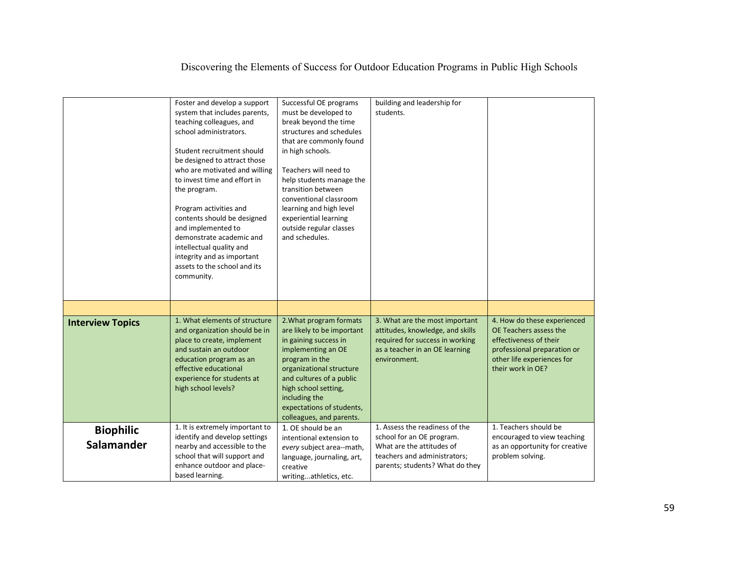|                                | Foster and develop a support<br>system that includes parents,<br>teaching colleagues, and<br>school administrators.<br>Student recruitment should<br>be designed to attract those<br>who are motivated and willing<br>to invest time and effort in<br>the program.<br>Program activities and<br>contents should be designed<br>and implemented to<br>demonstrate academic and<br>intellectual quality and<br>integrity and as important<br>assets to the school and its<br>community. | Successful OE programs<br>must be developed to<br>break beyond the time<br>structures and schedules<br>that are commonly found<br>in high schools.<br>Teachers will need to<br>help students manage the<br>transition between<br>conventional classroom<br>learning and high level<br>experiential learning<br>outside regular classes<br>and schedules. | building and leadership for<br>students.                                                                                                                    |                                                                                                                                                                   |
|--------------------------------|---------------------------------------------------------------------------------------------------------------------------------------------------------------------------------------------------------------------------------------------------------------------------------------------------------------------------------------------------------------------------------------------------------------------------------------------------------------------------------------|----------------------------------------------------------------------------------------------------------------------------------------------------------------------------------------------------------------------------------------------------------------------------------------------------------------------------------------------------------|-------------------------------------------------------------------------------------------------------------------------------------------------------------|-------------------------------------------------------------------------------------------------------------------------------------------------------------------|
|                                |                                                                                                                                                                                                                                                                                                                                                                                                                                                                                       |                                                                                                                                                                                                                                                                                                                                                          |                                                                                                                                                             |                                                                                                                                                                   |
| <b>Interview Topics</b>        | 1. What elements of structure<br>and organization should be in<br>place to create, implement<br>and sustain an outdoor<br>education program as an<br>effective educational<br>experience for students at<br>high school levels?                                                                                                                                                                                                                                                       | 2. What program formats<br>are likely to be important<br>in gaining success in<br>implementing an OE<br>program in the<br>organizational structure<br>and cultures of a public<br>high school setting,<br>including the<br>expectations of students,<br>colleagues, and parents.                                                                         | 3. What are the most important<br>attitudes, knowledge, and skills<br>required for success in working<br>as a teacher in an OE learning<br>environment.     | 4. How do these experienced<br>OE Teachers assess the<br>effectiveness of their<br>professional preparation or<br>other life experiences for<br>their work in OE? |
| <b>Biophilic</b><br>Salamander | 1. It is extremely important to<br>identify and develop settings<br>nearby and accessible to the<br>school that will support and<br>enhance outdoor and place-<br>based learning.                                                                                                                                                                                                                                                                                                     | 1. OE should be an<br>intentional extension to<br>every subject area--math,<br>language, journaling, art,<br>creative<br>writingathletics, etc.                                                                                                                                                                                                          | 1. Assess the readiness of the<br>school for an OE program.<br>What are the attitudes of<br>teachers and administrators;<br>parents; students? What do they | 1. Teachers should be<br>encouraged to view teaching<br>as an opportunity for creative<br>problem solving.                                                        |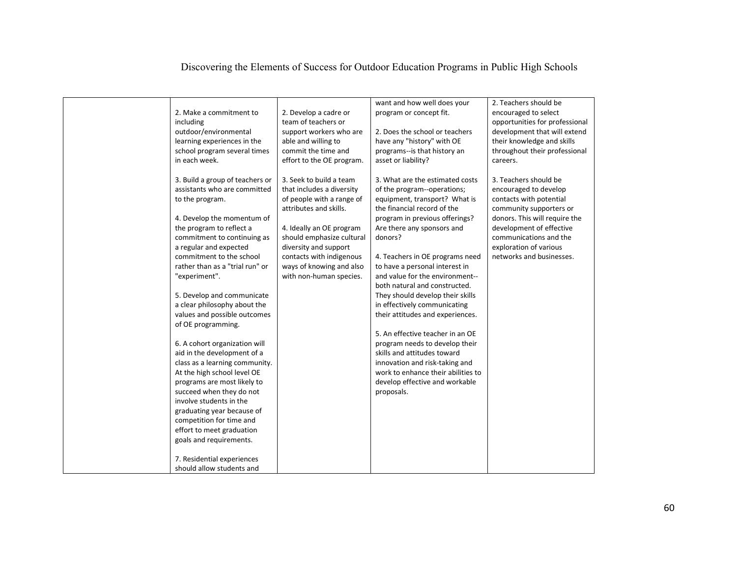| 2. Make a commitment to<br>including<br>outdoor/environmental<br>learning experiences in the<br>school program several times<br>in each week.                                                                                                                                                                                                                                                                                                                                                                                                                                                                                                                                                                                                                                                                 | 2. Develop a cadre or<br>team of teachers or<br>support workers who are<br>able and willing to<br>commit the time and<br>effort to the OE program.                                                                                                                               | want and how well does your<br>program or concept fit.<br>2. Does the school or teachers<br>have any "history" with OE<br>programs--is that history an<br>asset or liability?                                                                                                                                                                                                                                                                                                                                                                                                                                                                                                           | 2. Teachers should be<br>encouraged to select<br>opportunities for professional<br>development that will extend<br>their knowledge and skills<br>throughout their professional<br>careers.                                                        |
|---------------------------------------------------------------------------------------------------------------------------------------------------------------------------------------------------------------------------------------------------------------------------------------------------------------------------------------------------------------------------------------------------------------------------------------------------------------------------------------------------------------------------------------------------------------------------------------------------------------------------------------------------------------------------------------------------------------------------------------------------------------------------------------------------------------|----------------------------------------------------------------------------------------------------------------------------------------------------------------------------------------------------------------------------------------------------------------------------------|-----------------------------------------------------------------------------------------------------------------------------------------------------------------------------------------------------------------------------------------------------------------------------------------------------------------------------------------------------------------------------------------------------------------------------------------------------------------------------------------------------------------------------------------------------------------------------------------------------------------------------------------------------------------------------------------|---------------------------------------------------------------------------------------------------------------------------------------------------------------------------------------------------------------------------------------------------|
| 3. Build a group of teachers or<br>assistants who are committed<br>to the program.<br>4. Develop the momentum of<br>the program to reflect a<br>commitment to continuing as<br>a regular and expected<br>commitment to the school<br>rather than as a "trial run" or<br>"experiment".<br>5. Develop and communicate<br>a clear philosophy about the<br>values and possible outcomes<br>of OE programming.<br>6. A cohort organization will<br>aid in the development of a<br>class as a learning community.<br>At the high school level OE<br>programs are most likely to<br>succeed when they do not<br>involve students in the<br>graduating year because of<br>competition for time and<br>effort to meet graduation<br>goals and requirements.<br>7. Residential experiences<br>should allow students and | 3. Seek to build a team<br>that includes a diversity<br>of people with a range of<br>attributes and skills.<br>4. Ideally an OE program<br>should emphasize cultural<br>diversity and support<br>contacts with indigenous<br>ways of knowing and also<br>with non-human species. | 3. What are the estimated costs<br>of the program--operations;<br>equipment, transport? What is<br>the financial record of the<br>program in previous offerings?<br>Are there any sponsors and<br>donors?<br>4. Teachers in OE programs need<br>to have a personal interest in<br>and value for the environment--<br>both natural and constructed.<br>They should develop their skills<br>in effectively communicating<br>their attitudes and experiences.<br>5. An effective teacher in an OE<br>program needs to develop their<br>skills and attitudes toward<br>innovation and risk-taking and<br>work to enhance their abilities to<br>develop effective and workable<br>proposals. | 3. Teachers should be<br>encouraged to develop<br>contacts with potential<br>community supporters or<br>donors. This will require the<br>development of effective<br>communications and the<br>exploration of various<br>networks and businesses. |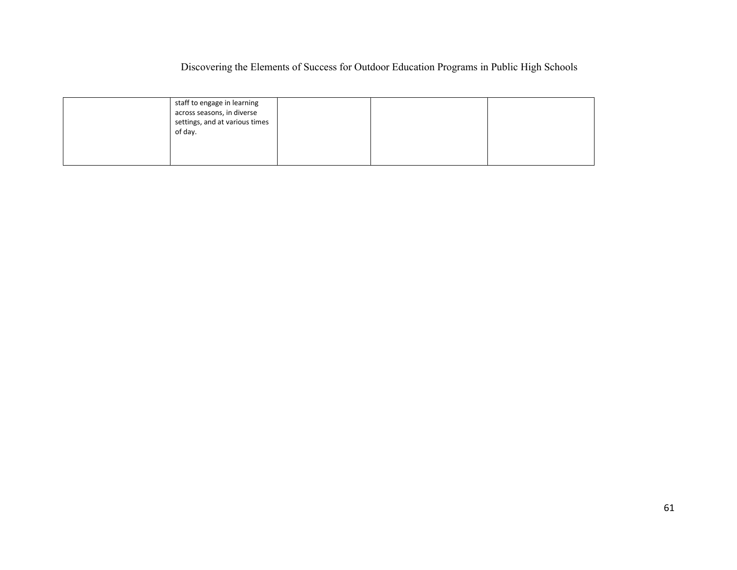| staff to engage in learning<br>across seasons, in diverse<br>settings, and at various times<br>of day. |  |  |
|--------------------------------------------------------------------------------------------------------|--|--|
|--------------------------------------------------------------------------------------------------------|--|--|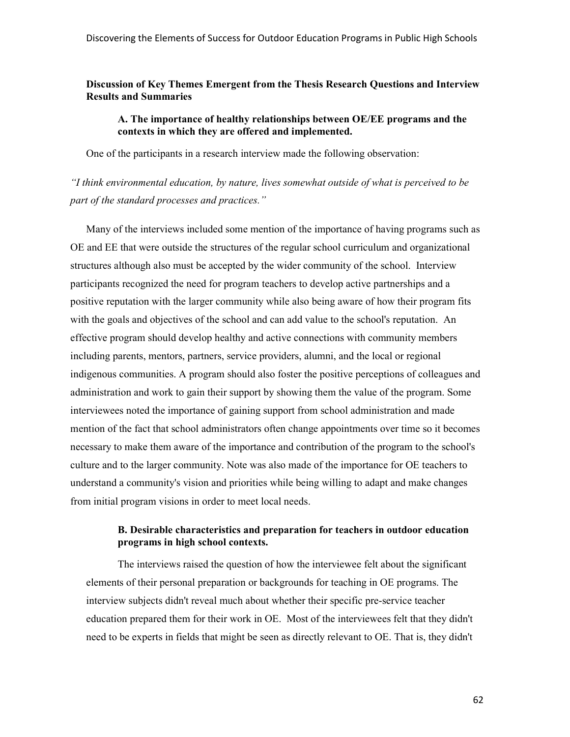# **Discussion of Key Themes Emergent from the Thesis Research Questions and Interview Results and Summaries**

## **A. The importance of healthy relationships between OE/EE programs and the contexts in which they are offered and implemented.**

One of the participants in a research interview made the following observation:

*"I think environmental education, by nature, lives somewhat outside of what is perceived to be part of the standard processes and practices."* 

Many of the interviews included some mention of the importance of having programs such as OE and EE that were outside the structures of the regular school curriculum and organizational structures although also must be accepted by the wider community of the school. Interview participants recognized the need for program teachers to develop active partnerships and a positive reputation with the larger community while also being aware of how their program fits with the goals and objectives of the school and can add value to the school's reputation. An effective program should develop healthy and active connections with community members including parents, mentors, partners, service providers, alumni, and the local or regional indigenous communities. A program should also foster the positive perceptions of colleagues and administration and work to gain their support by showing them the value of the program. Some interviewees noted the importance of gaining support from school administration and made mention of the fact that school administrators often change appointments over time so it becomes necessary to make them aware of the importance and contribution of the program to the school's culture and to the larger community. Note was also made of the importance for OE teachers to understand a community's vision and priorities while being willing to adapt and make changes from initial program visions in order to meet local needs.

# **B. Desirable characteristics and preparation for teachers in outdoor education programs in high school contexts.**

The interviews raised the question of how the interviewee felt about the significant elements of their personal preparation or backgrounds for teaching in OE programs. The interview subjects didn't reveal much about whether their specific pre-service teacher education prepared them for their work in OE. Most of the interviewees felt that they didn't need to be experts in fields that might be seen as directly relevant to OE. That is, they didn't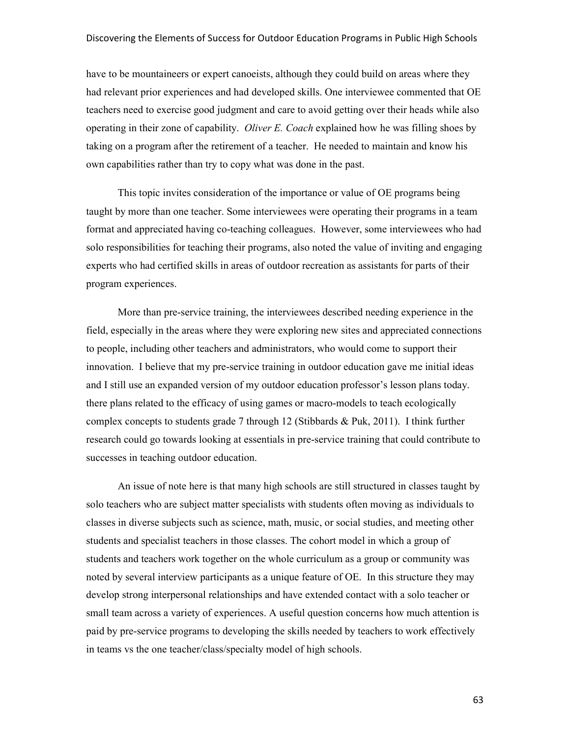have to be mountaineers or expert canoeists, although they could build on areas where they had relevant prior experiences and had developed skills. One interviewee commented that OE teachers need to exercise good judgment and care to avoid getting over their heads while also operating in their zone of capability. *Oliver E. Coach* explained how he was filling shoes by taking on a program after the retirement of a teacher. He needed to maintain and know his own capabilities rather than try to copy what was done in the past.

This topic invites consideration of the importance or value of OE programs being taught by more than one teacher. Some interviewees were operating their programs in a team format and appreciated having co-teaching colleagues. However, some interviewees who had solo responsibilities for teaching their programs, also noted the value of inviting and engaging experts who had certified skills in areas of outdoor recreation as assistants for parts of their program experiences.

More than pre-service training, the interviewees described needing experience in the field, especially in the areas where they were exploring new sites and appreciated connections to people, including other teachers and administrators, who would come to support their innovation. I believe that my pre-service training in outdoor education gave me initial ideas and I still use an expanded version of my outdoor education professor's lesson plans today. there plans related to the efficacy of using games or macro-models to teach ecologically complex concepts to students grade 7 through 12 (Stibbards & Puk, 2011). I think further research could go towards looking at essentials in pre-service training that could contribute to successes in teaching outdoor education.

An issue of note here is that many high schools are still structured in classes taught by solo teachers who are subject matter specialists with students often moving as individuals to classes in diverse subjects such as science, math, music, or social studies, and meeting other students and specialist teachers in those classes. The cohort model in which a group of students and teachers work together on the whole curriculum as a group or community was noted by several interview participants as a unique feature of OE. In this structure they may develop strong interpersonal relationships and have extended contact with a solo teacher or small team across a variety of experiences. A useful question concerns how much attention is paid by pre-service programs to developing the skills needed by teachers to work effectively in teams vs the one teacher/class/specialty model of high schools.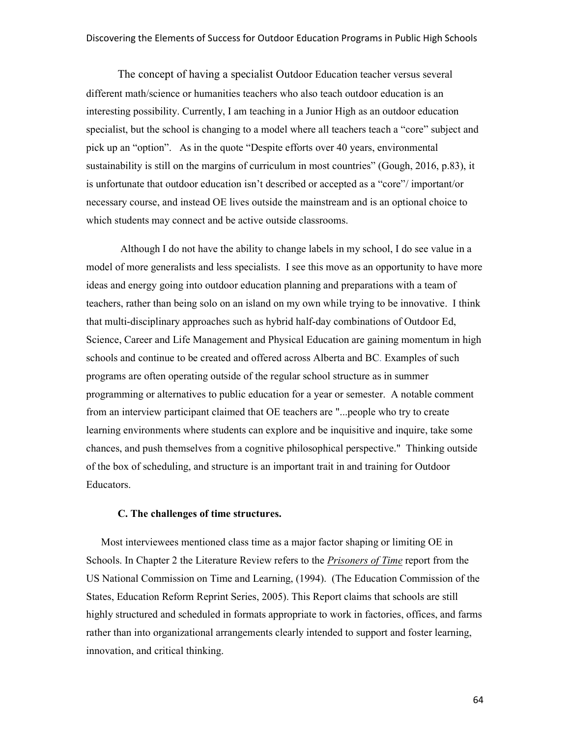The concept of having a specialist Outdoor Education teacher versus several different math/science or humanities teachers who also teach outdoor education is an interesting possibility. Currently, I am teaching in a Junior High as an outdoor education specialist, but the school is changing to a model where all teachers teach a "core" subject and pick up an "option". As in the quote "Despite efforts over 40 years, environmental sustainability is still on the margins of curriculum in most countries" (Gough, 2016, p.83), it is unfortunate that outdoor education isn't described or accepted as a "core"/ important/or necessary course, and instead OE lives outside the mainstream and is an optional choice to which students may connect and be active outside classrooms.

 Although I do not have the ability to change labels in my school, I do see value in a model of more generalists and less specialists. I see this move as an opportunity to have more ideas and energy going into outdoor education planning and preparations with a team of teachers, rather than being solo on an island on my own while trying to be innovative. I think that multi-disciplinary approaches such as hybrid half-day combinations of Outdoor Ed, Science, Career and Life Management and Physical Education are gaining momentum in high schools and continue to be created and offered across Alberta and BC. Examples of such programs are often operating outside of the regular school structure as in summer programming or alternatives to public education for a year or semester. A notable comment from an interview participant claimed that OE teachers are "...people who try to create learning environments where students can explore and be inquisitive and inquire, take some chances, and push themselves from a cognitive philosophical perspective." Thinking outside of the box of scheduling, and structure is an important trait in and training for Outdoor Educators.

## **C. The challenges of time structures.**

 Most interviewees mentioned class time as a major factor shaping or limiting OE in Schools. In Chapter 2 the Literature Review refers to the *Prisoners of Time* report from the US National Commission on Time and Learning, (1994). (The Education Commission of the States, Education Reform Reprint Series, 2005). This Report claims that schools are still highly structured and scheduled in formats appropriate to work in factories, offices, and farms rather than into organizational arrangements clearly intended to support and foster learning, innovation, and critical thinking.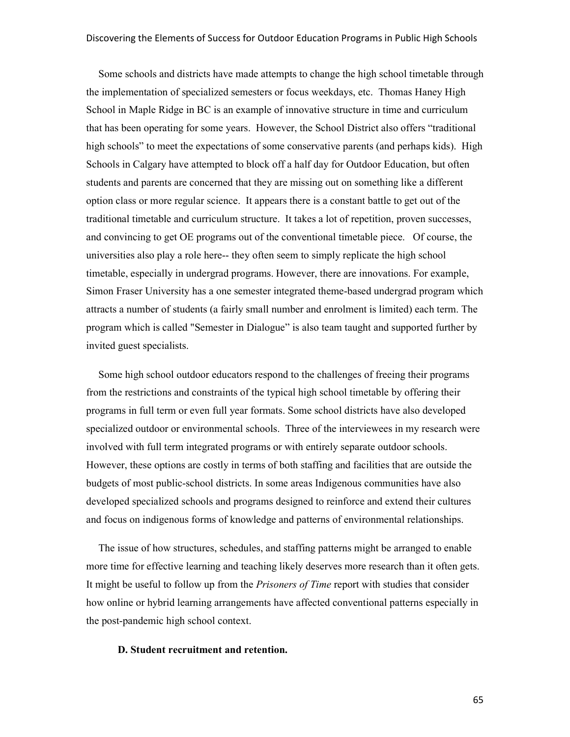Some schools and districts have made attempts to change the high school timetable through the implementation of specialized semesters or focus weekdays, etc. Thomas Haney High School in Maple Ridge in BC is an example of innovative structure in time and curriculum that has been operating for some years. However, the School District also offers "traditional high schools" to meet the expectations of some conservative parents (and perhaps kids). High Schools in Calgary have attempted to block off a half day for Outdoor Education, but often students and parents are concerned that they are missing out on something like a different option class or more regular science. It appears there is a constant battle to get out of the traditional timetable and curriculum structure. It takes a lot of repetition, proven successes, and convincing to get OE programs out of the conventional timetable piece. Of course, the universities also play a role here-- they often seem to simply replicate the high school timetable, especially in undergrad programs. However, there are innovations. For example, Simon Fraser University has a one semester integrated theme-based undergrad program which attracts a number of students (a fairly small number and enrolment is limited) each term. The program which is called "Semester in Dialogue" is also team taught and supported further by invited guest specialists.

Some high school outdoor educators respond to the challenges of freeing their programs from the restrictions and constraints of the typical high school timetable by offering their programs in full term or even full year formats. Some school districts have also developed specialized outdoor or environmental schools. Three of the interviewees in my research were involved with full term integrated programs or with entirely separate outdoor schools. However, these options are costly in terms of both staffing and facilities that are outside the budgets of most public-school districts. In some areas Indigenous communities have also developed specialized schools and programs designed to reinforce and extend their cultures and focus on indigenous forms of knowledge and patterns of environmental relationships.

The issue of how structures, schedules, and staffing patterns might be arranged to enable more time for effective learning and teaching likely deserves more research than it often gets. It might be useful to follow up from the *Prisoners of Time* report with studies that consider how online or hybrid learning arrangements have affected conventional patterns especially in the post-pandemic high school context.

## **D. Student recruitment and retention.**

65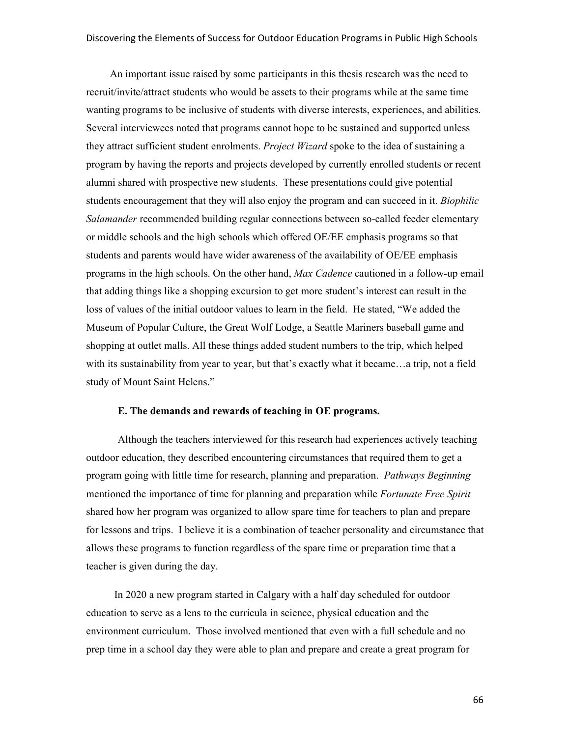An important issue raised by some participants in this thesis research was the need to recruit/invite/attract students who would be assets to their programs while at the same time wanting programs to be inclusive of students with diverse interests, experiences, and abilities. Several interviewees noted that programs cannot hope to be sustained and supported unless they attract sufficient student enrolments. *Project Wizard* spoke to the idea of sustaining a program by having the reports and projects developed by currently enrolled students or recent alumni shared with prospective new students. These presentations could give potential students encouragement that they will also enjoy the program and can succeed in it. *Biophilic Salamander* recommended building regular connections between so-called feeder elementary or middle schools and the high schools which offered OE/EE emphasis programs so that students and parents would have wider awareness of the availability of OE/EE emphasis programs in the high schools. On the other hand, *Max Cadence* cautioned in a follow-up email that adding things like a shopping excursion to get more student's interest can result in the loss of values of the initial outdoor values to learn in the field. He stated, "We added the Museum of Popular Culture, the Great Wolf Lodge, a Seattle Mariners baseball game and shopping at outlet malls. All these things added student numbers to the trip, which helped with its sustainability from year to year, but that's exactly what it became...a trip, not a field study of Mount Saint Helens."

## **E. The demands and rewards of teaching in OE programs.**

Although the teachers interviewed for this research had experiences actively teaching outdoor education, they described encountering circumstances that required them to get a program going with little time for research, planning and preparation. *Pathways Beginning* mentioned the importance of time for planning and preparation while *Fortunate Free Spirit* shared how her program was organized to allow spare time for teachers to plan and prepare for lessons and trips. I believe it is a combination of teacher personality and circumstance that allows these programs to function regardless of the spare time or preparation time that a teacher is given during the day.

In 2020 a new program started in Calgary with a half day scheduled for outdoor education to serve as a lens to the curricula in science, physical education and the environment curriculum. Those involved mentioned that even with a full schedule and no prep time in a school day they were able to plan and prepare and create a great program for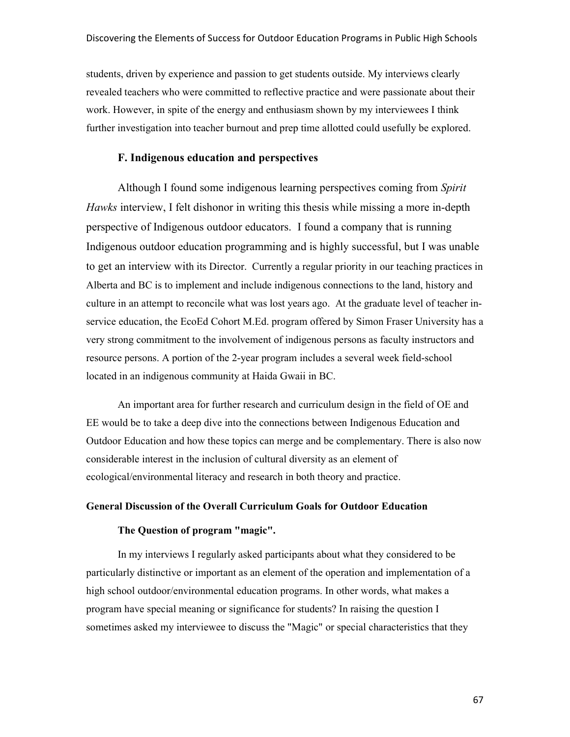students, driven by experience and passion to get students outside. My interviews clearly revealed teachers who were committed to reflective practice and were passionate about their work. However, in spite of the energy and enthusiasm shown by my interviewees I think further investigation into teacher burnout and prep time allotted could usefully be explored.

# **F. Indigenous education and perspectives**

Although I found some indigenous learning perspectives coming from *Spirit Hawks* interview, I felt dishonor in writing this thesis while missing a more in-depth perspective of Indigenous outdoor educators. I found a company that is running Indigenous outdoor education programming and is highly successful, but I was unable to get an interview with its Director. Currently a regular priority in our teaching practices in Alberta and BC is to implement and include indigenous connections to the land, history and culture in an attempt to reconcile what was lost years ago. At the graduate level of teacher inservice education, the EcoEd Cohort M.Ed. program offered by Simon Fraser University has a very strong commitment to the involvement of indigenous persons as faculty instructors and resource persons. A portion of the 2-year program includes a several week field-school located in an indigenous community at Haida Gwaii in BC.

An important area for further research and curriculum design in the field of OE and EE would be to take a deep dive into the connections between Indigenous Education and Outdoor Education and how these topics can merge and be complementary. There is also now considerable interest in the inclusion of cultural diversity as an element of ecological/environmental literacy and research in both theory and practice.

# **General Discussion of the Overall Curriculum Goals for Outdoor Education**

## **The Question of program "magic".**

In my interviews I regularly asked participants about what they considered to be particularly distinctive or important as an element of the operation and implementation of a high school outdoor/environmental education programs. In other words, what makes a program have special meaning or significance for students? In raising the question I sometimes asked my interviewee to discuss the "Magic" or special characteristics that they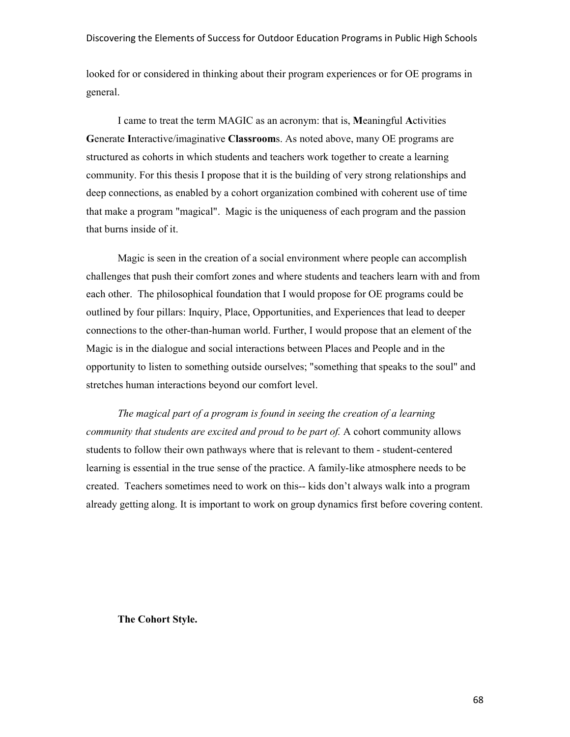looked for or considered in thinking about their program experiences or for OE programs in general.

I came to treat the term MAGIC as an acronym: that is, **M**eaningful **A**ctivities **G**enerate **I**nteractive/imaginative **Classroom**s. As noted above, many OE programs are structured as cohorts in which students and teachers work together to create a learning community. For this thesis I propose that it is the building of very strong relationships and deep connections, as enabled by a cohort organization combined with coherent use of time that make a program "magical". Magic is the uniqueness of each program and the passion that burns inside of it.

Magic is seen in the creation of a social environment where people can accomplish challenges that push their comfort zones and where students and teachers learn with and from each other. The philosophical foundation that I would propose for OE programs could be outlined by four pillars: Inquiry, Place, Opportunities, and Experiences that lead to deeper connections to the other-than-human world. Further, I would propose that an element of the Magic is in the dialogue and social interactions between Places and People and in the opportunity to listen to something outside ourselves; "something that speaks to the soul" and stretches human interactions beyond our comfort level.

*The magical part of a program is found in seeing the creation of a learning community that students are excited and proud to be part of.* A cohort community allows students to follow their own pathways where that is relevant to them - student-centered learning is essential in the true sense of the practice. A family-like atmosphere needs to be created. Teachers sometimes need to work on this-- kids don't always walk into a program already getting along. It is important to work on group dynamics first before covering content.

**The Cohort Style.**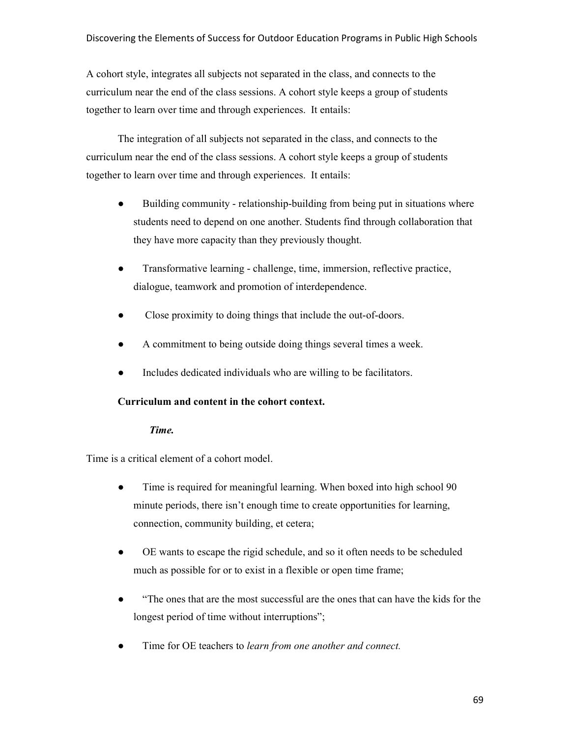A cohort style, integrates all subjects not separated in the class, and connects to the curriculum near the end of the class sessions. A cohort style keeps a group of students together to learn over time and through experiences. It entails:

The integration of all subjects not separated in the class, and connects to the curriculum near the end of the class sessions. A cohort style keeps a group of students together to learn over time and through experiences. It entails:

- Building community relationship-building from being put in situations where students need to depend on one another. Students find through collaboration that they have more capacity than they previously thought.
- Transformative learning challenge, time, immersion, reflective practice, dialogue, teamwork and promotion of interdependence.
- Close proximity to doing things that include the out-of-doors.
- A commitment to being outside doing things several times a week.
- Includes dedicated individuals who are willing to be facilitators.

# **Curriculum and content in the cohort context.**

# *Time.*

Time is a critical element of a cohort model.

- Time is required for meaningful learning. When boxed into high school 90 minute periods, there isn't enough time to create opportunities for learning, connection, community building, et cetera;
- OE wants to escape the rigid schedule, and so it often needs to be scheduled much as possible for or to exist in a flexible or open time frame;
- "The ones that are the most successful are the ones that can have the kids for the longest period of time without interruptions";
- Time for OE teachers to *learn from one another and connect.*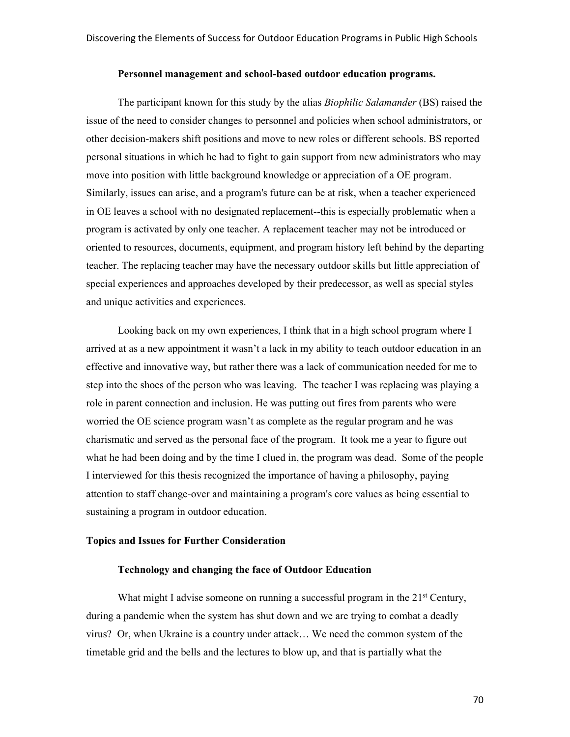#### **Personnel management and school-based outdoor education programs.**

The participant known for this study by the alias *Biophilic Salamander* (BS) raised the issue of the need to consider changes to personnel and policies when school administrators, or other decision-makers shift positions and move to new roles or different schools. BS reported personal situations in which he had to fight to gain support from new administrators who may move into position with little background knowledge or appreciation of a OE program. Similarly, issues can arise, and a program's future can be at risk, when a teacher experienced in OE leaves a school with no designated replacement--this is especially problematic when a program is activated by only one teacher. A replacement teacher may not be introduced or oriented to resources, documents, equipment, and program history left behind by the departing teacher. The replacing teacher may have the necessary outdoor skills but little appreciation of special experiences and approaches developed by their predecessor, as well as special styles and unique activities and experiences.

Looking back on my own experiences, I think that in a high school program where I arrived at as a new appointment it wasn't a lack in my ability to teach outdoor education in an effective and innovative way, but rather there was a lack of communication needed for me to step into the shoes of the person who was leaving. The teacher I was replacing was playing a role in parent connection and inclusion. He was putting out fires from parents who were worried the OE science program wasn't as complete as the regular program and he was charismatic and served as the personal face of the program. It took me a year to figure out what he had been doing and by the time I clued in, the program was dead. Some of the people I interviewed for this thesis recognized the importance of having a philosophy, paying attention to staff change-over and maintaining a program's core values as being essential to sustaining a program in outdoor education.

#### **Topics and Issues for Further Consideration**

#### **Technology and changing the face of Outdoor Education**

What might I advise someone on running a successful program in the 21<sup>st</sup> Century, during a pandemic when the system has shut down and we are trying to combat a deadly virus? Or, when Ukraine is a country under attack… We need the common system of the timetable grid and the bells and the lectures to blow up, and that is partially what the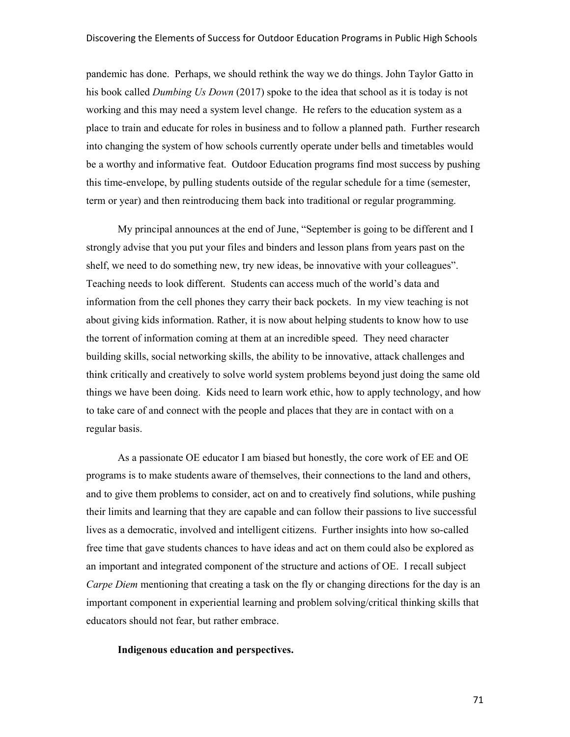pandemic has done. Perhaps, we should rethink the way we do things. John Taylor Gatto in his book called *Dumbing Us Down* (2017) spoke to the idea that school as it is today is not working and this may need a system level change. He refers to the education system as a place to train and educate for roles in business and to follow a planned path. Further research into changing the system of how schools currently operate under bells and timetables would be a worthy and informative feat. Outdoor Education programs find most success by pushing this time-envelope, by pulling students outside of the regular schedule for a time (semester, term or year) and then reintroducing them back into traditional or regular programming.

My principal announces at the end of June, "September is going to be different and I strongly advise that you put your files and binders and lesson plans from years past on the shelf, we need to do something new, try new ideas, be innovative with your colleagues". Teaching needs to look different. Students can access much of the world's data and information from the cell phones they carry their back pockets. In my view teaching is not about giving kids information. Rather, it is now about helping students to know how to use the torrent of information coming at them at an incredible speed. They need character building skills, social networking skills, the ability to be innovative, attack challenges and think critically and creatively to solve world system problems beyond just doing the same old things we have been doing. Kids need to learn work ethic, how to apply technology, and how to take care of and connect with the people and places that they are in contact with on a regular basis.

As a passionate OE educator I am biased but honestly, the core work of EE and OE programs is to make students aware of themselves, their connections to the land and others, and to give them problems to consider, act on and to creatively find solutions, while pushing their limits and learning that they are capable and can follow their passions to live successful lives as a democratic, involved and intelligent citizens. Further insights into how so-called free time that gave students chances to have ideas and act on them could also be explored as an important and integrated component of the structure and actions of OE. I recall subject *Carpe Diem* mentioning that creating a task on the fly or changing directions for the day is an important component in experiential learning and problem solving/critical thinking skills that educators should not fear, but rather embrace.

## **Indigenous education and perspectives.**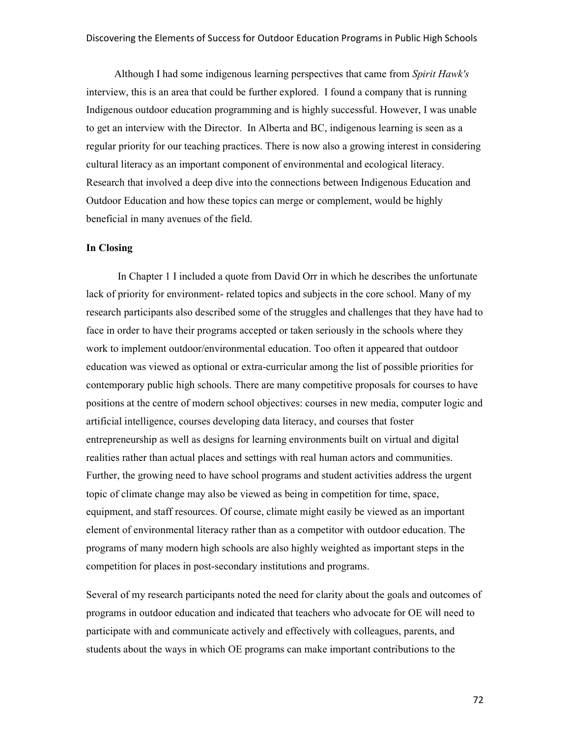Although I had some indigenous learning perspectives that came from *Spirit Hawk's*  interview, this is an area that could be further explored. I found a company that is running Indigenous outdoor education programming and is highly successful. However, I was unable to get an interview with the Director. In Alberta and BC, indigenous learning is seen as a regular priority for our teaching practices. There is now also a growing interest in considering cultural literacy as an important component of environmental and ecological literacy. Research that involved a deep dive into the connections between Indigenous Education and Outdoor Education and how these topics can merge or complement, would be highly beneficial in many avenues of the field.

## **In Closing**

In Chapter 1 I included a quote from David Orr in which he describes the unfortunate lack of priority for environment- related topics and subjects in the core school. Many of my research participants also described some of the struggles and challenges that they have had to face in order to have their programs accepted or taken seriously in the schools where they work to implement outdoor/environmental education. Too often it appeared that outdoor education was viewed as optional or extra-curricular among the list of possible priorities for contemporary public high schools. There are many competitive proposals for courses to have positions at the centre of modern school objectives: courses in new media, computer logic and artificial intelligence, courses developing data literacy, and courses that foster entrepreneurship as well as designs for learning environments built on virtual and digital realities rather than actual places and settings with real human actors and communities. Further, the growing need to have school programs and student activities address the urgent topic of climate change may also be viewed as being in competition for time, space, equipment, and staff resources. Of course, climate might easily be viewed as an important element of environmental literacy rather than as a competitor with outdoor education. The programs of many modern high schools are also highly weighted as important steps in the competition for places in post-secondary institutions and programs.

Several of my research participants noted the need for clarity about the goals and outcomes of programs in outdoor education and indicated that teachers who advocate for OE will need to participate with and communicate actively and effectively with colleagues, parents, and students about the ways in which OE programs can make important contributions to the

72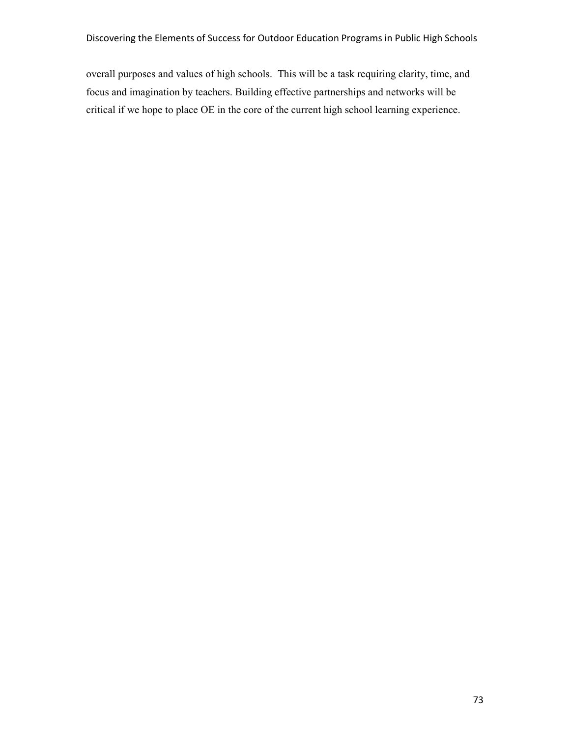overall purposes and values of high schools. This will be a task requiring clarity, time, and focus and imagination by teachers. Building effective partnerships and networks will be critical if we hope to place OE in the core of the current high school learning experience.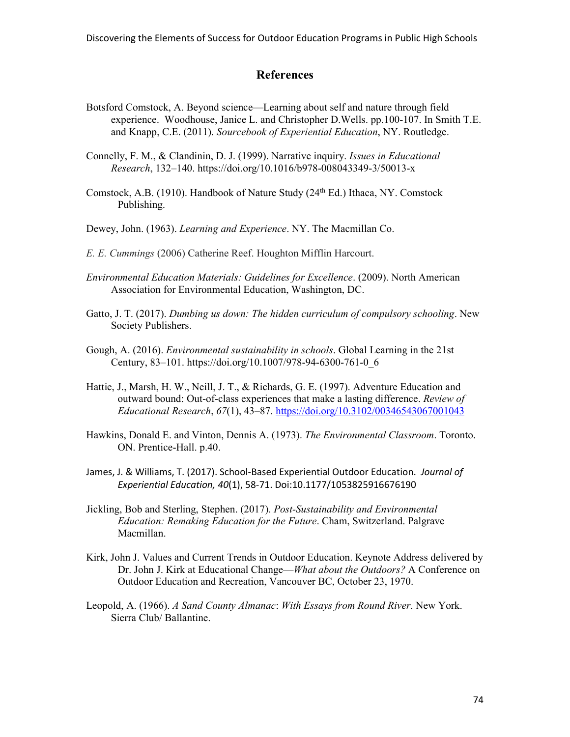#### **References**

- Botsford Comstock, A. Beyond science—Learning about self and nature through field experience. Woodhouse, Janice L. and Christopher D.Wells. pp.100-107. In Smith T.E. and Knapp, C.E. (2011). *Sourcebook of Experiential Education*, NY. Routledge.
- Connelly, F. M., & Clandinin, D. J. (1999). Narrative inquiry. *Issues in Educational Research*, 132–140. https://doi.org/10.1016/b978-008043349-3/50013-x
- Comstock, A.B. (1910). Handbook of Nature Study (24<sup>th</sup> Ed.) Ithaca, NY. Comstock Publishing.
- Dewey, John. (1963). *Learning and Experience*. NY. The Macmillan Co.
- *E. E. Cummings* (2006) Catherine Reef. Houghton Mifflin Harcourt.
- *Environmental Education Materials: Guidelines for Excellence*. (2009). North American Association for Environmental Education, Washington, DC.
- Gatto, J. T. (2017). *Dumbing us down: The hidden curriculum of compulsory schooling*. New Society Publishers.
- Gough, A. (2016). *Environmental sustainability in schools*. Global Learning in the 21st Century, 83–101. https://doi.org/10.1007/978-94-6300-761-0\_6
- Hattie, J., Marsh, H. W., Neill, J. T., & Richards, G. E. (1997). Adventure Education and outward bound: Out-of-class experiences that make a lasting difference. *Review of Educational Research*, *67*(1), 43–87. https://doi.org/10.3102/00346543067001043
- Hawkins, Donald E. and Vinton, Dennis A. (1973). *The Environmental Classroom*. Toronto. ON. Prentice-Hall. p.40.
- James, J. & Williams, T. (2017). School-Based Experiential Outdoor Education. *Journal of Experiential Education, 40*(1), 58-71. Doi:10.1177/1053825916676190
- Jickling, Bob and Sterling, Stephen. (2017). *Post-Sustainability and Environmental Education: Remaking Education for the Future*. Cham, Switzerland. Palgrave Macmillan.
- Kirk, John J. Values and Current Trends in Outdoor Education. Keynote Address delivered by Dr. John J. Kirk at Educational Change—*What about the Outdoors?* A Conference on Outdoor Education and Recreation, Vancouver BC, October 23, 1970.
- Leopold, A. (1966). *A Sand County Almanac*: *With Essays from Round River*. New York. Sierra Club/ Ballantine.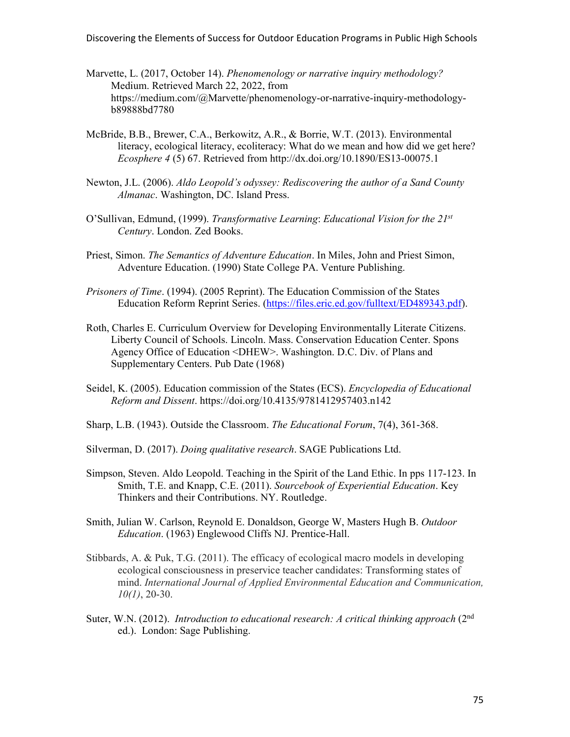Discovering the Elements of Success for Outdoor Education Programs in Public High Schools

- Marvette, L. (2017, October 14). *Phenomenology or narrative inquiry methodology?* Medium. Retrieved March 22, 2022, from https://medium.com/@Marvette/phenomenology-or-narrative-inquiry-methodologyb89888bd7780
- McBride, B.B., Brewer, C.A., Berkowitz, A.R., & Borrie, W.T. (2013). Environmental literacy, ecological literacy, ecoliteracy: What do we mean and how did we get here? *Ecosphere 4* (5) 67. Retrieved from http://dx.doi.org/10.1890/ES13-00075.1
- Newton, J.L. (2006). *Aldo Leopold's odyssey: Rediscovering the author of a Sand County Almanac*. Washington, DC. Island Press.
- O'Sullivan, Edmund, (1999). *Transformative Learning*: *Educational Vision for the 21st Century*. London. Zed Books.
- Priest, Simon. *The Semantics of Adventure Education*. In Miles, John and Priest Simon, Adventure Education. (1990) State College PA. Venture Publishing.
- *Prisoners of Time*. (1994). (2005 Reprint). The Education Commission of the States Education Reform Reprint Series. (https://files.eric.ed.gov/fulltext/ED489343.pdf).
- Roth, Charles E. Curriculum Overview for Developing Environmentally Literate Citizens. Liberty Council of Schools. Lincoln. Mass. Conservation Education Center. Spons Agency Office of Education <DHEW>. Washington. D.C. Div. of Plans and Supplementary Centers. Pub Date (1968)
- Seidel, K. (2005). Education commission of the States (ECS). *Encyclopedia of Educational Reform and Dissent*. https://doi.org/10.4135/9781412957403.n142
- Sharp, L.B. (1943). Outside the Classroom. *The Educational Forum*, 7(4), 361-368.
- Silverman, D. (2017). *Doing qualitative research*. SAGE Publications Ltd.
- Simpson, Steven. Aldo Leopold. Teaching in the Spirit of the Land Ethic. In pps 117-123. In Smith, T.E. and Knapp, C.E. (2011). *Sourcebook of Experiential Education*. Key Thinkers and their Contributions. NY. Routledge.
- Smith, Julian W. Carlson, Reynold E. Donaldson, George W, Masters Hugh B. *Outdoor Education*. (1963) Englewood Cliffs NJ. Prentice-Hall.
- Stibbards, A. & Puk, T.G. (2011). The efficacy of ecological macro models in developing ecological consciousness in preservice teacher candidates: Transforming states of mind. *International Journal of Applied Environmental Education and Communication, 10(1)*, 20-30.
- Suter, W.N. (2012). *Introduction to educational research: A critical thinking approach* (2<sup>nd</sup> ed.). London: Sage Publishing.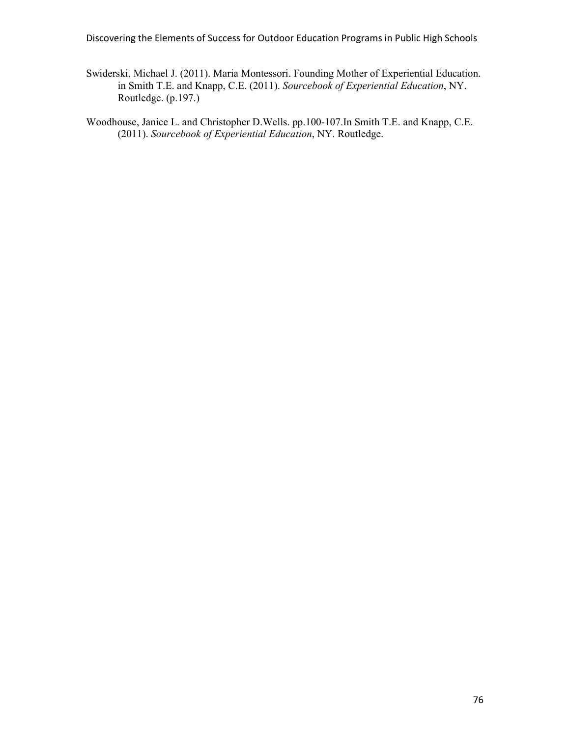Discovering the Elements of Success for Outdoor Education Programs in Public High Schools

- Swiderski, Michael J. (2011). Maria Montessori. Founding Mother of Experiential Education. in Smith T.E. and Knapp, C.E. (2011). *Sourcebook of Experiential Education*, NY. Routledge. (p.197.)
- Woodhouse, Janice L. and Christopher D.Wells. pp.100-107.In Smith T.E. and Knapp, C.E. (2011). *Sourcebook of Experiential Education*, NY. Routledge.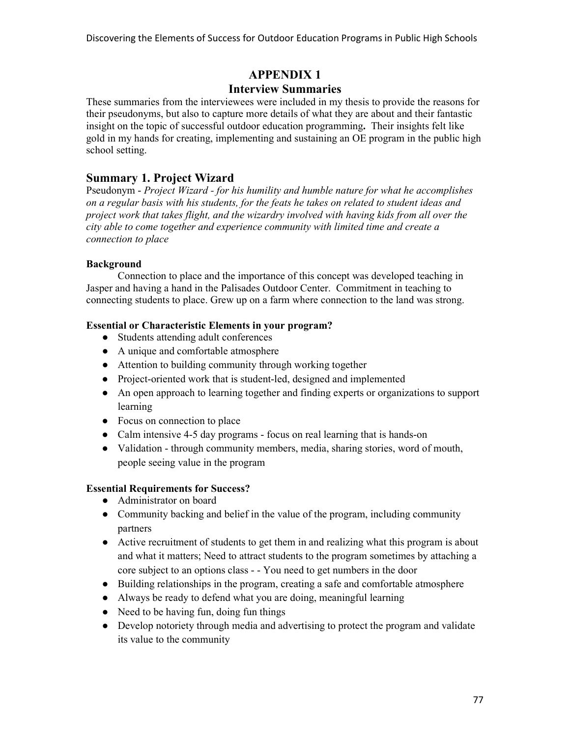## **APPENDIX 1**

### **Interview Summaries**

These summaries from the interviewees were included in my thesis to provide the reasons for their pseudonyms, but also to capture more details of what they are about and their fantastic insight on the topic of successful outdoor education programming**.** Their insights felt like gold in my hands for creating, implementing and sustaining an OE program in the public high school setting.

### **Summary 1. Project Wizard**

Pseudonym - *Project Wizard - for his humility and humble nature for what he accomplishes on a regular basis with his students, for the feats he takes on related to student ideas and project work that takes flight, and the wizardry involved with having kids from all over the city able to come together and experience community with limited time and create a connection to place*

#### **Background**

Connection to place and the importance of this concept was developed teaching in Jasper and having a hand in the Palisades Outdoor Center. Commitment in teaching to connecting students to place. Grew up on a farm where connection to the land was strong.

#### **Essential or Characteristic Elements in your program?**

- Students attending adult conferences
- A unique and comfortable atmosphere
- Attention to building community through working together
- Project-oriented work that is student-led, designed and implemented
- An open approach to learning together and finding experts or organizations to support learning
- Focus on connection to place
- Calm intensive 4-5 day programs focus on real learning that is hands-on
- Validation through community members, media, sharing stories, word of mouth, people seeing value in the program

#### **Essential Requirements for Success?**

- Administrator on board
- Community backing and belief in the value of the program, including community partners
- Active recruitment of students to get them in and realizing what this program is about and what it matters; Need to attract students to the program sometimes by attaching a core subject to an options class - - You need to get numbers in the door
- Building relationships in the program, creating a safe and comfortable atmosphere
- Always be ready to defend what you are doing, meaningful learning
- Need to be having fun, doing fun things
- Develop notoriety through media and advertising to protect the program and validate its value to the community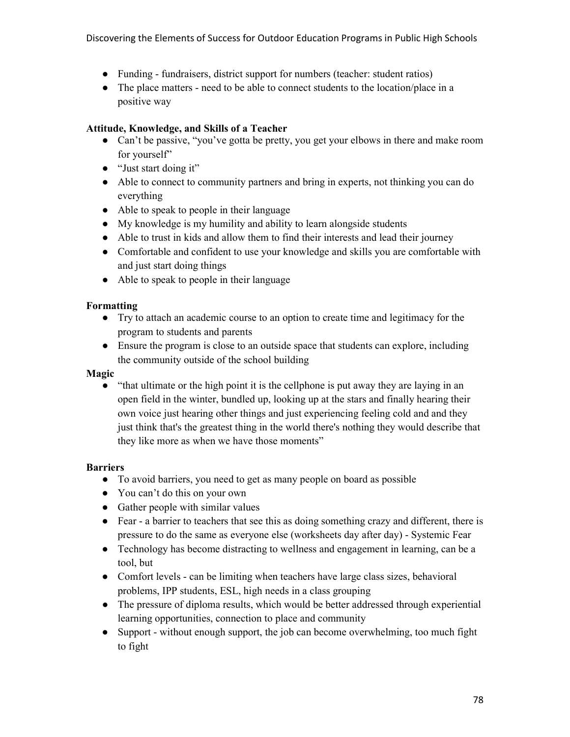- Funding fundraisers, district support for numbers (teacher: student ratios)
- The place matters need to be able to connect students to the location/place in a positive way

#### **Attitude, Knowledge, and Skills of a Teacher**

- Can't be passive, "you've gotta be pretty, you get your elbows in there and make room for yourself"
- "Just start doing it"
- Able to connect to community partners and bring in experts, not thinking you can do everything
- Able to speak to people in their language
- My knowledge is my humility and ability to learn alongside students
- Able to trust in kids and allow them to find their interests and lead their journey
- Comfortable and confident to use your knowledge and skills you are comfortable with and just start doing things
- Able to speak to people in their language

#### **Formatting**

- Try to attach an academic course to an option to create time and legitimacy for the program to students and parents
- Ensure the program is close to an outside space that students can explore, including the community outside of the school building

#### **Magic**

● "that ultimate or the high point it is the cellphone is put away they are laying in an open field in the winter, bundled up, looking up at the stars and finally hearing their own voice just hearing other things and just experiencing feeling cold and and they just think that's the greatest thing in the world there's nothing they would describe that they like more as when we have those moments"

#### **Barriers**

- To avoid barriers, you need to get as many people on board as possible
- You can't do this on your own
- Gather people with similar values
- Fear a barrier to teachers that see this as doing something crazy and different, there is pressure to do the same as everyone else (worksheets day after day) - Systemic Fear
- Technology has become distracting to wellness and engagement in learning, can be a tool, but
- Comfort levels can be limiting when teachers have large class sizes, behavioral problems, IPP students, ESL, high needs in a class grouping
- The pressure of diploma results, which would be better addressed through experiential learning opportunities, connection to place and community
- Support without enough support, the job can become overwhelming, too much fight to fight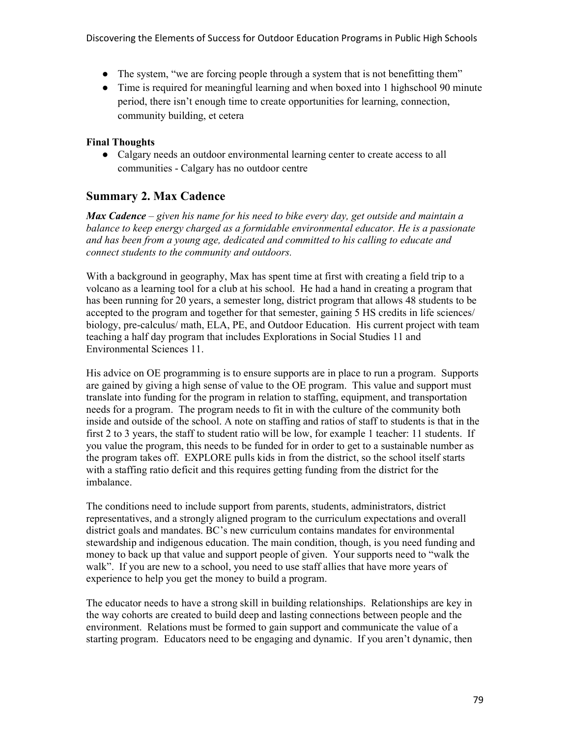Discovering the Elements of Success for Outdoor Education Programs in Public High Schools

- The system, "we are forcing people through a system that is not benefitting them"
- Time is required for meaningful learning and when boxed into 1 highschool 90 minute period, there isn't enough time to create opportunities for learning, connection, community building, et cetera

### **Final Thoughts**

● Calgary needs an outdoor environmental learning center to create access to all communities - Calgary has no outdoor centre

## **Summary 2. Max Cadence**

*Max Cadence* – *given his name for his need to bike every day, get outside and maintain a balance to keep energy charged as a formidable environmental educator. He is a passionate and has been from a young age, dedicated and committed to his calling to educate and connect students to the community and outdoors.*

With a background in geography, Max has spent time at first with creating a field trip to a volcano as a learning tool for a club at his school. He had a hand in creating a program that has been running for 20 years, a semester long, district program that allows 48 students to be accepted to the program and together for that semester, gaining 5 HS credits in life sciences/ biology, pre-calculus/ math, ELA, PE, and Outdoor Education. His current project with team teaching a half day program that includes Explorations in Social Studies 11 and Environmental Sciences 11.

His advice on OE programming is to ensure supports are in place to run a program. Supports are gained by giving a high sense of value to the OE program. This value and support must translate into funding for the program in relation to staffing, equipment, and transportation needs for a program. The program needs to fit in with the culture of the community both inside and outside of the school. A note on staffing and ratios of staff to students is that in the first 2 to 3 years, the staff to student ratio will be low, for example 1 teacher: 11 students. If you value the program, this needs to be funded for in order to get to a sustainable number as the program takes off. EXPLORE pulls kids in from the district, so the school itself starts with a staffing ratio deficit and this requires getting funding from the district for the imbalance.

The conditions need to include support from parents, students, administrators, district representatives, and a strongly aligned program to the curriculum expectations and overall district goals and mandates. BC's new curriculum contains mandates for environmental stewardship and indigenous education. The main condition, though, is you need funding and money to back up that value and support people of given. Your supports need to "walk the walk". If you are new to a school, you need to use staff allies that have more years of experience to help you get the money to build a program.

The educator needs to have a strong skill in building relationships. Relationships are key in the way cohorts are created to build deep and lasting connections between people and the environment. Relations must be formed to gain support and communicate the value of a starting program. Educators need to be engaging and dynamic. If you aren't dynamic, then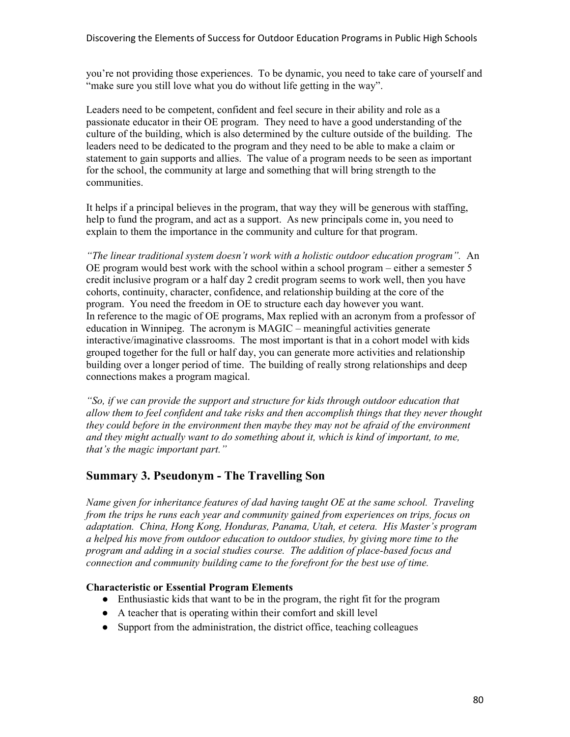you're not providing those experiences. To be dynamic, you need to take care of yourself and "make sure you still love what you do without life getting in the way".

Leaders need to be competent, confident and feel secure in their ability and role as a passionate educator in their OE program. They need to have a good understanding of the culture of the building, which is also determined by the culture outside of the building. The leaders need to be dedicated to the program and they need to be able to make a claim or statement to gain supports and allies. The value of a program needs to be seen as important for the school, the community at large and something that will bring strength to the communities.

It helps if a principal believes in the program, that way they will be generous with staffing, help to fund the program, and act as a support. As new principals come in, you need to explain to them the importance in the community and culture for that program.

*"The linear traditional system doesn't work with a holistic outdoor education program".* An OE program would best work with the school within a school program – either a semester 5 credit inclusive program or a half day 2 credit program seems to work well, then you have cohorts, continuity, character, confidence, and relationship building at the core of the program. You need the freedom in OE to structure each day however you want. In reference to the magic of OE programs, Max replied with an acronym from a professor of education in Winnipeg. The acronym is MAGIC – meaningful activities generate interactive/imaginative classrooms. The most important is that in a cohort model with kids grouped together for the full or half day, you can generate more activities and relationship building over a longer period of time. The building of really strong relationships and deep connections makes a program magical.

*"So, if we can provide the support and structure for kids through outdoor education that allow them to feel confident and take risks and then accomplish things that they never thought they could before in the environment then maybe they may not be afraid of the environment and they might actually want to do something about it, which is kind of important, to me, that's the magic important part."*

### **Summary 3. Pseudonym - The Travelling Son**

*Name given for inheritance features of dad having taught OE at the same school. Traveling from the trips he runs each year and community gained from experiences on trips, focus on adaptation. China, Hong Kong, Honduras, Panama, Utah, et cetera. His Master's program a helped his move from outdoor education to outdoor studies, by giving more time to the program and adding in a social studies course. The addition of place-based focus and connection and community building came to the forefront for the best use of time.* 

#### **Characteristic or Essential Program Elements**

- Enthusiastic kids that want to be in the program, the right fit for the program
- A teacher that is operating within their comfort and skill level
- Support from the administration, the district office, teaching colleagues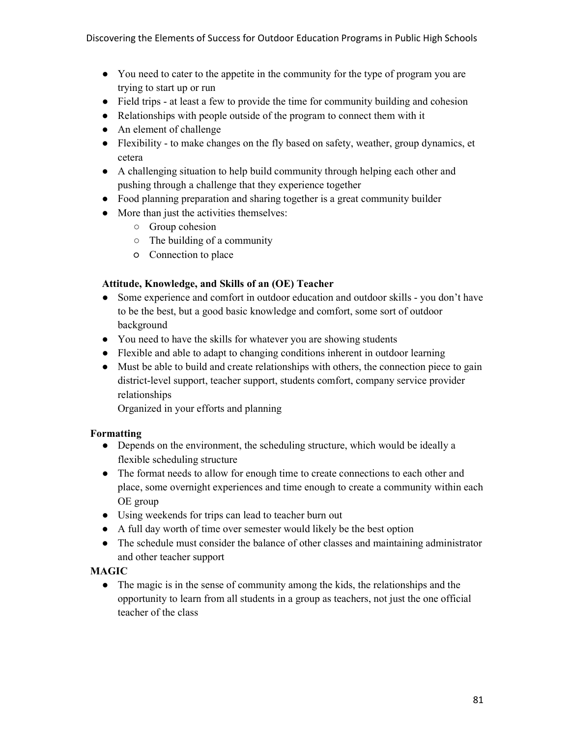- You need to cater to the appetite in the community for the type of program you are trying to start up or run
- Field trips at least a few to provide the time for community building and cohesion
- Relationships with people outside of the program to connect them with it
- An element of challenge
- Flexibility to make changes on the fly based on safety, weather, group dynamics, et cetera
- A challenging situation to help build community through helping each other and pushing through a challenge that they experience together
- Food planning preparation and sharing together is a great community builder
- More than just the activities themselves:
	- Group cohesion
	- $\circ$  The building of a community
	- Connection to place

#### **Attitude, Knowledge, and Skills of an (OE) Teacher**

- Some experience and comfort in outdoor education and outdoor skills you don't have to be the best, but a good basic knowledge and comfort, some sort of outdoor background
- You need to have the skills for whatever you are showing students
- Flexible and able to adapt to changing conditions inherent in outdoor learning
- Must be able to build and create relationships with others, the connection piece to gain district-level support, teacher support, students comfort, company service provider relationships

Organized in your efforts and planning

#### **Formatting**

- Depends on the environment, the scheduling structure, which would be ideally a flexible scheduling structure
- The format needs to allow for enough time to create connections to each other and place, some overnight experiences and time enough to create a community within each OE group
- Using weekends for trips can lead to teacher burn out
- A full day worth of time over semester would likely be the best option
- The schedule must consider the balance of other classes and maintaining administrator and other teacher support

#### **MAGIC**

● The magic is in the sense of community among the kids, the relationships and the opportunity to learn from all students in a group as teachers, not just the one official teacher of the class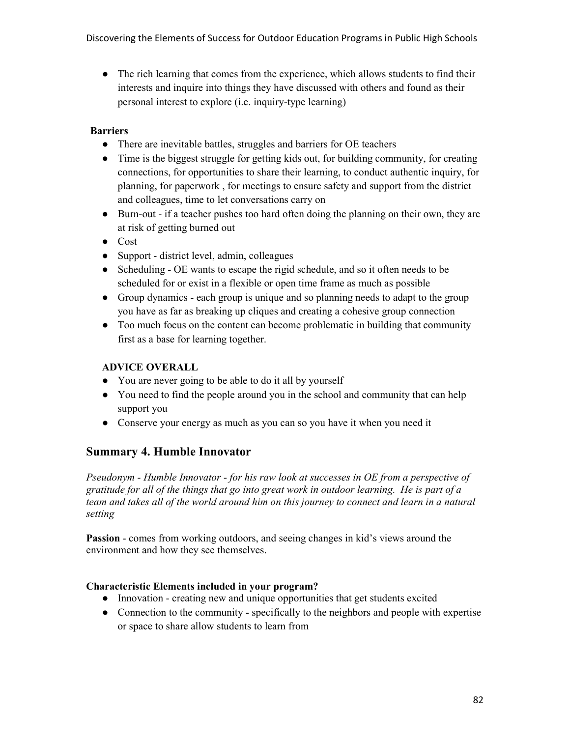• The rich learning that comes from the experience, which allows students to find their interests and inquire into things they have discussed with others and found as their personal interest to explore (i.e. inquiry-type learning)

### **Barriers**

- There are inevitable battles, struggles and barriers for OE teachers
- Time is the biggest struggle for getting kids out, for building community, for creating connections, for opportunities to share their learning, to conduct authentic inquiry, for planning, for paperwork , for meetings to ensure safety and support from the district and colleagues, time to let conversations carry on
- Burn-out if a teacher pushes too hard often doing the planning on their own, they are at risk of getting burned out
- Cost
- Support district level, admin, colleagues
- Scheduling OE wants to escape the rigid schedule, and so it often needs to be scheduled for or exist in a flexible or open time frame as much as possible
- Group dynamics each group is unique and so planning needs to adapt to the group you have as far as breaking up cliques and creating a cohesive group connection
- Too much focus on the content can become problematic in building that community first as a base for learning together.

#### **ADVICE OVERALL**

- You are never going to be able to do it all by yourself
- You need to find the people around you in the school and community that can help support you
- Conserve your energy as much as you can so you have it when you need it

## **Summary 4. Humble Innovator**

*Pseudonym - Humble Innovator - for his raw look at successes in OE from a perspective of gratitude for all of the things that go into great work in outdoor learning. He is part of a team and takes all of the world around him on this journey to connect and learn in a natural setting* 

**Passion** - comes from working outdoors, and seeing changes in kid's views around the environment and how they see themselves.

#### **Characteristic Elements included in your program?**

- Innovation creating new and unique opportunities that get students excited
- Connection to the community specifically to the neighbors and people with expertise or space to share allow students to learn from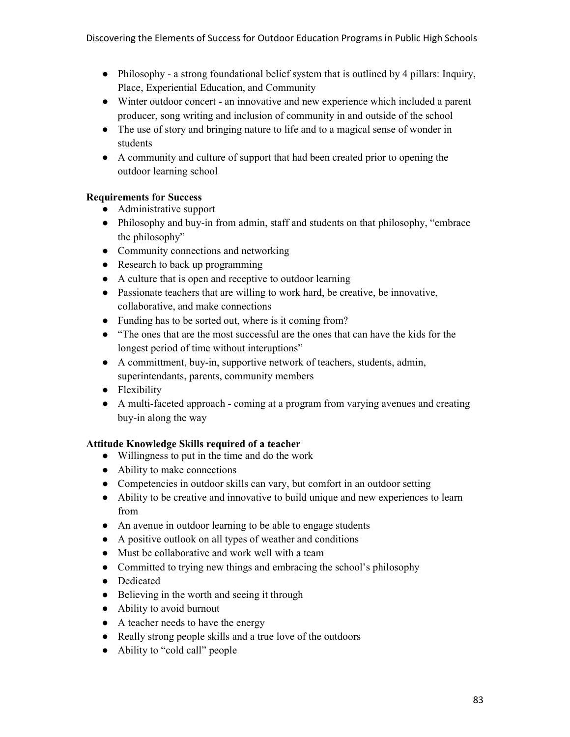- Philosophy a strong foundational belief system that is outlined by 4 pillars: Inquiry, Place, Experiential Education, and Community
- Winter outdoor concert an innovative and new experience which included a parent producer, song writing and inclusion of community in and outside of the school
- The use of story and bringing nature to life and to a magical sense of wonder in students
- A community and culture of support that had been created prior to opening the outdoor learning school

## **Requirements for Success**

- Administrative support
- Philosophy and buy-in from admin, staff and students on that philosophy, "embrace the philosophy"
- Community connections and networking
- Research to back up programming
- A culture that is open and receptive to outdoor learning
- Passionate teachers that are willing to work hard, be creative, be innovative, collaborative, and make connections
- Funding has to be sorted out, where is it coming from?
- "The ones that are the most successful are the ones that can have the kids for the longest period of time without interuptions"
- A committment, buy-in, supportive network of teachers, students, admin, superintendants, parents, community members
- Flexibility
- A multi-faceted approach coming at a program from varying avenues and creating buy-in along the way

### **Attitude Knowledge Skills required of a teacher**

- Willingness to put in the time and do the work
- Ability to make connections
- Competencies in outdoor skills can vary, but comfort in an outdoor setting
- Ability to be creative and innovative to build unique and new experiences to learn from
- An avenue in outdoor learning to be able to engage students
- A positive outlook on all types of weather and conditions
- Must be collaborative and work well with a team
- Committed to trying new things and embracing the school's philosophy
- Dedicated
- Believing in the worth and seeing it through
- Ability to avoid burnout
- A teacher needs to have the energy
- Really strong people skills and a true love of the outdoors
- Ability to "cold call" people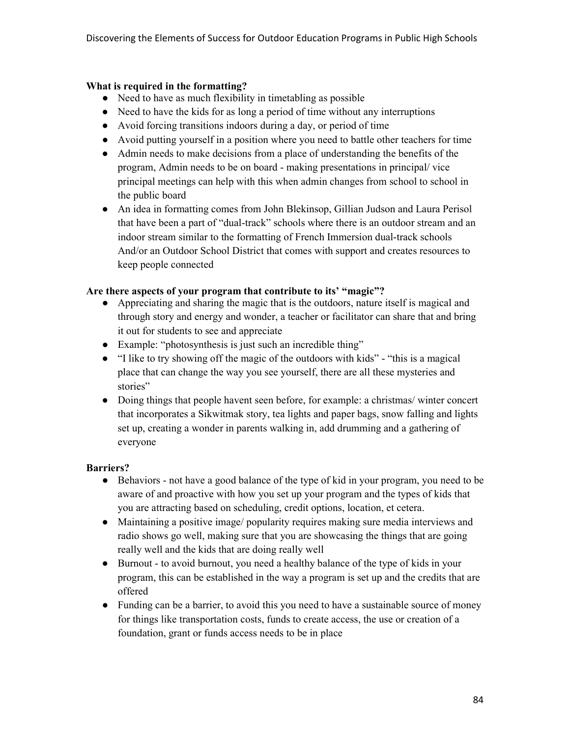#### **What is required in the formatting?**

- Need to have as much flexibility in timetabling as possible
- Need to have the kids for as long a period of time without any interruptions
- Avoid forcing transitions indoors during a day, or period of time
- Avoid putting yourself in a position where you need to battle other teachers for time
- Admin needs to make decisions from a place of understanding the benefits of the program, Admin needs to be on board - making presentations in principal/ vice principal meetings can help with this when admin changes from school to school in the public board
- An idea in formatting comes from John Blekinsop, Gillian Judson and Laura Perisol that have been a part of "dual-track" schools where there is an outdoor stream and an indoor stream similar to the formatting of French Immersion dual-track schools And/or an Outdoor School District that comes with support and creates resources to keep people connected

#### **Are there aspects of your program that contribute to its' "magic"?**

- Appreciating and sharing the magic that is the outdoors, nature itself is magical and through story and energy and wonder, a teacher or facilitator can share that and bring it out for students to see and appreciate
- Example: "photosynthesis is just such an incredible thing"
- "I like to try showing off the magic of the outdoors with kids" "this is a magical place that can change the way you see yourself, there are all these mysteries and stories"
- Doing things that people havent seen before, for example: a christmas/ winter concert that incorporates a Sikwitmak story, tea lights and paper bags, snow falling and lights set up, creating a wonder in parents walking in, add drumming and a gathering of everyone

### **Barriers?**

- Behaviors not have a good balance of the type of kid in your program, you need to be aware of and proactive with how you set up your program and the types of kids that you are attracting based on scheduling, credit options, location, et cetera.
- Maintaining a positive image/ popularity requires making sure media interviews and radio shows go well, making sure that you are showcasing the things that are going really well and the kids that are doing really well
- Burnout to avoid burnout, you need a healthy balance of the type of kids in your program, this can be established in the way a program is set up and the credits that are offered
- Funding can be a barrier, to avoid this you need to have a sustainable source of money for things like transportation costs, funds to create access, the use or creation of a foundation, grant or funds access needs to be in place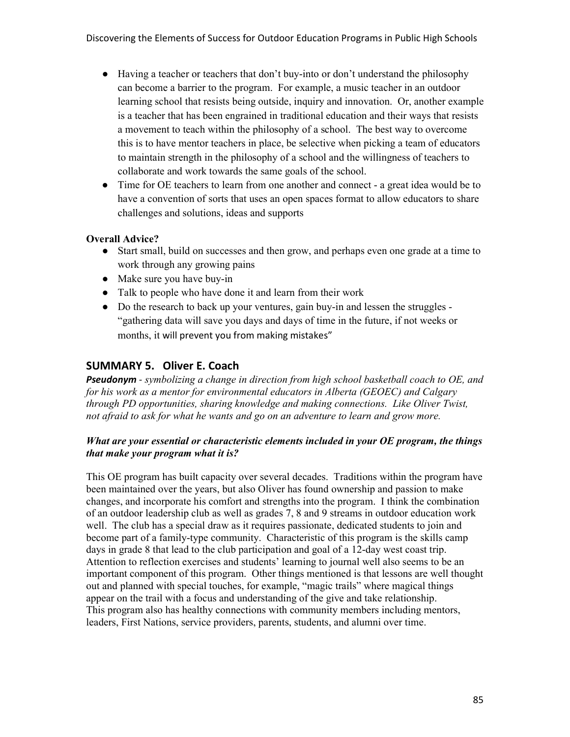- Having a teacher or teachers that don't buy-into or don't understand the philosophy can become a barrier to the program. For example, a music teacher in an outdoor learning school that resists being outside, inquiry and innovation. Or, another example is a teacher that has been engrained in traditional education and their ways that resists a movement to teach within the philosophy of a school. The best way to overcome this is to have mentor teachers in place, be selective when picking a team of educators to maintain strength in the philosophy of a school and the willingness of teachers to collaborate and work towards the same goals of the school.
- Time for OE teachers to learn from one another and connect a great idea would be to have a convention of sorts that uses an open spaces format to allow educators to share challenges and solutions, ideas and supports

### **Overall Advice?**

- Start small, build on successes and then grow, and perhaps even one grade at a time to work through any growing pains
- Make sure you have buy-in
- Talk to people who have done it and learn from their work
- Do the research to back up your ventures, gain buy-in and lessen the struggles -"gathering data will save you days and days of time in the future, if not weeks or months, it will prevent you from making mistakes"

### **SUMMARY 5. Oliver E. Coach**

*Pseudonym* - *symbolizing a change in direction from high school basketball coach to OE, and for his work as a mentor for environmental educators in Alberta (GEOEC) and Calgary through PD opportunities, sharing knowledge and making connections. Like Oliver Twist, not afraid to ask for what he wants and go on an adventure to learn and grow more.*

### *What are your essential or characteristic elements included in your OE program, the things that make your program what it is?*

This OE program has built capacity over several decades. Traditions within the program have been maintained over the years, but also Oliver has found ownership and passion to make changes, and incorporate his comfort and strengths into the program. I think the combination of an outdoor leadership club as well as grades 7, 8 and 9 streams in outdoor education work well. The club has a special draw as it requires passionate, dedicated students to join and become part of a family-type community. Characteristic of this program is the skills camp days in grade 8 that lead to the club participation and goal of a 12-day west coast trip. Attention to reflection exercises and students' learning to journal well also seems to be an important component of this program. Other things mentioned is that lessons are well thought out and planned with special touches, for example, "magic trails" where magical things appear on the trail with a focus and understanding of the give and take relationship. This program also has healthy connections with community members including mentors, leaders, First Nations, service providers, parents, students, and alumni over time.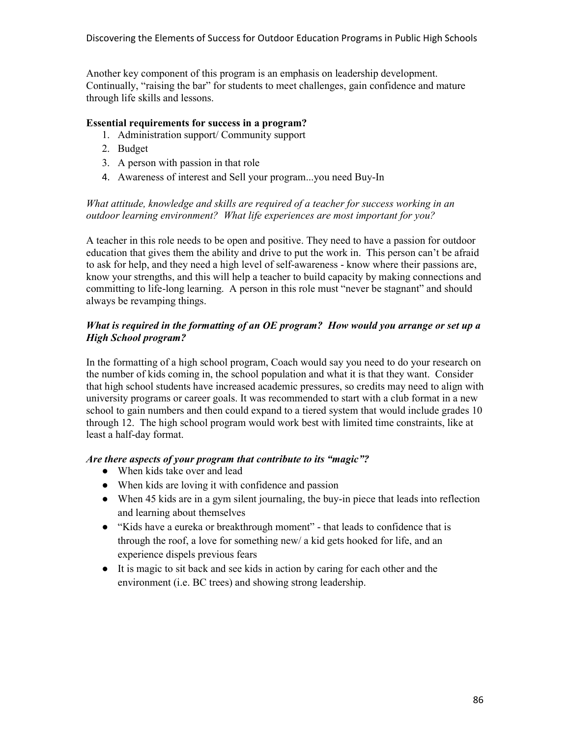Another key component of this program is an emphasis on leadership development. Continually, "raising the bar" for students to meet challenges, gain confidence and mature through life skills and lessons.

### **Essential requirements for success in a program?**

- 1. Administration support/ Community support
- 2. Budget
- 3. A person with passion in that role
- 4. Awareness of interest and Sell your program...you need Buy-In

#### *What attitude, knowledge and skills are required of a teacher for success working in an outdoor learning environment? What life experiences are most important for you?*

A teacher in this role needs to be open and positive. They need to have a passion for outdoor education that gives them the ability and drive to put the work in. This person can't be afraid to ask for help, and they need a high level of self-awareness - know where their passions are, know your strengths, and this will help a teacher to build capacity by making connections and committing to life-long learning. A person in this role must "never be stagnant" and should always be revamping things.

#### *What is required in the formatting of an OE program? How would you arrange or set up a High School program?*

In the formatting of a high school program, Coach would say you need to do your research on the number of kids coming in, the school population and what it is that they want. Consider that high school students have increased academic pressures, so credits may need to align with university programs or career goals. It was recommended to start with a club format in a new school to gain numbers and then could expand to a tiered system that would include grades 10 through 12. The high school program would work best with limited time constraints, like at least a half-day format.

#### *Are there aspects of your program that contribute to its "magic"?*

- When kids take over and lead
- When kids are loving it with confidence and passion
- When 45 kids are in a gym silent journaling, the buy-in piece that leads into reflection and learning about themselves
- "Kids have a eureka or breakthrough moment" that leads to confidence that is through the roof, a love for something new/ a kid gets hooked for life, and an experience dispels previous fears
- It is magic to sit back and see kids in action by caring for each other and the environment (i.e. BC trees) and showing strong leadership.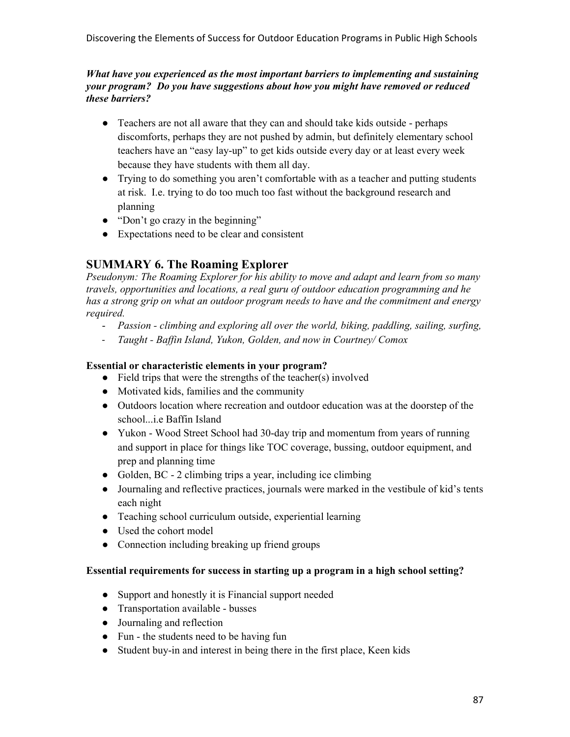#### *What have you experienced as the most important barriers to implementing and sustaining your program? Do you have suggestions about how you might have removed or reduced these barriers?*

- Teachers are not all aware that they can and should take kids outside perhaps discomforts, perhaps they are not pushed by admin, but definitely elementary school teachers have an "easy lay-up" to get kids outside every day or at least every week because they have students with them all day.
- Trying to do something you aren't comfortable with as a teacher and putting students at risk. I.e. trying to do too much too fast without the background research and planning
- "Don't go crazy in the beginning"
- Expectations need to be clear and consistent

# **SUMMARY 6. The Roaming Explorer**

*Pseudonym: The Roaming Explorer for his ability to move and adapt and learn from so many travels, opportunities and locations, a real guru of outdoor education programming and he has a strong grip on what an outdoor program needs to have and the commitment and energy required.* 

- *Passion climbing and exploring all over the world, biking, paddling, sailing, surfing,*
- *Taught Baffin Island, Yukon, Golden, and now in Courtney/ Comox*

## **Essential or characteristic elements in your program?**

- $\bullet$  Field trips that were the strengths of the teacher(s) involved
- Motivated kids, families and the community
- Outdoors location where recreation and outdoor education was at the doorstep of the school...i.e Baffin Island
- Yukon Wood Street School had 30-day trip and momentum from years of running and support in place for things like TOC coverage, bussing, outdoor equipment, and prep and planning time
- Golden, BC 2 climbing trips a year, including ice climbing
- Journaling and reflective practices, journals were marked in the vestibule of kid's tents each night
- Teaching school curriculum outside, experiential learning
- Used the cohort model
- Connection including breaking up friend groups

### **Essential requirements for success in starting up a program in a high school setting?**

- Support and honestly it is Financial support needed
- Transportation available busses
- Journaling and reflection
- Fun the students need to be having fun
- Student buy-in and interest in being there in the first place, Keen kids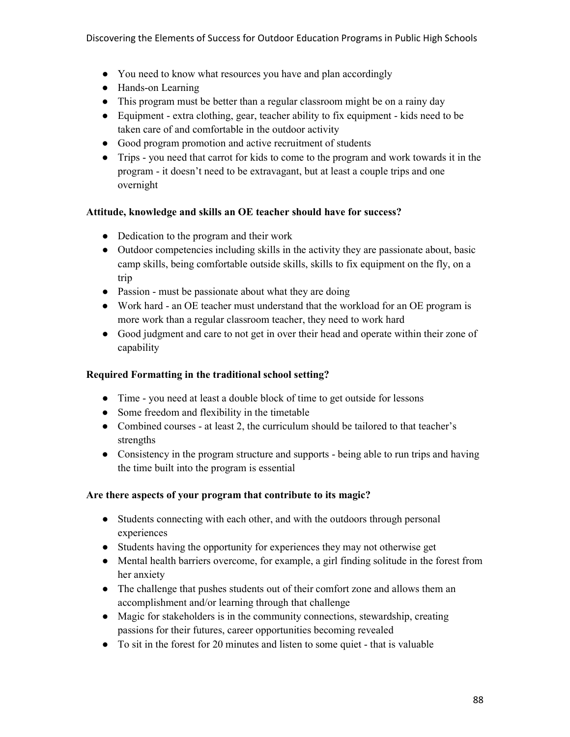- You need to know what resources you have and plan accordingly
- Hands-on Learning
- This program must be better than a regular classroom might be on a rainy day
- Equipment extra clothing, gear, teacher ability to fix equipment kids need to be taken care of and comfortable in the outdoor activity
- Good program promotion and active recruitment of students
- Trips you need that carrot for kids to come to the program and work towards it in the program - it doesn't need to be extravagant, but at least a couple trips and one overnight

#### **Attitude, knowledge and skills an OE teacher should have for success?**

- Dedication to the program and their work
- Outdoor competencies including skills in the activity they are passionate about, basic camp skills, being comfortable outside skills, skills to fix equipment on the fly, on a trip
- Passion must be passionate about what they are doing
- Work hard an OE teacher must understand that the workload for an OE program is more work than a regular classroom teacher, they need to work hard
- Good judgment and care to not get in over their head and operate within their zone of capability

#### **Required Formatting in the traditional school setting?**

- Time you need at least a double block of time to get outside for lessons
- Some freedom and flexibility in the timetable
- Combined courses at least 2, the curriculum should be tailored to that teacher's strengths
- Consistency in the program structure and supports being able to run trips and having the time built into the program is essential

#### **Are there aspects of your program that contribute to its magic?**

- Students connecting with each other, and with the outdoors through personal experiences
- Students having the opportunity for experiences they may not otherwise get
- Mental health barriers overcome, for example, a girl finding solitude in the forest from her anxiety
- The challenge that pushes students out of their comfort zone and allows them an accomplishment and/or learning through that challenge
- Magic for stakeholders is in the community connections, stewardship, creating passions for their futures, career opportunities becoming revealed
- To sit in the forest for 20 minutes and listen to some quiet that is valuable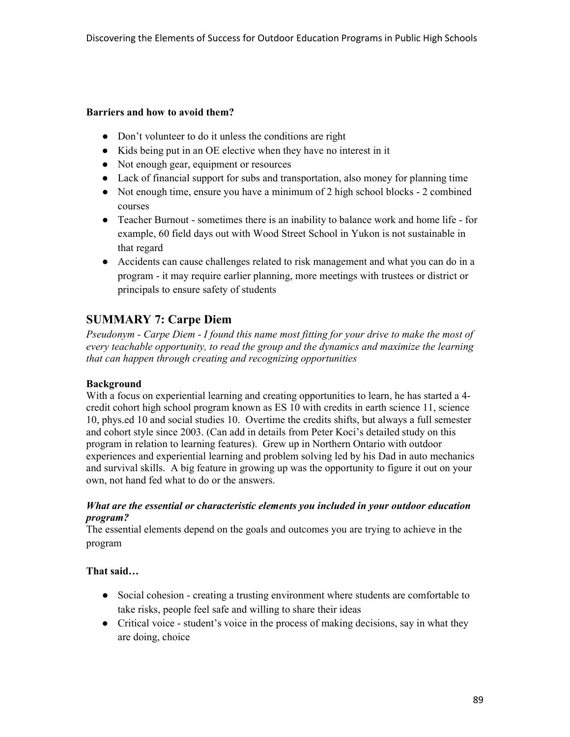#### **Barriers and how to avoid them?**

- Don't volunteer to do it unless the conditions are right
- Kids being put in an OE elective when they have no interest in it
- Not enough gear, equipment or resources
- Lack of financial support for subs and transportation, also money for planning time
- Not enough time, ensure you have a minimum of 2 high school blocks 2 combined courses
- Teacher Burnout sometimes there is an inability to balance work and home life for example, 60 field days out with Wood Street School in Yukon is not sustainable in that regard
- Accidents can cause challenges related to risk management and what you can do in a program - it may require earlier planning, more meetings with trustees or district or principals to ensure safety of students

## **SUMMARY 7: Carpe Diem**

*Pseudonym - Carpe Diem - I found this name most fitting for your drive to make the most of every teachable opportunity, to read the group and the dynamics and maximize the learning that can happen through creating and recognizing opportunities* 

#### **Background**

With a focus on experiential learning and creating opportunities to learn, he has started a 4credit cohort high school program known as ES 10 with credits in earth science 11, science 10, phys.ed 10 and social studies 10. Overtime the credits shifts, but always a full semester and cohort style since 2003. (Can add in details from Peter Koci's detailed study on this program in relation to learning features). Grew up in Northern Ontario with outdoor experiences and experiential learning and problem solving led by his Dad in auto mechanics and survival skills. A big feature in growing up was the opportunity to figure it out on your own, not hand fed what to do or the answers.

#### *What are the essential or characteristic elements you included in your outdoor education program?*

The essential elements depend on the goals and outcomes you are trying to achieve in the program

#### **That said…**

- Social cohesion creating a trusting environment where students are comfortable to take risks, people feel safe and willing to share their ideas
- Critical voice student's voice in the process of making decisions, say in what they are doing, choice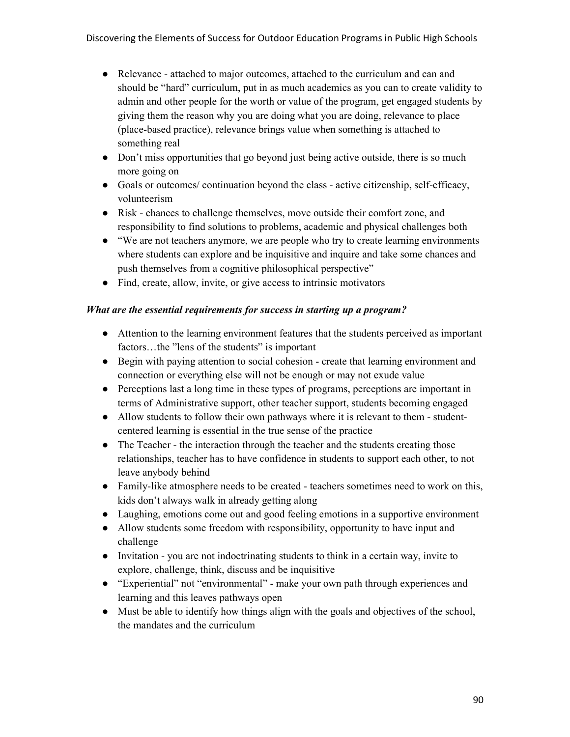- Relevance attached to major outcomes, attached to the curriculum and can and should be "hard" curriculum, put in as much academics as you can to create validity to admin and other people for the worth or value of the program, get engaged students by giving them the reason why you are doing what you are doing, relevance to place (place-based practice), relevance brings value when something is attached to something real
- Don't miss opportunities that go beyond just being active outside, there is so much more going on
- Goals or outcomes/ continuation beyond the class active citizenship, self-efficacy, volunteerism
- Risk chances to challenge themselves, move outside their comfort zone, and responsibility to find solutions to problems, academic and physical challenges both
- "We are not teachers anymore, we are people who try to create learning environments where students can explore and be inquisitive and inquire and take some chances and push themselves from a cognitive philosophical perspective"
- Find, create, allow, invite, or give access to intrinsic motivators

### *What are the essential requirements for success in starting up a program?*

- Attention to the learning environment features that the students perceived as important factors…the "lens of the students" is important
- Begin with paying attention to social cohesion create that learning environment and connection or everything else will not be enough or may not exude value
- Perceptions last a long time in these types of programs, perceptions are important in terms of Administrative support, other teacher support, students becoming engaged
- Allow students to follow their own pathways where it is relevant to them studentcentered learning is essential in the true sense of the practice
- The Teacher the interaction through the teacher and the students creating those relationships, teacher has to have confidence in students to support each other, to not leave anybody behind
- Family-like atmosphere needs to be created teachers sometimes need to work on this, kids don't always walk in already getting along
- Laughing, emotions come out and good feeling emotions in a supportive environment
- Allow students some freedom with responsibility, opportunity to have input and challenge
- Invitation you are not indoctrinating students to think in a certain way, invite to explore, challenge, think, discuss and be inquisitive
- "Experiential" not "environmental" make your own path through experiences and learning and this leaves pathways open
- Must be able to identify how things align with the goals and objectives of the school, the mandates and the curriculum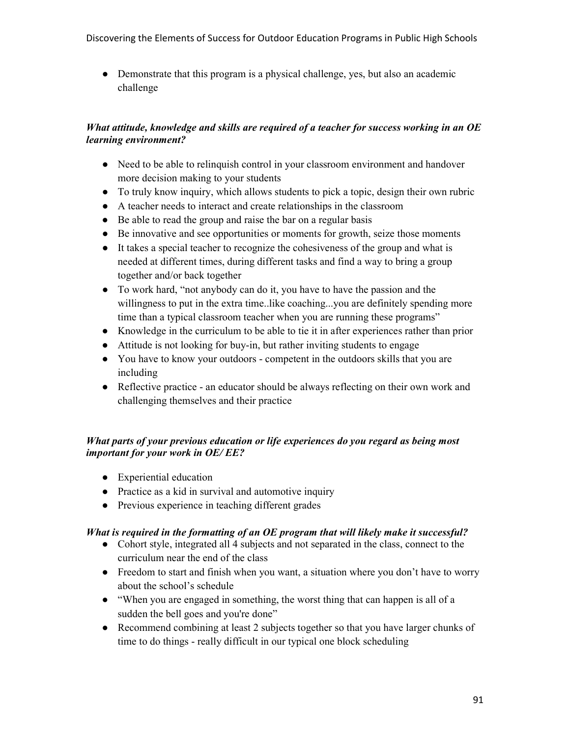• Demonstrate that this program is a physical challenge, yes, but also an academic challenge

### *What attitude, knowledge and skills are required of a teacher for success working in an OE learning environment?*

- Need to be able to relinquish control in your classroom environment and handover more decision making to your students
- To truly know inquiry, which allows students to pick a topic, design their own rubric
- A teacher needs to interact and create relationships in the classroom
- Be able to read the group and raise the bar on a regular basis
- Be innovative and see opportunities or moments for growth, seize those moments
- It takes a special teacher to recognize the cohesiveness of the group and what is needed at different times, during different tasks and find a way to bring a group together and/or back together
- To work hard, "not anybody can do it, you have to have the passion and the willingness to put in the extra time..like coaching...you are definitely spending more time than a typical classroom teacher when you are running these programs"
- Knowledge in the curriculum to be able to tie it in after experiences rather than prior
- Attitude is not looking for buy-in, but rather inviting students to engage
- You have to know your outdoors competent in the outdoors skills that you are including
- Reflective practice an educator should be always reflecting on their own work and challenging themselves and their practice

## *What parts of your previous education or life experiences do you regard as being most important for your work in OE/ EE?*

- Experiential education
- Practice as a kid in survival and automotive inquiry
- Previous experience in teaching different grades

### *What is required in the formatting of an OE program that will likely make it successful?*

- Cohort style, integrated all 4 subjects and not separated in the class, connect to the curriculum near the end of the class
- Freedom to start and finish when you want, a situation where you don't have to worry about the school's schedule
- "When you are engaged in something, the worst thing that can happen is all of a sudden the bell goes and you're done"
- Recommend combining at least 2 subjects together so that you have larger chunks of time to do things - really difficult in our typical one block scheduling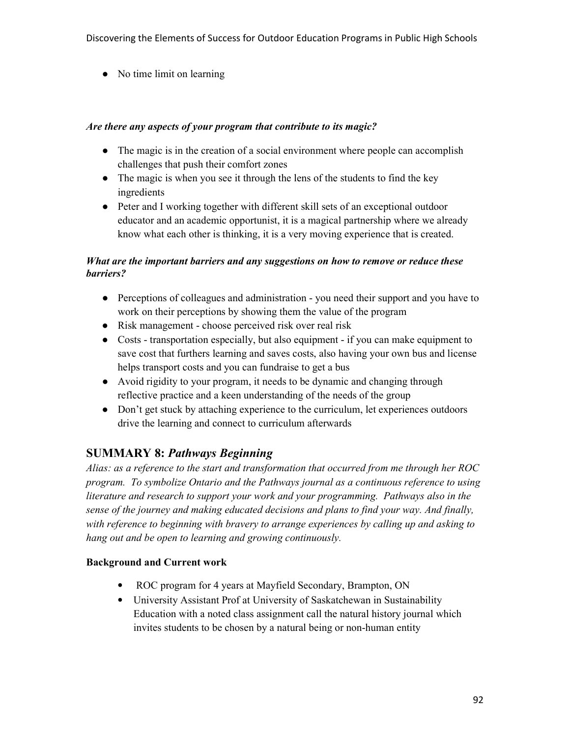• No time limit on learning

### *Are there any aspects of your program that contribute to its magic?*

- The magic is in the creation of a social environment where people can accomplish challenges that push their comfort zones
- The magic is when you see it through the lens of the students to find the key ingredients
- Peter and I working together with different skill sets of an exceptional outdoor educator and an academic opportunist, it is a magical partnership where we already know what each other is thinking, it is a very moving experience that is created.

### *What are the important barriers and any suggestions on how to remove or reduce these barriers?*

- Perceptions of colleagues and administration you need their support and you have to work on their perceptions by showing them the value of the program
- Risk management choose perceived risk over real risk
- Costs transportation especially, but also equipment if you can make equipment to save cost that furthers learning and saves costs, also having your own bus and license helps transport costs and you can fundraise to get a bus
- Avoid rigidity to your program, it needs to be dynamic and changing through reflective practice and a keen understanding of the needs of the group
- Don't get stuck by attaching experience to the curriculum, let experiences outdoors drive the learning and connect to curriculum afterwards

# **SUMMARY 8:** *Pathways Beginning*

*Alias: as a reference to the start and transformation that occurred from me through her ROC program. To symbolize Ontario and the Pathways journal as a continuous reference to using literature and research to support your work and your programming. Pathways also in the sense of the journey and making educated decisions and plans to find your way. And finally, with reference to beginning with bravery to arrange experiences by calling up and asking to hang out and be open to learning and growing continuously.*

### **Background and Current work**

- ROC program for 4 years at Mayfield Secondary, Brampton, ON
- University Assistant Prof at University of Saskatchewan in Sustainability Education with a noted class assignment call the natural history journal which invites students to be chosen by a natural being or non-human entity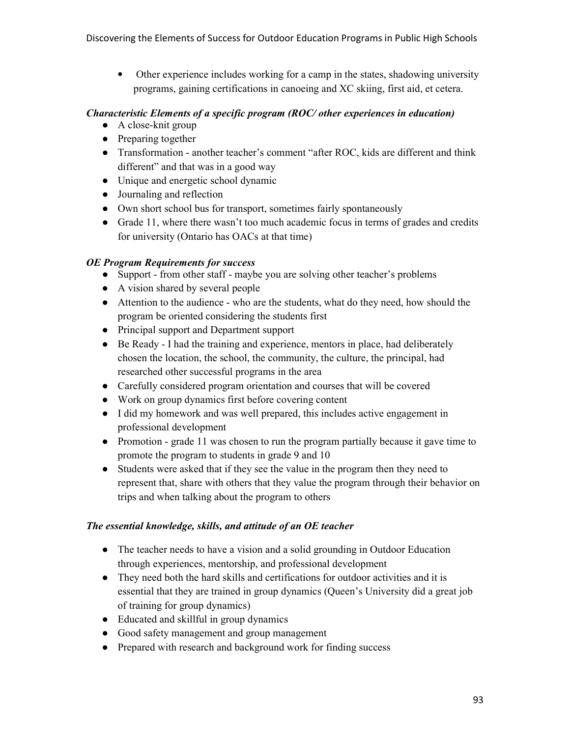• Other experience includes working for a camp in the states, shadowing university programs, gaining certifications in canoeing and XC skiing, first aid, et cetera.

#### *Characteristic Elements of a specific program (ROC/ other experiences in education)*

- $\bullet$  A close-knit group
- Preparing together
- Transformation another teacher's comment "after ROC, kids are different and think different" and that was in a good way
- Unique and energetic school dynamic
- Journaling and reflection
- Own short school bus for transport, sometimes fairly spontaneously
- Grade 11, where there wasn't too much academic focus in terms of grades and credits for university (Ontario has OACs at that time)

### *OE Program Requirements for success*

- Support from other staff maybe you are solving other teacher's problems
- A vision shared by several people
- Attention to the audience who are the students, what do they need, how should the program be oriented considering the students first
- Principal support and Department support
- Be Ready I had the training and experience, mentors in place, had deliberately chosen the location, the school, the community, the culture, the principal, had researched other successful programs in the area
- Carefully considered program orientation and courses that will be covered
- Work on group dynamics first before covering content
- I did my homework and was well prepared, this includes active engagement in professional development
- Promotion grade 11 was chosen to run the program partially because it gave time to promote the program to students in grade 9 and 10
- Students were asked that if they see the value in the program then they need to represent that, share with others that they value the program through their behavior on trips and when talking about the program to others

### *The essential knowledge, skills, and attitude of an OE teacher*

- The teacher needs to have a vision and a solid grounding in Outdoor Education through experiences, mentorship, and professional development
- They need both the hard skills and certifications for outdoor activities and it is essential that they are trained in group dynamics (Queen's University did a great job of training for group dynamics)
- Educated and skillful in group dynamics
- Good safety management and group management
- Prepared with research and background work for finding success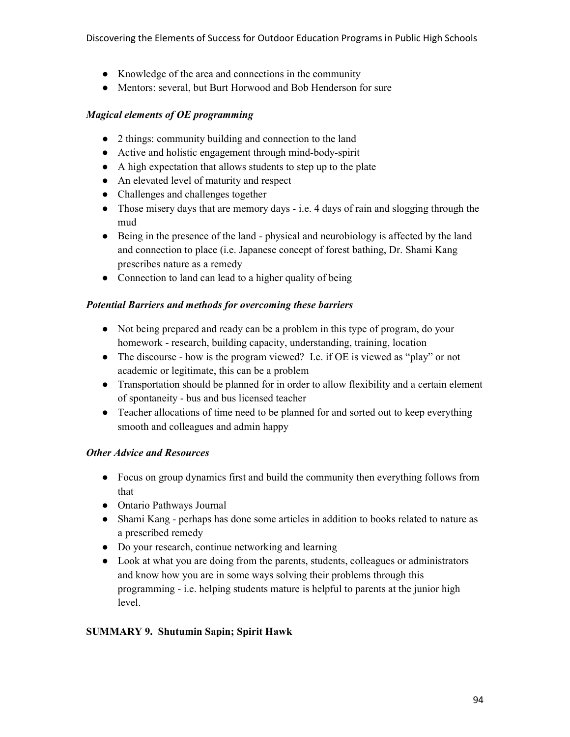- Knowledge of the area and connections in the community
- Mentors: several, but Burt Horwood and Bob Henderson for sure

### *Magical elements of OE programming*

- 2 things: community building and connection to the land
- Active and holistic engagement through mind-body-spirit
- A high expectation that allows students to step up to the plate
- An elevated level of maturity and respect
- Challenges and challenges together
- Those misery days that are memory days i.e. 4 days of rain and slogging through the mud
- Being in the presence of the land physical and neurobiology is affected by the land and connection to place (i.e. Japanese concept of forest bathing, Dr. Shami Kang prescribes nature as a remedy
- Connection to land can lead to a higher quality of being

### *Potential Barriers and methods for overcoming these barriers*

- Not being prepared and ready can be a problem in this type of program, do your homework - research, building capacity, understanding, training, location
- The discourse how is the program viewed? I.e. if OE is viewed as "play" or not academic or legitimate, this can be a problem
- Transportation should be planned for in order to allow flexibility and a certain element of spontaneity - bus and bus licensed teacher
- Teacher allocations of time need to be planned for and sorted out to keep everything smooth and colleagues and admin happy

#### *Other Advice and Resources*

- Focus on group dynamics first and build the community then everything follows from that
- Ontario Pathways Journal
- Shami Kang perhaps has done some articles in addition to books related to nature as a prescribed remedy
- Do your research, continue networking and learning
- Look at what you are doing from the parents, students, colleagues or administrators and know how you are in some ways solving their problems through this programming - i.e. helping students mature is helpful to parents at the junior high level.

#### **SUMMARY 9. Shutumin Sapin; Spirit Hawk**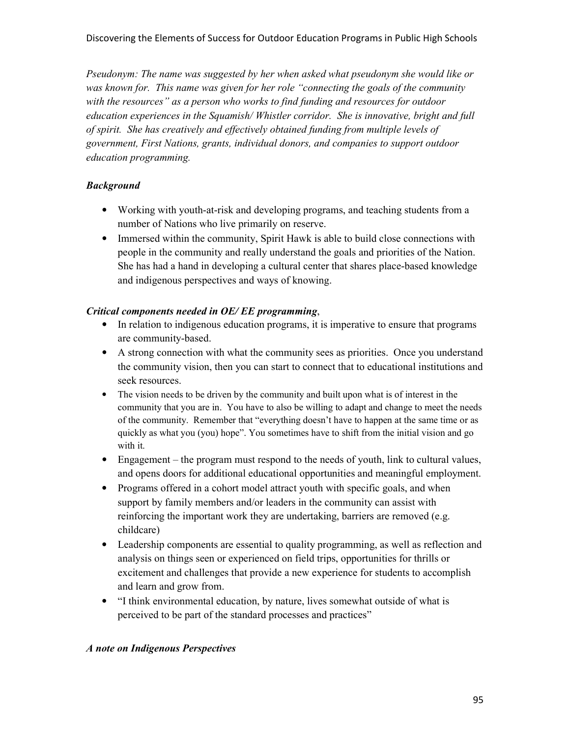*Pseudonym: The name was suggested by her when asked what pseudonym she would like or was known for. This name was given for her role "connecting the goals of the community with the resources" as a person who works to find funding and resources for outdoor education experiences in the Squamish/ Whistler corridor. She is innovative, bright and full of spirit. She has creatively and effectively obtained funding from multiple levels of government, First Nations, grants, individual donors, and companies to support outdoor education programming.* 

### *Background*

- Working with youth-at-risk and developing programs, and teaching students from a number of Nations who live primarily on reserve.
- Immersed within the community, Spirit Hawk is able to build close connections with people in the community and really understand the goals and priorities of the Nation. She has had a hand in developing a cultural center that shares place-based knowledge and indigenous perspectives and ways of knowing.

### *Critical components needed in OE/ EE programming*,

- In relation to indigenous education programs, it is imperative to ensure that programs are community-based.
- A strong connection with what the community sees as priorities. Once you understand the community vision, then you can start to connect that to educational institutions and seek resources.
- The vision needs to be driven by the community and built upon what is of interest in the community that you are in. You have to also be willing to adapt and change to meet the needs of the community. Remember that "everything doesn't have to happen at the same time or as quickly as what you (you) hope". You sometimes have to shift from the initial vision and go with it.
- Engagement the program must respond to the needs of youth, link to cultural values, and opens doors for additional educational opportunities and meaningful employment.
- Programs offered in a cohort model attract youth with specific goals, and when support by family members and/or leaders in the community can assist with reinforcing the important work they are undertaking, barriers are removed (e.g. childcare)
- Leadership components are essential to quality programming, as well as reflection and analysis on things seen or experienced on field trips, opportunities for thrills or excitement and challenges that provide a new experience for students to accomplish and learn and grow from.
- "I think environmental education, by nature, lives somewhat outside of what is perceived to be part of the standard processes and practices"

#### *A note on Indigenous Perspectives*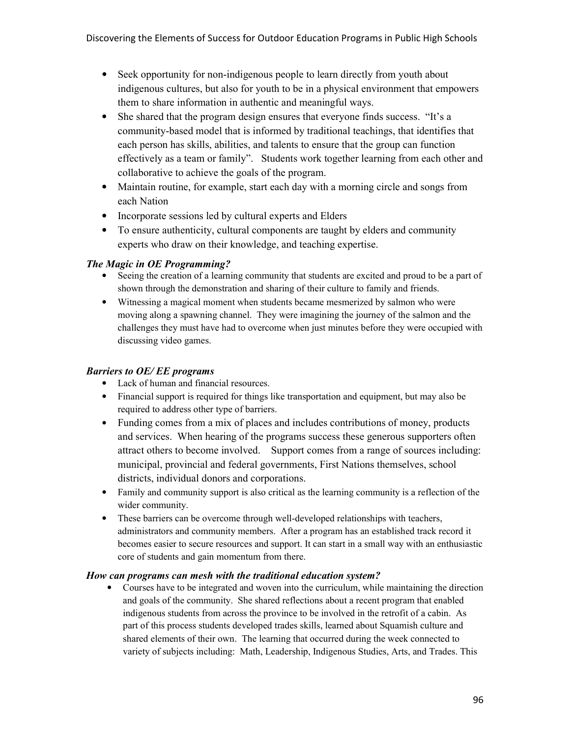- Seek opportunity for non-indigenous people to learn directly from youth about indigenous cultures, but also for youth to be in a physical environment that empowers them to share information in authentic and meaningful ways.
- She shared that the program design ensures that everyone finds success. "It's a community-based model that is informed by traditional teachings, that identifies that each person has skills, abilities, and talents to ensure that the group can function effectively as a team or family". Students work together learning from each other and collaborative to achieve the goals of the program.
- Maintain routine, for example, start each day with a morning circle and songs from each Nation
- Incorporate sessions led by cultural experts and Elders
- To ensure authenticity, cultural components are taught by elders and community experts who draw on their knowledge, and teaching expertise.

### *The Magic in OE Programming?*

- Seeing the creation of a learning community that students are excited and proud to be a part of shown through the demonstration and sharing of their culture to family and friends.
- Witnessing a magical moment when students became mesmerized by salmon who were moving along a spawning channel. They were imagining the journey of the salmon and the challenges they must have had to overcome when just minutes before they were occupied with discussing video games.

#### *Barriers to OE/ EE programs*

- Lack of human and financial resources.
- Financial support is required for things like transportation and equipment, but may also be required to address other type of barriers.
- Funding comes from a mix of places and includes contributions of money, products and services. When hearing of the programs success these generous supporters often attract others to become involved. Support comes from a range of sources including: municipal, provincial and federal governments, First Nations themselves, school districts, individual donors and corporations.
- Family and community support is also critical as the learning community is a reflection of the wider community.
- These barriers can be overcome through well-developed relationships with teachers, administrators and community members. After a program has an established track record it becomes easier to secure resources and support. It can start in a small way with an enthusiastic core of students and gain momentum from there.

#### *How can programs can mesh with the traditional education system?*

• Courses have to be integrated and woven into the curriculum, while maintaining the direction and goals of the community. She shared reflections about a recent program that enabled indigenous students from across the province to be involved in the retrofit of a cabin. As part of this process students developed trades skills, learned about Squamish culture and shared elements of their own. The learning that occurred during the week connected to variety of subjects including: Math, Leadership, Indigenous Studies, Arts, and Trades. This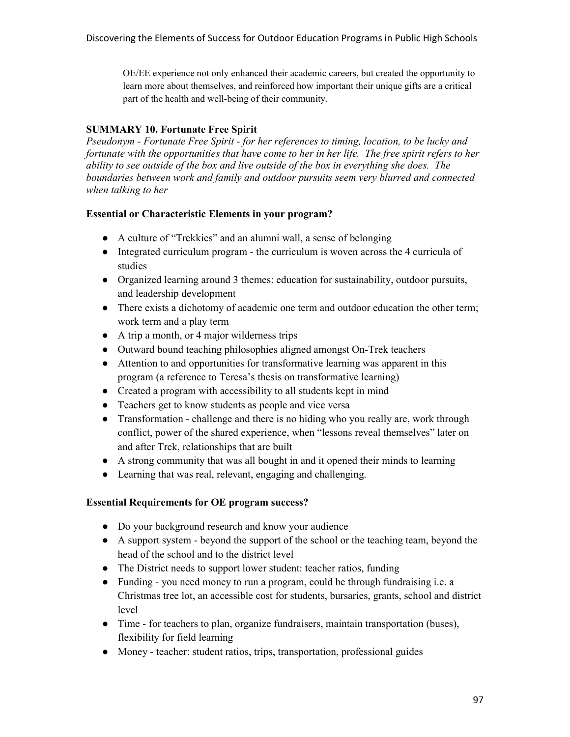OE/EE experience not only enhanced their academic careers, but created the opportunity to learn more about themselves, and reinforced how important their unique gifts are a critical part of the health and well-being of their community.

### **SUMMARY 10. Fortunate Free Spirit**

*Pseudonym - Fortunate Free Spirit - for her references to timing, location, to be lucky and fortunate with the opportunities that have come to her in her life. The free spirit refers to her ability to see outside of the box and live outside of the box in everything she does. The boundaries between work and family and outdoor pursuits seem very blurred and connected when talking to her* 

### **Essential or Characteristic Elements in your program?**

- A culture of "Trekkies" and an alumni wall, a sense of belonging
- Integrated curriculum program the curriculum is woven across the 4 curricula of studies
- Organized learning around 3 themes: education for sustainability, outdoor pursuits, and leadership development
- There exists a dichotomy of academic one term and outdoor education the other term; work term and a play term
- A trip a month, or 4 major wilderness trips
- Outward bound teaching philosophies aligned amongst On-Trek teachers
- Attention to and opportunities for transformative learning was apparent in this program (a reference to Teresa's thesis on transformative learning)
- Created a program with accessibility to all students kept in mind
- Teachers get to know students as people and vice versa
- Transformation challenge and there is no hiding who you really are, work through conflict, power of the shared experience, when "lessons reveal themselves" later on and after Trek, relationships that are built
- A strong community that was all bought in and it opened their minds to learning
- Learning that was real, relevant, engaging and challenging.

#### **Essential Requirements for OE program success?**

- Do your background research and know your audience
- A support system beyond the support of the school or the teaching team, beyond the head of the school and to the district level
- The District needs to support lower student: teacher ratios, funding
- Funding you need money to run a program, could be through fundraising i.e. a Christmas tree lot, an accessible cost for students, bursaries, grants, school and district level
- Time for teachers to plan, organize fundraisers, maintain transportation (buses), flexibility for field learning
- Money teacher: student ratios, trips, transportation, professional guides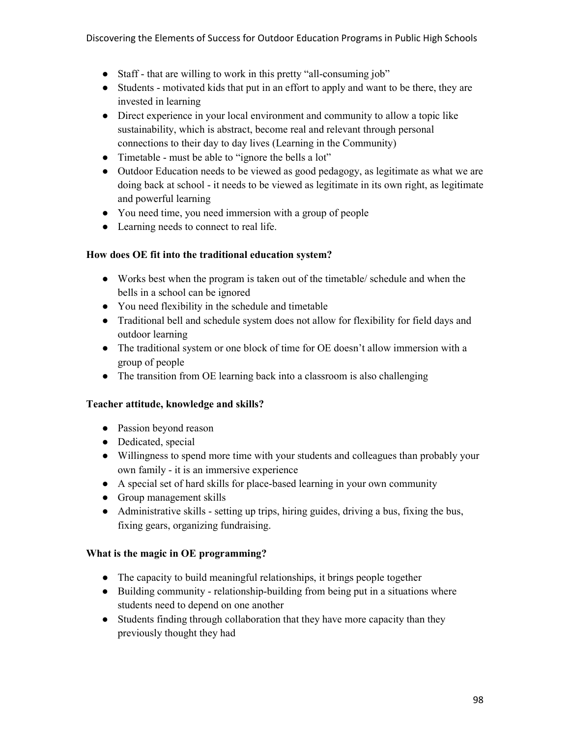- Staff that are willing to work in this pretty "all-consuming job"
- Students motivated kids that put in an effort to apply and want to be there, they are invested in learning
- Direct experience in your local environment and community to allow a topic like sustainability, which is abstract, become real and relevant through personal connections to their day to day lives (Learning in the Community)
- Timetable must be able to "ignore the bells a lot"
- Outdoor Education needs to be viewed as good pedagogy, as legitimate as what we are doing back at school - it needs to be viewed as legitimate in its own right, as legitimate and powerful learning
- You need time, you need immersion with a group of people
- Learning needs to connect to real life.

#### **How does OE fit into the traditional education system?**

- Works best when the program is taken out of the timetable/ schedule and when the bells in a school can be ignored
- You need flexibility in the schedule and timetable
- Traditional bell and schedule system does not allow for flexibility for field days and outdoor learning
- The traditional system or one block of time for OE doesn't allow immersion with a group of people
- The transition from OE learning back into a classroom is also challenging

#### **Teacher attitude, knowledge and skills?**

- Passion beyond reason
- Dedicated, special
- Willingness to spend more time with your students and colleagues than probably your own family - it is an immersive experience
- A special set of hard skills for place-based learning in your own community
- Group management skills
- Administrative skills setting up trips, hiring guides, driving a bus, fixing the bus, fixing gears, organizing fundraising.

#### **What is the magic in OE programming?**

- The capacity to build meaningful relationships, it brings people together
- Building community relationship-building from being put in a situations where students need to depend on one another
- Students finding through collaboration that they have more capacity than they previously thought they had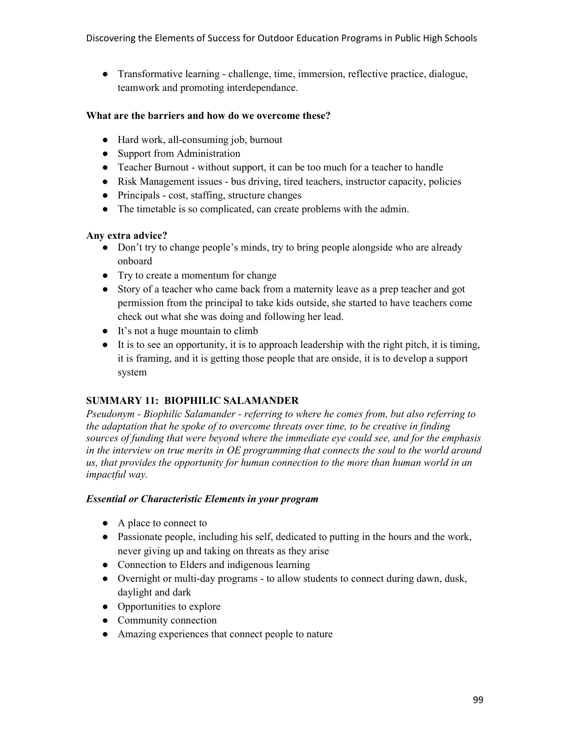● Transformative learning - challenge, time, immersion, reflective practice, dialogue, teamwork and promoting interdependance.

#### **What are the barriers and how do we overcome these?**

- Hard work, all-consuming job, burnout
- Support from Administration
- Teacher Burnout without support, it can be too much for a teacher to handle
- Risk Management issues bus driving, tired teachers, instructor capacity, policies
- Principals cost, staffing, structure changes
- The timetable is so complicated, can create problems with the admin.

### **Any extra advice?**

- Don't try to change people's minds, try to bring people alongside who are already onboard
- Try to create a momentum for change
- Story of a teacher who came back from a maternity leave as a prep teacher and got permission from the principal to take kids outside, she started to have teachers come check out what she was doing and following her lead.
- It's not a huge mountain to climb
- It is to see an opportunity, it is to approach leadership with the right pitch, it is timing, it is framing, and it is getting those people that are onside, it is to develop a support system

### **SUMMARY 11: BIOPHILIC SALAMANDER**

*Pseudonym - Biophilic Salamander - referring to where he comes from, but also referring to the adaptation that he spoke of to overcome threats over time, to be creative in finding sources of funding that were beyond where the immediate eye could see, and for the emphasis in the interview on true merits in OE programming that connects the soul to the world around us, that provides the opportunity for human connection to the more than human world in an impactful way.* 

### *Essential or Characteristic Elements in your program*

- A place to connect to
- Passionate people, including his self, dedicated to putting in the hours and the work, never giving up and taking on threats as they arise
- Connection to Elders and indigenous learning
- Overnight or multi-day programs to allow students to connect during dawn, dusk, daylight and dark
- Opportunities to explore
- Community connection
- Amazing experiences that connect people to nature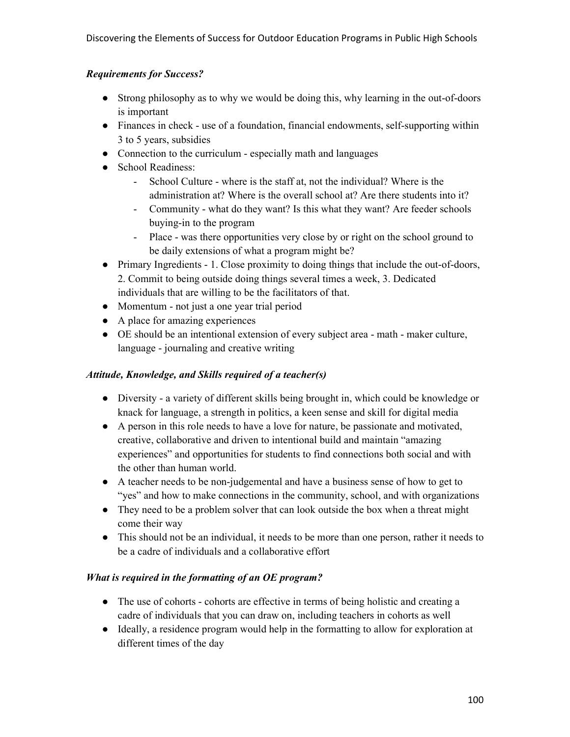### *Requirements for Success?*

- Strong philosophy as to why we would be doing this, why learning in the out-of-doors is important
- Finances in check use of a foundation, financial endowments, self-supporting within 3 to 5 years, subsidies
- Connection to the curriculum especially math and languages
- School Readiness:
	- School Culture where is the staff at, not the individual? Where is the administration at? Where is the overall school at? Are there students into it?
	- Community what do they want? Is this what they want? Are feeder schools buying-in to the program
	- Place was there opportunities very close by or right on the school ground to be daily extensions of what a program might be?
- Primary Ingredients 1. Close proximity to doing things that include the out-of-doors, 2. Commit to being outside doing things several times a week, 3. Dedicated individuals that are willing to be the facilitators of that.
- Momentum not just a one year trial period
- A place for amazing experiences
- OE should be an intentional extension of every subject area math maker culture, language - journaling and creative writing

### *Attitude, Knowledge, and Skills required of a teacher(s)*

- Diversity a variety of different skills being brought in, which could be knowledge or knack for language, a strength in politics, a keen sense and skill for digital media
- A person in this role needs to have a love for nature, be passionate and motivated, creative, collaborative and driven to intentional build and maintain "amazing experiences" and opportunities for students to find connections both social and with the other than human world.
- A teacher needs to be non-judgemental and have a business sense of how to get to "yes" and how to make connections in the community, school, and with organizations
- They need to be a problem solver that can look outside the box when a threat might come their way
- This should not be an individual, it needs to be more than one person, rather it needs to be a cadre of individuals and a collaborative effort

### *What is required in the formatting of an OE program?*

- The use of cohorts cohorts are effective in terms of being holistic and creating a cadre of individuals that you can draw on, including teachers in cohorts as well
- Ideally, a residence program would help in the formatting to allow for exploration at different times of the day